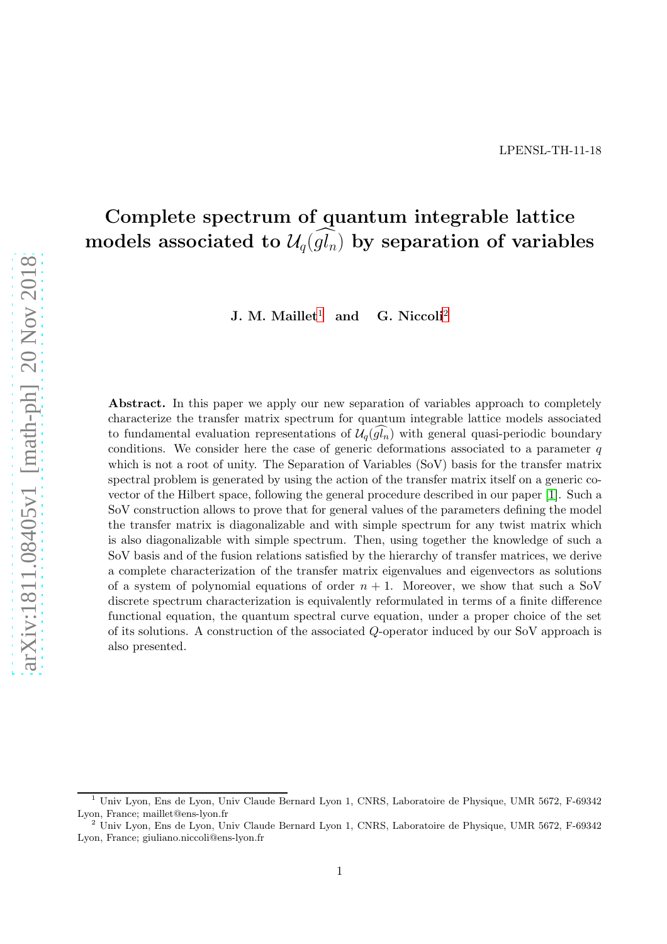# Complete spectrum of quantum integrable lattice models associated to  $\mathcal{U}_q(g_{n})$  by separation of variables

J. M. Maillet<sup>[1](#page-0-0)</sup> and G. Niccoli<sup>[2](#page-0-1)</sup>

Abstract. In this paper we apply our new separation of variables approach to completely characterize the transfer matrix spectrum for quantum integrable lattice models associated to fundamental evaluation representations of  $\mathcal{U}_q(g_n)$  with general quasi-periodic boundary conditions. We consider here the case of generic deformations associated to a parameter  $q$ which is not a root of unity. The Separation of Variables (SoV) basis for the transfer matrix spectral problem is generated by using the action of the transfer matrix itself on a generic covector of the Hilbert space, following the general procedure described in our paper [\[1\]](#page-32-0). Such a SoV construction allows to prove that for general values of the parameters defining the model the transfer matrix is diagonalizable and with simple spectrum for any twist matrix which is also diagonalizable with simple spectrum. Then, using together the knowledge of such a SoV basis and of the fusion relations satisfied by the hierarchy of transfer matrices, we derive a complete characterization of the transfer matrix eigenvalues and eigenvectors as solutions of a system of polynomial equations of order  $n + 1$ . Moreover, we show that such a SoV discrete spectrum characterization is equivalently reformulated in terms of a finite difference functional equation, the quantum spectral curve equation, under a proper choice of the set of its solutions. A construction of the associated Q-operator induced by our SoV approach is also presented.

<span id="page-0-0"></span><sup>1</sup> Univ Lyon, Ens de Lyon, Univ Claude Bernard Lyon 1, CNRS, Laboratoire de Physique, UMR 5672, F-69342 Lyon, France; maillet@ens-lyon.fr

<span id="page-0-1"></span><sup>2</sup> Univ Lyon, Ens de Lyon, Univ Claude Bernard Lyon 1, CNRS, Laboratoire de Physique, UMR 5672, F-69342 Lyon, France; giuliano.niccoli@ens-lyon.fr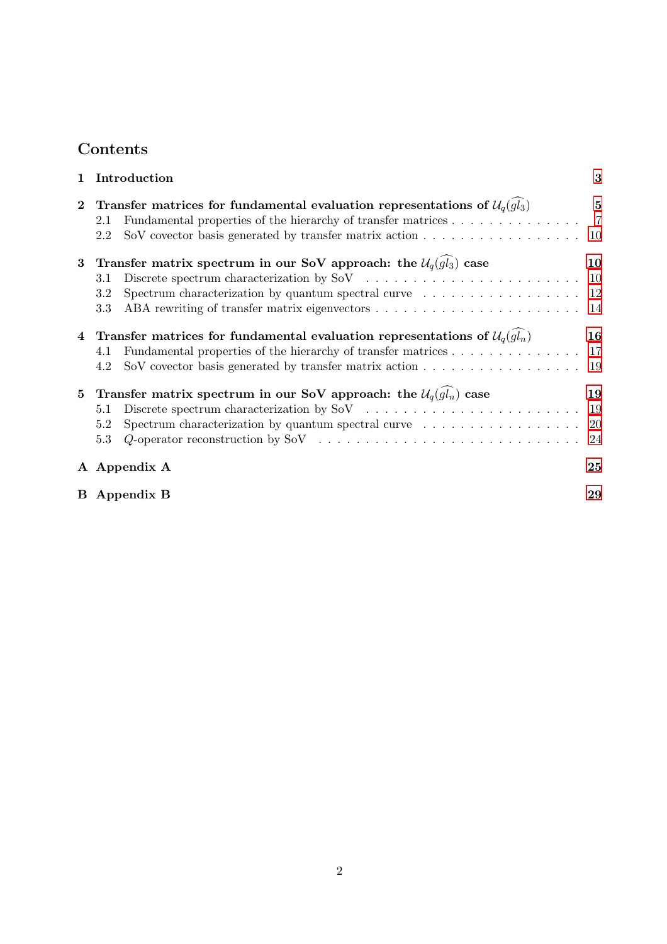# Contents

| 1        | Introduction                                                                                                                                                                                                                                                             | 3                                |
|----------|--------------------------------------------------------------------------------------------------------------------------------------------------------------------------------------------------------------------------------------------------------------------------|----------------------------------|
| $\bf{2}$ | Transfer matrices for fundamental evaluation representations of $\mathcal{U}_q(gl_3)$<br>2.1<br>SoV covector basis generated by transfer matrix action<br>2.2                                                                                                            | $\bf{5}$<br>$\overline{7}$<br>10 |
| 3        | Transfer matrix spectrum in our SoV approach: the $\mathcal{U}_q(g_l)$ case<br>3.1<br>Spectrum characterization by quantum spectral curve $\dots \dots \dots \dots \dots \dots \dots$<br>3.2<br>3.3                                                                      | 10<br>10<br>14                   |
| 4        | Transfer matrices for fundamental evaluation representations of $\mathcal{U}_q(g_n)$<br>Fundamental properties of the hierarchy of transfer matrices<br>4.1<br>SoV covector basis generated by transfer matrix action $\ldots \ldots \ldots \ldots \ldots \ldots$<br>4.2 | 16<br>-17<br>-19                 |
| 5        | Transfer matrix spectrum in our SoV approach: the $\mathcal{U}_q(\widehat{gl_n})$ case<br>5.1<br>Spectrum characterization by quantum spectral curve $\dots \dots \dots \dots \dots$<br>5.2<br>5.3                                                                       | 19<br>-19<br>20<br>24            |
|          | A Appendix A                                                                                                                                                                                                                                                             | 25                               |
|          | <b>B</b> Appendix <b>B</b>                                                                                                                                                                                                                                               | 29                               |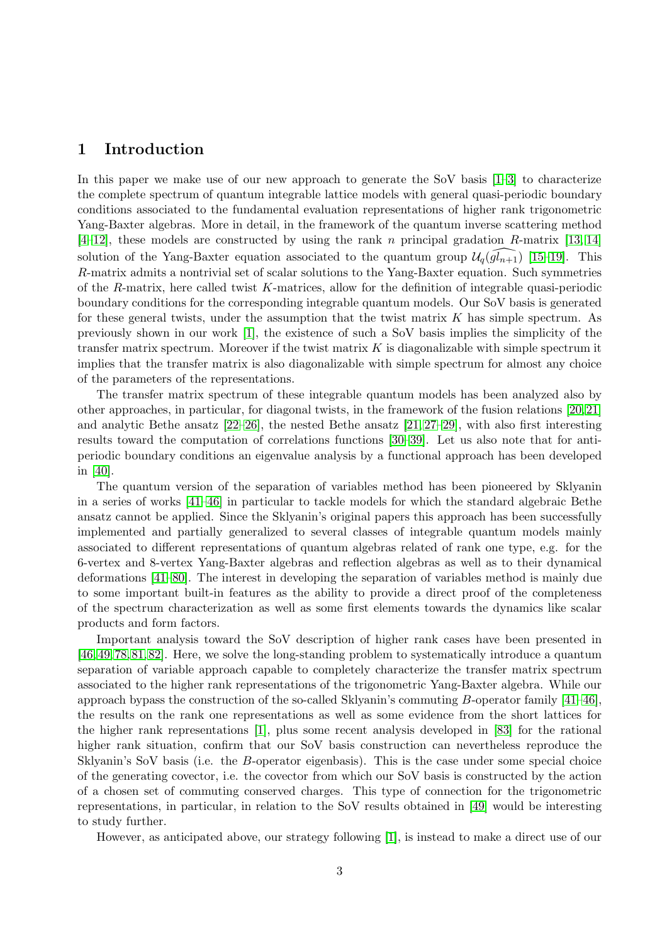### <span id="page-2-0"></span>1 Introduction

In this paper we make use of our new approach to generate the SoV basis [\[1](#page-32-0)[–3\]](#page-32-1) to characterize the complete spectrum of quantum integrable lattice models with general quasi-periodic boundary conditions associated to the fundamental evaluation representations of higher rank trigonometric Yang-Baxter algebras. More in detail, in the framework of the quantum inverse scattering method  $[4–12]$  $[4–12]$ , these models are constructed by using the rank *n* principal gradation *R*-matrix [\[13,](#page-32-4) [14\]](#page-32-5) solution of the Yang-Baxter equation associated to the quantum group  $\mathcal{U}_q(\mathfrak{gl}_{n+1})$  [\[15](#page-32-6)[–19\]](#page-33-0). This R-matrix admits a nontrivial set of scalar solutions to the Yang-Baxter equation. Such symmetries of the R-matrix, here called twist K-matrices, allow for the definition of integrable quasi-periodic boundary conditions for the corresponding integrable quantum models. Our SoV basis is generated for these general twists, under the assumption that the twist matrix  $K$  has simple spectrum. As previously shown in our work [\[1\]](#page-32-0), the existence of such a SoV basis implies the simplicity of the transfer matrix spectrum. Moreover if the twist matrix  $K$  is diagonalizable with simple spectrum it implies that the transfer matrix is also diagonalizable with simple spectrum for almost any choice of the parameters of the representations.

The transfer matrix spectrum of these integrable quantum models has been analyzed also by other approaches, in particular, for diagonal twists, in the framework of the fusion relations [\[20,](#page-33-1)[21\]](#page-33-2) and analytic Bethe ansatz [\[22–](#page-33-3)[26\]](#page-33-4), the nested Bethe ansatz [\[21,](#page-33-2) [27](#page-33-5)[–29\]](#page-33-6), with also first interesting results toward the computation of correlations functions [\[30](#page-33-7)[–39\]](#page-34-0). Let us also note that for antiperiodic boundary conditions an eigenvalue analysis by a functional approach has been developed in [\[40\]](#page-34-1).

The quantum version of the separation of variables method has been pioneered by Sklyanin in a series of works [\[41](#page-34-2)[–46\]](#page-34-3) in particular to tackle models for which the standard algebraic Bethe ansatz cannot be applied. Since the Sklyanin's original papers this approach has been successfully implemented and partially generalized to several classes of integrable quantum models mainly associated to different representations of quantum algebras related of rank one type, e.g. for the 6-vertex and 8-vertex Yang-Baxter algebras and reflection algebras as well as to their dynamical deformations [\[41](#page-34-2)[–80\]](#page-36-0). The interest in developing the separation of variables method is mainly due to some important built-in features as the ability to provide a direct proof of the completeness of the spectrum characterization as well as some first elements towards the dynamics like scalar products and form factors.

Important analysis toward the SoV description of higher rank cases have been presented in [\[46,](#page-34-3) [49,](#page-34-4) [78,](#page-36-1) [81,](#page-36-2) [82\]](#page-36-3). Here, we solve the long-standing problem to systematically introduce a quantum separation of variable approach capable to completely characterize the transfer matrix spectrum associated to the higher rank representations of the trigonometric Yang-Baxter algebra. While our approach bypass the construction of the so-called Sklyanin's commuting  $B$ -operator family [\[41](#page-34-2)[–46\]](#page-34-3), the results on the rank one representations as well as some evidence from the short lattices for the higher rank representations [\[1\]](#page-32-0), plus some recent analysis developed in [\[83\]](#page-37-0) for the rational higher rank situation, confirm that our SoV basis construction can nevertheless reproduce the Sklyanin's SoV basis (i.e. the B-operator eigenbasis). This is the case under some special choice of the generating covector, i.e. the covector from which our SoV basis is constructed by the action of a chosen set of commuting conserved charges. This type of connection for the trigonometric representations, in particular, in relation to the SoV results obtained in [\[49\]](#page-34-4) would be interesting to study further.

However, as anticipated above, our strategy following [\[1\]](#page-32-0), is instead to make a direct use of our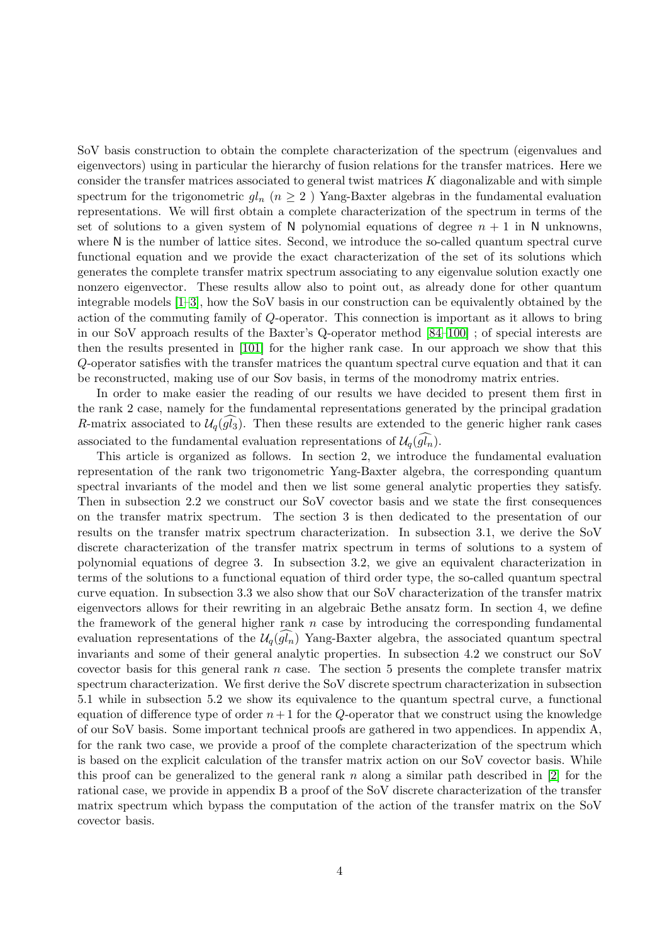SoV basis construction to obtain the complete characterization of the spectrum (eigenvalues and eigenvectors) using in particular the hierarchy of fusion relations for the transfer matrices. Here we consider the transfer matrices associated to general twist matrices  $K$  diagonalizable and with simple spectrum for the trigonometric  $gl_n$  ( $n \geq 2$ ) Yang-Baxter algebras in the fundamental evaluation representations. We will first obtain a complete characterization of the spectrum in terms of the set of solutions to a given system of N polynomial equations of degree  $n + 1$  in N unknowns, where N is the number of lattice sites. Second, we introduce the so-called quantum spectral curve functional equation and we provide the exact characterization of the set of its solutions which generates the complete transfer matrix spectrum associating to any eigenvalue solution exactly one nonzero eigenvector. These results allow also to point out, as already done for other quantum integrable models [\[1](#page-32-0)[–3\]](#page-32-1), how the SoV basis in our construction can be equivalently obtained by the action of the commuting family of Q-operator. This connection is important as it allows to bring in our SoV approach results of the Baxter's Q-operator method [\[84](#page-37-1)[–100\]](#page-38-0) ; of special interests are then the results presented in [\[101\]](#page-38-1) for the higher rank case. In our approach we show that this Q-operator satisfies with the transfer matrices the quantum spectral curve equation and that it can be reconstructed, making use of our Sov basis, in terms of the monodromy matrix entries.

In order to make easier the reading of our results we have decided to present them first in the rank 2 case, namely for the fundamental representations generated by the principal gradation R-matrix associated to  $\mathcal{U}_q(g_3)$ . Then these results are extended to the generic higher rank cases associated to the fundamental evaluation representations of  $\mathcal{U}_q(\widehat{gl_n})$ .

This article is organized as follows. In section 2, we introduce the fundamental evaluation representation of the rank two trigonometric Yang-Baxter algebra, the corresponding quantum spectral invariants of the model and then we list some general analytic properties they satisfy. Then in subsection 2.2 we construct our SoV covector basis and we state the first consequences on the transfer matrix spectrum. The section 3 is then dedicated to the presentation of our results on the transfer matrix spectrum characterization. In subsection 3.1, we derive the SoV discrete characterization of the transfer matrix spectrum in terms of solutions to a system of polynomial equations of degree 3. In subsection 3.2, we give an equivalent characterization in terms of the solutions to a functional equation of third order type, the so-called quantum spectral curve equation. In subsection 3.3 we also show that our SoV characterization of the transfer matrix eigenvectors allows for their rewriting in an algebraic Bethe ansatz form. In section 4, we define the framework of the general higher rank  $n$  case by introducing the corresponding fundamental evaluation representations of the  $\mathcal{U}_q(gl_n)$  Yang-Baxter algebra, the associated quantum spectral invariants and some of their general analytic properties. In subsection 4.2 we construct our SoV covector basis for this general rank  $n$  case. The section 5 presents the complete transfer matrix spectrum characterization. We first derive the SoV discrete spectrum characterization in subsection 5.1 while in subsection 5.2 we show its equivalence to the quantum spectral curve, a functional equation of difference type of order  $n+1$  for the Q-operator that we construct using the knowledge of our SoV basis. Some important technical proofs are gathered in two appendices. In appendix A, for the rank two case, we provide a proof of the complete characterization of the spectrum which is based on the explicit calculation of the transfer matrix action on our SoV covector basis. While this proof can be generalized to the general rank n along a similar path described in  $[2]$  for the rational case, we provide in appendix B a proof of the SoV discrete characterization of the transfer matrix spectrum which bypass the computation of the action of the transfer matrix on the SoV covector basis.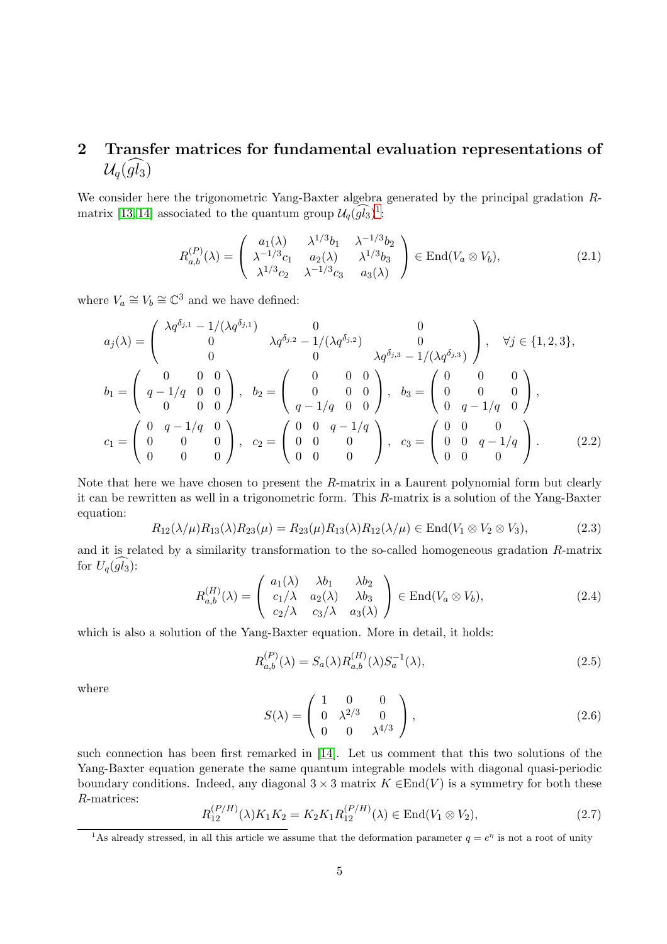### <span id="page-4-0"></span>2 Transfer matrices for fundamental evaluation representations of  $\mathcal{U}_q(\widehat{gl_3})$

We consider here the trigonometric Yang-Baxter algebra generated by the principal gradation R-matrix [\[13,](#page-32-4) [14\]](#page-32-5) associated to the quantum group  $\mathcal{U}_q(\overline{gl_3})^1$  $\mathcal{U}_q(\overline{gl_3})^1$ :

$$
R_{a,b}^{(P)}(\lambda) = \begin{pmatrix} a_1(\lambda) & \lambda^{1/3}b_1 & \lambda^{-1/3}b_2 \\ \lambda^{-1/3}c_1 & a_2(\lambda) & \lambda^{1/3}b_3 \\ \lambda^{1/3}c_2 & \lambda^{-1/3}c_3 & a_3(\lambda) \end{pmatrix} \in \text{End}(V_a \otimes V_b),
$$
 (2.1)

where  $V_a \cong V_b \cong \mathbb{C}^3$  and we have defined:

$$
a_j(\lambda) = \begin{pmatrix} \lambda q^{\delta_{j,1}} - 1/(\lambda q^{\delta_{j,1}}) & 0 & 0 \\ 0 & \lambda q^{\delta_{j,2}} - 1/(\lambda q^{\delta_{j,2}}) & 0 \\ 0 & 0 & \lambda q^{\delta_{j,3}} - 1/(\lambda q^{\delta_{j,3}}) \end{pmatrix}, \quad \forall j \in \{1, 2, 3\},
$$
  
\n
$$
b_1 = \begin{pmatrix} 0 & 0 & 0 \\ q - 1/q & 0 & 0 \\ 0 & 0 & 0 \end{pmatrix}, \quad b_2 = \begin{pmatrix} 0 & 0 & 0 \\ 0 & 0 & 0 \\ q - 1/q & 0 & 0 \end{pmatrix}, \quad b_3 = \begin{pmatrix} 0 & 0 & 0 \\ 0 & 0 & 0 \\ 0 & q - 1/q & 0 \end{pmatrix},
$$
  
\n
$$
c_1 = \begin{pmatrix} 0 & q - 1/q & 0 \\ 0 & 0 & 0 \\ 0 & 0 & 0 \end{pmatrix}, \quad c_2 = \begin{pmatrix} 0 & 0 & q - 1/q \\ 0 & 0 & 0 \\ 0 & 0 & 0 \end{pmatrix}, \quad c_3 = \begin{pmatrix} 0 & 0 & 0 \\ 0 & 0 & q - 1/q \\ 0 & 0 & 0 \end{pmatrix}.
$$
 (2.2)

Note that here we have chosen to present the R-matrix in a Laurent polynomial form but clearly it can be rewritten as well in a trigonometric form. This R-matrix is a solution of the Yang-Baxter equation:

$$
R_{12}(\lambda/\mu)R_{13}(\lambda)R_{23}(\mu) = R_{23}(\mu)R_{13}(\lambda)R_{12}(\lambda/\mu) \in \text{End}(V_1 \otimes V_2 \otimes V_3),\tag{2.3}
$$

and it is related by a similarity transformation to the so-called homogeneous gradation R-matrix for  $U_q(gl_3)$ :

$$
R_{a,b}^{(H)}(\lambda) = \begin{pmatrix} a_1(\lambda) & \lambda b_1 & \lambda b_2 \\ c_1/\lambda & a_2(\lambda) & \lambda b_3 \\ c_2/\lambda & c_3/\lambda & a_3(\lambda) \end{pmatrix} \in \text{End}(V_a \otimes V_b), \tag{2.4}
$$

which is also a solution of the Yang-Baxter equation. More in detail, it holds:

$$
R_{a,b}^{(P)}(\lambda) = S_a(\lambda) R_{a,b}^{(H)}(\lambda) S_a^{-1}(\lambda),
$$
\n(2.5)

where

$$
S(\lambda) = \begin{pmatrix} 1 & 0 & 0 \\ 0 & \lambda^{2/3} & 0 \\ 0 & 0 & \lambda^{4/3} \end{pmatrix},
$$
 (2.6)

such connection has been first remarked in [\[14\]](#page-32-5). Let us comment that this two solutions of the Yang-Baxter equation generate the same quantum integrable models with diagonal quasi-periodic boundary conditions. Indeed, any diagonal  $3 \times 3$  matrix  $K \in End(V)$  is a symmetry for both these R-matrices:

$$
R_{12}^{(P/H)}(\lambda)K_1K_2 = K_2K_1R_{12}^{(P/H)}(\lambda) \in \text{End}(V_1 \otimes V_2),\tag{2.7}
$$

<span id="page-4-1"></span><sup>&</sup>lt;sup>1</sup>As already stressed, in all this article we assume that the deformation parameter  $q = e^{\eta}$  is not a root of unity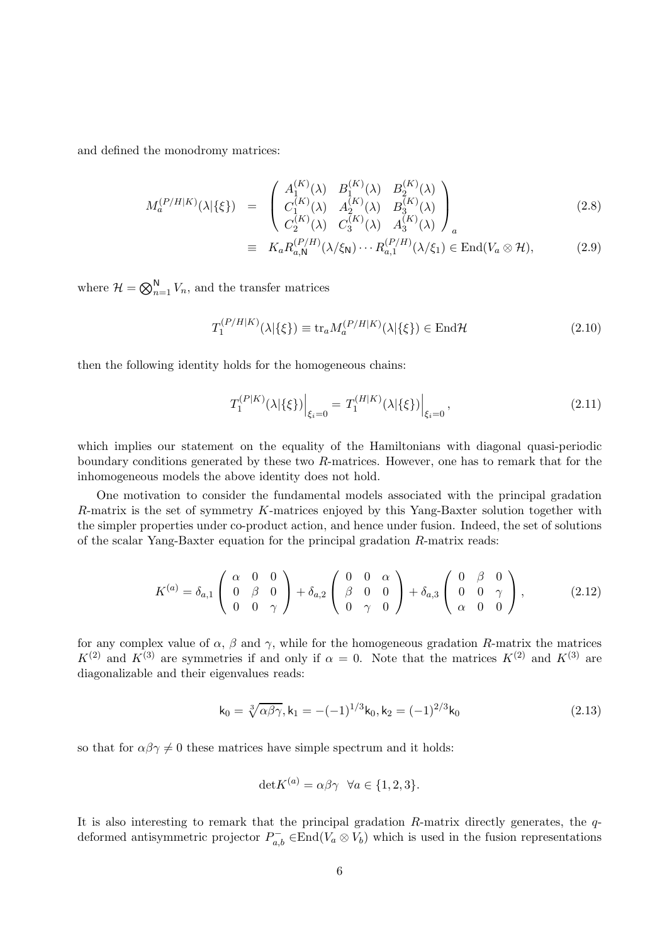and defined the monodromy matrices:

$$
M_a^{(P/H|K)}(\lambda|\{\xi\}) = \begin{pmatrix} A_1^{(K)}(\lambda) & B_1^{(K)}(\lambda) & B_2^{(K)}(\lambda) \\ C_1^{(K)}(\lambda) & A_2^{(K)}(\lambda) & B_3^{(K)}(\lambda) \\ C_2^{(K)}(\lambda) & C_3^{(K)}(\lambda) & A_3^{(K)}(\lambda) \end{pmatrix}_a
$$
(2.8)

$$
\equiv K_a R_{a,N}^{(P/H)}(\lambda/\xi_N) \cdots R_{a,1}^{(P/H)}(\lambda/\xi_1) \in \text{End}(V_a \otimes \mathcal{H}), \tag{2.9}
$$

where  $\mathcal{H} = \bigotimes_{n=1}^{N} V_n$ , and the transfer matrices

$$
T_1^{(P/H|K)}(\lambda|\{\xi\}) \equiv \text{tr}_a M_a^{(P/H|K)}(\lambda|\{\xi\}) \in \text{End}\mathcal{H}
$$
\n(2.10)

then the following identity holds for the homogeneous chains:

$$
T_1^{(P|K)}(\lambda|\{\xi\})\Big|_{\xi_i=0} = T_1^{(H|K)}(\lambda|\{\xi\})\Big|_{\xi_i=0},\tag{2.11}
$$

which implies our statement on the equality of the Hamiltonians with diagonal quasi-periodic boundary conditions generated by these two R-matrices. However, one has to remark that for the inhomogeneous models the above identity does not hold.

One motivation to consider the fundamental models associated with the principal gradation R-matrix is the set of symmetry K-matrices enjoyed by this Yang-Baxter solution together with the simpler properties under co-product action, and hence under fusion. Indeed, the set of solutions of the scalar Yang-Baxter equation for the principal gradation R-matrix reads:

$$
K^{(a)} = \delta_{a,1} \begin{pmatrix} \alpha & 0 & 0 \\ 0 & \beta & 0 \\ 0 & 0 & \gamma \end{pmatrix} + \delta_{a,2} \begin{pmatrix} 0 & 0 & \alpha \\ \beta & 0 & 0 \\ 0 & \gamma & 0 \end{pmatrix} + \delta_{a,3} \begin{pmatrix} 0 & \beta & 0 \\ 0 & 0 & \gamma \\ \alpha & 0 & 0 \end{pmatrix}, \tag{2.12}
$$

for any complex value of  $\alpha$ ,  $\beta$  and  $\gamma$ , while for the homogeneous gradation R-matrix the matrices  $K^{(2)}$  and  $K^{(3)}$  are symmetries if and only if  $\alpha = 0$ . Note that the matrices  $K^{(2)}$  and  $K^{(3)}$  are diagonalizable and their eigenvalues reads:

$$
\mathbf{k}_0 = \sqrt[3]{\alpha \beta \gamma}, \mathbf{k}_1 = -(-1)^{1/3} \mathbf{k}_0, \mathbf{k}_2 = (-1)^{2/3} \mathbf{k}_0 \tag{2.13}
$$

so that for  $\alpha\beta\gamma \neq 0$  these matrices have simple spectrum and it holds:

$$
\det K^{(a)} = \alpha \beta \gamma \quad \forall a \in \{1, 2, 3\}.
$$

It is also interesting to remark that the principal gradation  $R$ -matrix directly generates, the  $q$ deformed antisymmetric projector  $P_{a,b}^- \in \text{End}(V_a \otimes V_b)$  which is used in the fusion representations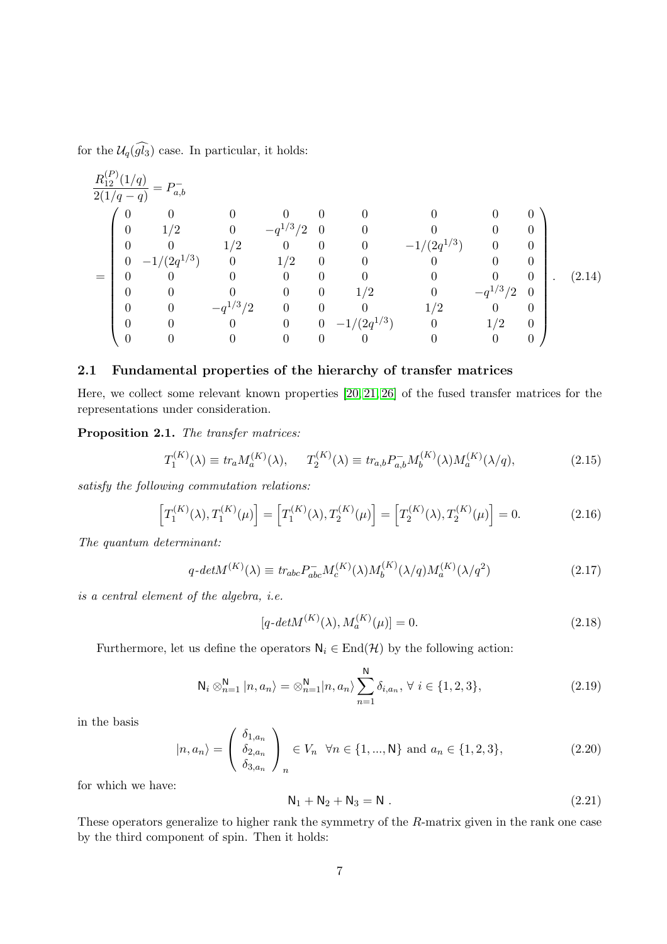for the  $\mathcal{U}_q(\widehat{gl_3})$  case. In particular, it holds:

$$
\frac{R_{12}^{(P)}(1/q)}{2(1/q-q)} = P_{a,b}^{-}
$$
\n
$$
\begin{pmatrix}\n0 & 0 & 0 & 0 & 0 & 0 & 0 & 0 & 0 \\
0 & 1/2 & 0 & -q^{1/3}/2 & 0 & 0 & 0 & 0 & 0 \\
0 & 0 & 1/2 & 0 & 0 & 0 & -1/(2q^{1/3}) & 0 & 0 \\
0 & -1/(2q^{1/3}) & 0 & 1/2 & 0 & 0 & 0 & 0 & 0 \\
0 & 0 & 0 & 0 & 0 & 0 & 0 & 0 & 0 & 0 \\
0 & 0 & 0 & 0 & 0 & 1/2 & 0 & -q^{1/3}/2 & 0 \\
0 & 0 & -q^{1/3}/2 & 0 & 0 & 0 & 1/2 & 0 & -q^{1/3}/2 & 0 \\
0 & 0 & 0 & 0 & 0 & -1/(2q^{1/3}) & 0 & 1/2 & 0 \\
0 & 0 & 0 & 0 & 0 & 0 & 0 & 0 & 0\n\end{pmatrix}.
$$
\n(2.14)

#### <span id="page-6-0"></span>2.1 Fundamental properties of the hierarchy of transfer matrices

Here, we collect some relevant known properties [\[20,](#page-33-1) [21,](#page-33-2) [26\]](#page-33-4) of the fused transfer matrices for the representations under consideration.

Proposition 2.1. The transfer matrices:

$$
T_1^{(K)}(\lambda) \equiv tr_a M_a^{(K)}(\lambda), \qquad T_2^{(K)}(\lambda) \equiv tr_{a,b} P_{a,b}^{-} M_b^{(K)}(\lambda) M_a^{(K)}(\lambda/q), \tag{2.15}
$$

satisfy the following commutation relations:

$$
\[T_1^{(K)}(\lambda), T_1^{(K)}(\mu)\] = \left[T_1^{(K)}(\lambda), T_2^{(K)}(\mu)\right] = \left[T_2^{(K)}(\lambda), T_2^{(K)}(\mu)\right] = 0.\tag{2.16}
$$

The quantum determinant:

$$
q\text{-}det M^{(K)}(\lambda) \equiv \text{tr}_{abc} P_{abc}^{-} M_c^{(K)}(\lambda) M_b^{(K)}(\lambda/q) M_a^{(K)}(\lambda/q^2)
$$
\n
$$
(2.17)
$$

is a central element of the algebra, i.e.

$$
[q\text{-}det M^{(K)}(\lambda), M_a^{(K)}(\mu)] = 0.
$$
\n(2.18)

Furthermore, let us define the operators  $N_i \in End(\mathcal{H})$  by the following action:

$$
N_i \otimes_{n=1}^{N} |n, a_n\rangle = \otimes_{n=1}^{N} |n, a_n\rangle \sum_{n=1}^{N} \delta_{i, a_n}, \forall i \in \{1, 2, 3\},
$$
\n(2.19)

in the basis

$$
|n, a_n\rangle = \begin{pmatrix} \delta_{1, a_n} \\ \delta_{2, a_n} \\ \delta_{3, a_n} \end{pmatrix}_n \in V_n \quad \forall n \in \{1, ..., N\} \text{ and } a_n \in \{1, 2, 3\},
$$
 (2.20)

for which we have:

$$
N_1 + N_2 + N_3 = N . \t\t(2.21)
$$

These operators generalize to higher rank the symmetry of the R-matrix given in the rank one case by the third component of spin. Then it holds: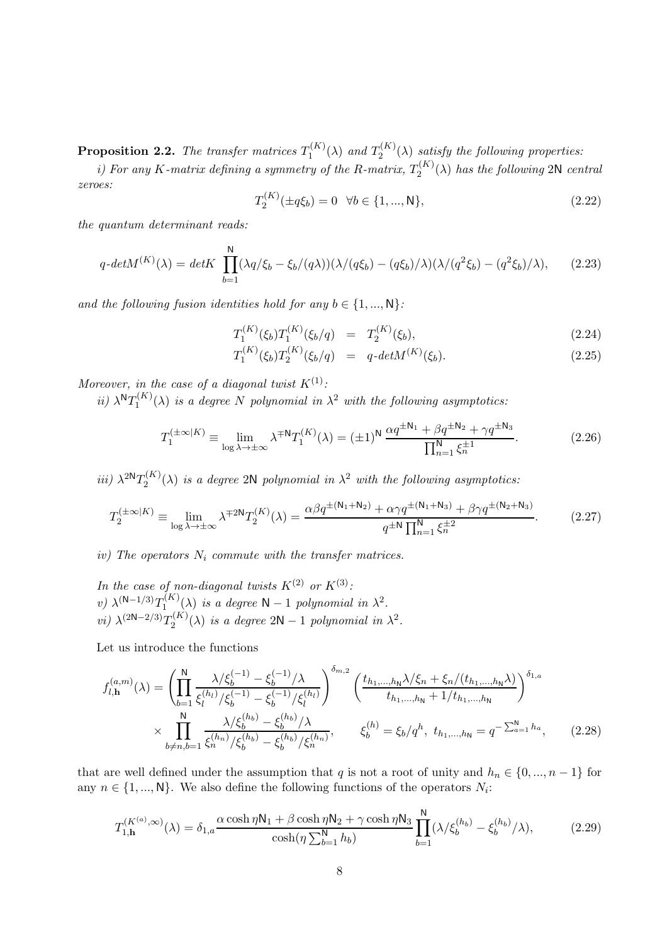**Proposition 2.2.** The transfer matrices  $T_1^{(K)}$  $T_1^{(K)}(\lambda)$  and  $T_2^{(K)}$  $2^{(N)}(\lambda)$  satisfy the following properties:

i) For any K-matrix defining a symmetry of the R-matrix,  $T_2^{(K)}$  $\chi_2^{(K)}(\lambda)$  has the following 2N central zeroes:

$$
T_2^{(K)}(\pm q\xi_b) = 0 \quad \forall b \in \{1, ..., N\},\tag{2.22}
$$

the quantum determinant reads:

$$
q\text{-}det M^{(K)}(\lambda) = det K \prod_{b=1}^{N} (\lambda q/\xi_b - \xi_b/(q\lambda))(\lambda/(q\xi_b) - (q\xi_b)/\lambda)(\lambda/(q^2\xi_b) - (q^2\xi_b)/\lambda), \qquad (2.23)
$$

and the following fusion identities hold for any  $b \in \{1, ..., N\}$ :

$$
T_1^{(K)}(\xi_b)T_1^{(K)}(\xi_b/q) = T_2^{(K)}(\xi_b),
$$
\n(2.24)

$$
T_1^{(K)}(\xi_b)T_2^{(K)}(\xi_b/q) = q \cdot det M^{(K)}(\xi_b). \tag{2.25}
$$

Moreover, in the case of a diagonal twist  $K^{(1)}$ :

 $ii)$   $\lambda^{N}T_{1}^{(K)}$  $I_1^{(K)}(\lambda)$  is a degree N polynomial in  $\lambda^2$  with the following asymptotics:

$$
T_1^{(\pm\infty|K)} \equiv \lim_{\log\lambda \to \pm\infty} \lambda^{\mp N} T_1^{(K)}(\lambda) = (\pm 1)^N \frac{\alpha q^{\pm N_1} + \beta q^{\pm N_2} + \gamma q^{\pm N_3}}{\prod_{n=1}^N \xi_n^{\pm 1}}.
$$
 (2.26)

iii)  $\lambda^{2N}T_2^{(K)}$  $\mathcal{L}_2^{(K)}(\lambda)$  is a degree 2N polynomial in  $\lambda^2$  with the following asymptotics:

$$
T_2^{(\pm \infty | K)} \equiv \lim_{\log \lambda \to \pm \infty} \lambda^{\mp 2\mathsf{N}} T_2^{(K)}(\lambda) = \frac{\alpha \beta q^{\pm(\mathsf{N}_1 + \mathsf{N}_2)} + \alpha \gamma q^{\pm(\mathsf{N}_1 + \mathsf{N}_3)} + \beta \gamma q^{\pm(\mathsf{N}_2 + \mathsf{N}_3)}}{q^{\pm \mathsf{N}} \prod_{n=1}^{\mathsf{N}} \xi_n^{\pm 2}}.
$$
 (2.27)

iv) The operators  $N_i$  commute with the transfer matrices.

In the case of non-diagonal twists  $K^{(2)}$  or  $K^{(3)}$ : v)  $\lambda^{(N-1/3)}T_1^{(K)}$  $\int_1^{(K)} (\lambda)$  is a degree  $\mathsf{N} - 1$  polynomial in  $\lambda^2$ . *vi*)  $\lambda^{(2N-2/3)}T_2^{(K)}$  $\chi_2^{(K)}(\lambda)$  is a degree 2N – 1 polynomial in  $\lambda^2$ .

Let us introduce the functions

$$
f_{l,\mathbf{h}}^{(a,m)}(\lambda) = \left(\prod_{b=1}^{N} \frac{\lambda/\xi_b^{(-1)} - \xi_b^{(-1)}/\lambda}{\xi_l^{(h_l)}/\xi_b^{(-1)} - \xi_b^{(-1)}/\xi_l^{(h_l)}}\right)^{\delta_{m,2}} \left(\frac{t_{h_1,\dots,h_N}\lambda/\xi_n + \xi_n/(t_{h_1,\dots,h_N}\lambda)}{t_{h_1,\dots,h_N} + 1/t_{h_1,\dots,h_N}}\right)^{\delta_{1,a}}
$$

$$
\times \prod_{b \neq n,b=1}^{N} \frac{\lambda/\xi_b^{(h_b)} - \xi_b^{(h_b)}/\lambda}{\xi_b^{(h_b)} - \xi_b^{(h_b)}/\xi_n^{(h_n)}}, \qquad \xi_b^{(h)} = \xi_b/q^h, \ t_{h_1,\dots,h_N} = q^{-\sum_{a=1}^{N}h_a}, \tag{2.28}
$$

that are well defined under the assumption that q is not a root of unity and  $h_n \in \{0, ..., n-1\}$  for any  $n \in \{1, ..., N\}$ . We also define the following functions of the operators  $N_i$ :

$$
T_{1,\mathbf{h}}^{(K^{(a)},\infty)}(\lambda) = \delta_{1,a} \frac{\alpha \cosh \eta \mathsf{N}_1 + \beta \cosh \eta \mathsf{N}_2 + \gamma \cosh \eta \mathsf{N}_3}{\cosh(\eta \sum_{b=1}^N h_b)} \prod_{b=1}^N (\lambda/\xi_b^{(h_b)} - \xi_b^{(h_b)}/\lambda),\tag{2.29}
$$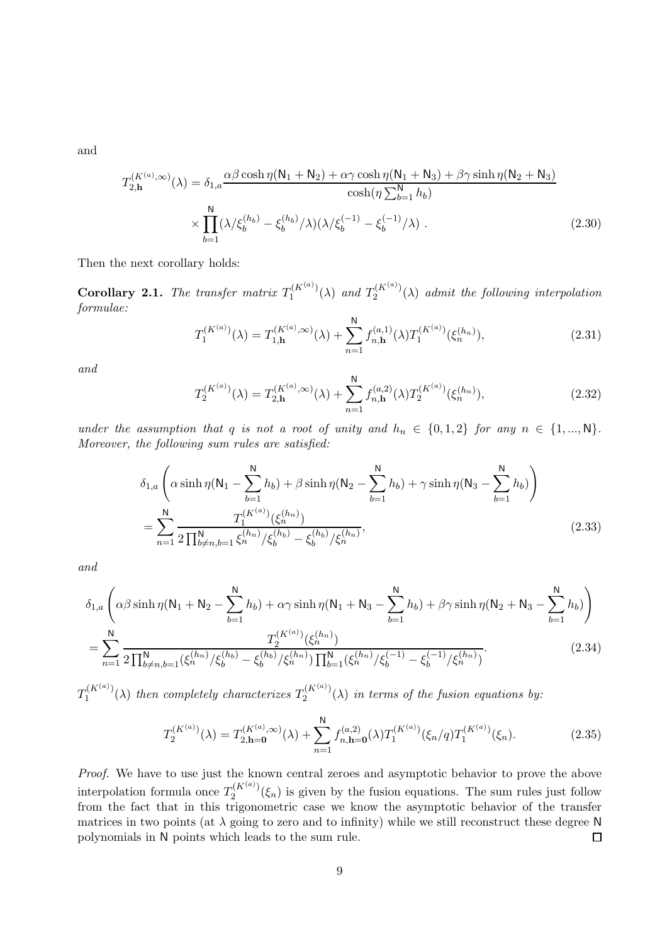and

$$
T_{2,\mathbf{h}}^{(K^{(a)},\infty)}(\lambda) = \delta_{1,a} \frac{\alpha \beta \cosh \eta (N_1 + N_2) + \alpha \gamma \cosh \eta (N_1 + N_3) + \beta \gamma \sinh \eta (N_2 + N_3)}{\cosh(\eta \sum_{b=1}^{N} h_b)} \times \prod_{b=1}^{N} (\lambda/\xi_b^{(h_b)} - \xi_b^{(h_b)}/\lambda)(\lambda/\xi_b^{(-1)} - \xi_b^{(-1)}/\lambda).
$$
\n(2.30)

Then the next corollary holds:

<span id="page-8-0"></span>**Corollary 2.1.** The transfer matrix  $T_1^{(K^{(a)})}$  $T_1^{(K^{(a)})}(\lambda)$  and  $T_2^{(K^{(a)})}$  $2^{(N^{(N)})}(\lambda)$  admit the following interpolation formulae:

$$
T_1^{(K^{(a)})}(\lambda) = T_{1,\mathbf{h}}^{(K^{(a)},\infty)}(\lambda) + \sum_{n=1}^{\mathbf{N}} f_{n,\mathbf{h}}^{(a,1)}(\lambda) T_1^{(K^{(a)})}(\xi_n^{(h_n)}),
$$
\n(2.31)

and

$$
T_2^{(K^{(a)})}(\lambda) = T_{2,\mathbf{h}}^{(K^{(a)},\infty)}(\lambda) + \sum_{n=1}^{\mathbf{N}} f_{n,\mathbf{h}}^{(a,2)}(\lambda) T_2^{(K^{(a)})}(\xi_n^{(h_n)}),
$$
\n(2.32)

under the assumption that q is not a root of unity and  $h_n \in \{0, 1, 2\}$  for any  $n \in \{1, ..., N\}$ . Moreover, the following sum rules are satisfied:

$$
\delta_{1,a} \left( \alpha \sinh \eta (N_1 - \sum_{b=1}^{N} h_b) + \beta \sinh \eta (N_2 - \sum_{b=1}^{N} h_b) + \gamma \sinh \eta (N_3 - \sum_{b=1}^{N} h_b) \right)
$$
  
= 
$$
\sum_{n=1}^{N} \frac{T_1^{(K^{(a)})} (\xi_n^{(h_n)})}{2 \prod_{b \neq n, b=1}^{N} \xi_n^{(h_n)}/\xi_b^{(h_b)} - \xi_b^{(h_b)}/\xi_n^{(h_n)}},
$$
(2.33)

and

$$
\delta_{1,a} \left( \alpha \beta \sinh \eta (N_1 + N_2 - \sum_{b=1}^N h_b) + \alpha \gamma \sinh \eta (N_1 + N_3 - \sum_{b=1}^N h_b) + \beta \gamma \sinh \eta (N_2 + N_3 - \sum_{b=1}^N h_b) \right)
$$
  
= 
$$
\sum_{n=1}^N \frac{T_2^{(K^{(a)})}(\xi_n^{(h_n)})}{2 \prod_{b \neq n, b=1}^N (\xi_b^{(h_n)}/\xi_b^{(h_b)} - \xi_b^{(h_b)}/\xi_n^{(h_n)}) \prod_{b=1}^N (\xi_n^{(h_n)}/\xi_b^{(-1)} - \xi_b^{(-1)}/\xi_n^{(h_n)})}.
$$
(2.34)

 $T_1^{(K^{(a)})}$  $T_1^{(K^{(a)})}(\lambda)$  then completely characterizes  $T_2^{(K^{(a)})}$  $2^{(N^{(N)})}(\lambda)$  in terms of the fusion equations by:

$$
T_2^{(K^{(a)})}(\lambda) = T_{2,\mathbf{h}=\mathbf{0}}^{(K^{(a)},\infty)}(\lambda) + \sum_{n=1}^{\mathbf{N}} f_{n,\mathbf{h}=\mathbf{0}}^{(a,2)}(\lambda) T_1^{(K^{(a)})}(\xi_n/q) T_1^{(K^{(a)})}(\xi_n).
$$
 (2.35)

Proof. We have to use just the known central zeroes and asymptotic behavior to prove the above interpolation formula once  $T_2^{(K^{(a)})}$  $2^{(N^{(1)})'}(\xi_n)$  is given by the fusion equations. The sum rules just follow from the fact that in this trigonometric case we know the asymptotic behavior of the transfer matrices in two points (at  $\lambda$  going to zero and to infinity) while we still reconstruct these degree N polynomials in N points which leads to the sum rule.  $\Box$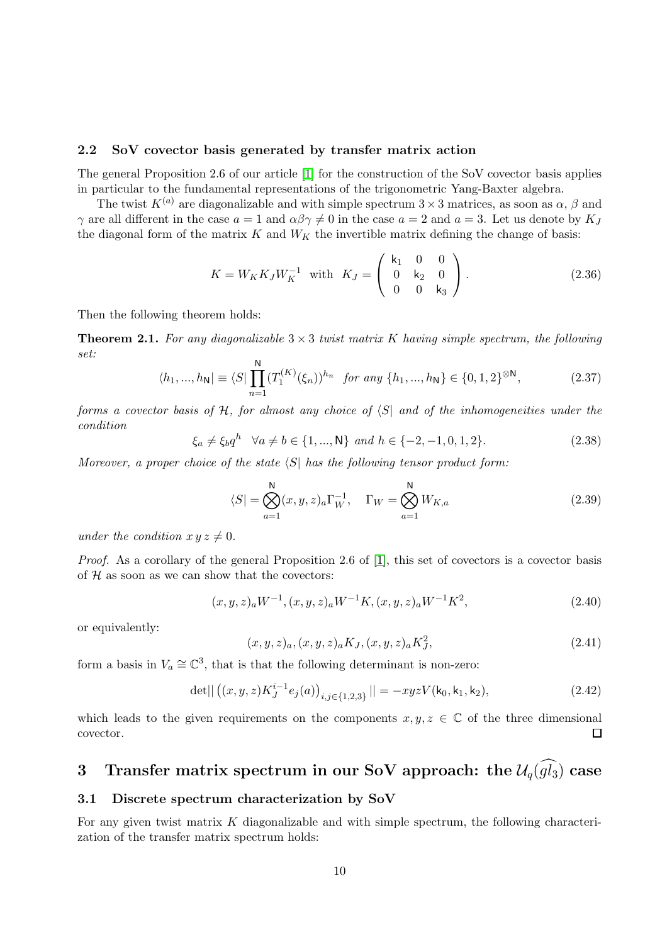#### <span id="page-9-0"></span>2.2 SoV covector basis generated by transfer matrix action

The general Proposition 2.6 of our article [\[1\]](#page-32-0) for the construction of the SoV covector basis applies in particular to the fundamental representations of the trigonometric Yang-Baxter algebra.

The twist  $K^{(a)}$  are diagonalizable and with simple spectrum  $3 \times 3$  matrices, as soon as  $\alpha$ ,  $\beta$  and γ are all different in the case  $a = 1$  and  $\alpha\beta\gamma \neq 0$  in the case  $a = 2$  and  $a = 3$ . Let us denote by  $K_J$ the diagonal form of the matrix  $K$  and  $W_K$  the invertible matrix defining the change of basis:

$$
K = W_K K_J W_K^{-1} \text{ with } K_J = \begin{pmatrix} k_1 & 0 & 0 \\ 0 & k_2 & 0 \\ 0 & 0 & k_3 \end{pmatrix}.
$$
 (2.36)

Then the following theorem holds:

**Theorem 2.1.** For any diagonalizable  $3 \times 3$  twist matrix K having simple spectrum, the following set:

$$
\langle h_1, ..., h_N \rvert \equiv \langle S \rvert \prod_{n=1}^N (T_1^{(K)}(\xi_n))^{h_n} \text{ for any } \{h_1, ..., h_N\} \in \{0, 1, 2\}^{\otimes N}, \tag{2.37}
$$

<span id="page-9-3"></span>forms a covector basis of  $H$ , for almost any choice of  $\langle S|$  and of the inhomogeneities under the condition

$$
\xi_a \neq \xi_b q^h \quad \forall a \neq b \in \{1, ..., N\} \text{ and } h \in \{-2, -1, 0, 1, 2\}. \tag{2.38}
$$

Moreover, a proper choice of the state  $\langle S|$  has the following tensor product form:

$$
\langle S| = \bigotimes_{a=1}^{N} (x, y, z)_{a} \Gamma_{W}^{-1}, \quad \Gamma_{W} = \bigotimes_{a=1}^{N} W_{K, a}
$$
 (2.39)

under the condition  $x y z \neq 0$ .

Proof. As a corollary of the general Proposition 2.6 of [\[1\]](#page-32-0), this set of covectors is a covector basis of  $H$  as soon as we can show that the covectors:

$$
(x, y, z)a W-1, (x, y, z)a W-1 K, (x, y, z)a W-1 K2,
$$
\n(2.40)

or equivalently:

$$
(x, y, z)a, (x, y, z)aKJ, (x, y, z)aKJ2, \t(2.41)
$$

form a basis in  $V_a \cong \mathbb{C}^3$ , that is that the following determinant is non-zero:

$$
\det||((x,y,z)K_J^{i-1}e_j(a))_{i,j\in\{1,2,3\}}|| = -xyzV(\mathsf{k}_0,\mathsf{k}_1,\mathsf{k}_2),\tag{2.42}
$$

which leads to the given requirements on the components  $x, y, z \in \mathbb{C}$  of the three dimensional covector. □

## <span id="page-9-1"></span>3 Transfer matrix spectrum in our SoV approach: the  $\mathcal{U}_q(\widehat{gl_3})$  case

#### <span id="page-9-2"></span>3.1 Discrete spectrum characterization by SoV

For any given twist matrix  $K$  diagonalizable and with simple spectrum, the following characterization of the transfer matrix spectrum holds: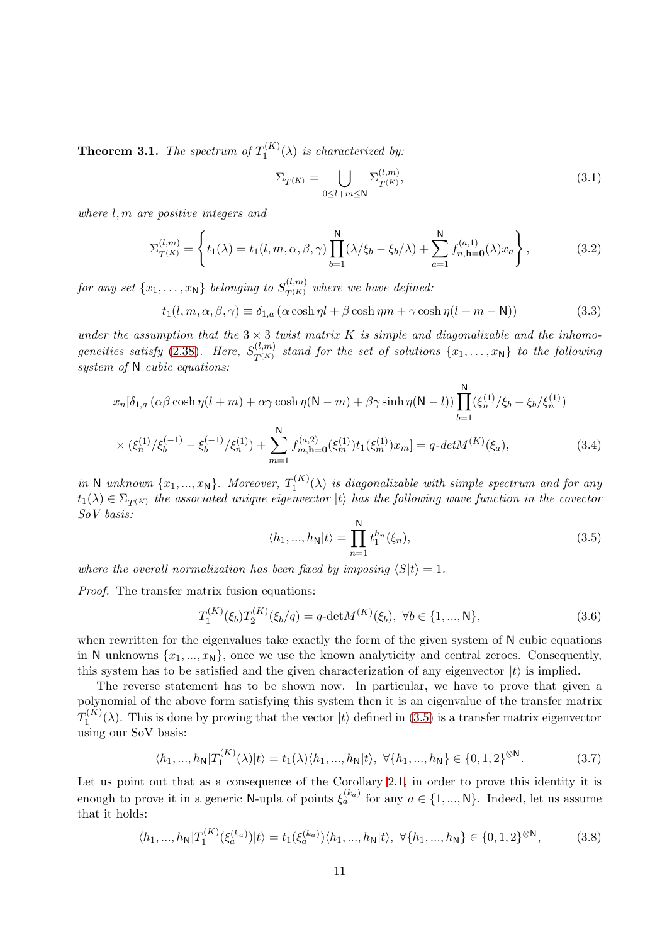<span id="page-10-2"></span>**Theorem 3.1.** The spectrum of  $T_1^{(K)}$  $\int_1^{(R)} (\lambda)$  is characterized by:

<span id="page-10-1"></span>
$$
\Sigma_{T^{(K)}} = \bigcup_{0 \leq l+m \leq \mathsf{N}} \Sigma_{T^{(K)}}^{(l,m)},\tag{3.1}
$$

where l, m are positive integers and

$$
\Sigma_{T^{(K)}}^{(l,m)} = \left\{ t_1(\lambda) = t_1(l, m, \alpha, \beta, \gamma) \prod_{b=1}^{N} (\lambda/\xi_b - \xi_b/\lambda) + \sum_{a=1}^{N} f_{n, h=0}^{(a,1)}(\lambda) x_a \right\},
$$
(3.2)

for any set  $\{x_1, \ldots, x_\mathsf{N}\}$  belonging to  $S_{T^{(K)}}^{(l,m)}$  where we have defined:

 $t_1(l, m, \alpha, \beta, \gamma) \equiv \delta_{1,a} (\alpha \cosh \eta l + \beta \cosh \eta m + \gamma \cosh \eta (l + m - N))$  (3.3)

under the assumption that the  $3 \times 3$  twist matrix K is simple and diagonalizable and the inhomogeneities satisfy  $(2.38)$  $(2.38)$ . Here,  $S_{T(K)}^{(l,m)}$  $T^{(k,m)}_{T^{(K)}}$  stand for the set of solutions  $\{x_1,\ldots,x_{\mathsf{N}}\}$  to the following system of N cubic equations:

$$
x_n[\delta_{1,a}(\alpha\beta\cosh\eta(l+m) + \alpha\gamma\cosh\eta(N-m) + \beta\gamma\sinh\eta(N-l))\prod_{b=1}^N(\xi_n^{(1)}/\xi_b - \xi_b/\xi_n^{(1)})
$$
  
 
$$
\times (\xi_n^{(1)}/\xi_b^{(-1)} - \xi_b^{(-1)}/\xi_n^{(1)}) + \sum_{m=1}^N f_{m,\mathbf{h}=0}^{(a,2)}(\xi_m^{(1)})t_1(\xi_m^{(1)})x_m] = q \cdot det M^{(K)}(\xi_a), \qquad (3.4)
$$

<span id="page-10-0"></span>in N unknown  $\{x_1, ..., x_N\}$ . Moreover,  $T_1^{(K)}$  $I_1^{(N)}(\lambda)$  is diagonalizable with simple spectrum and for any  $t_1(\lambda) \in \Sigma_{T(K)}$  the associated unique eigenvector  $|t\rangle$  has the following wave function in the covector SoV basis:

<span id="page-10-3"></span>
$$
\langle h_1, ..., h_N | t \rangle = \prod_{n=1}^{N} t_1^{h_n}(\xi_n), \tag{3.5}
$$

where the overall normalization has been fixed by imposing  $\langle S|t \rangle = 1$ .

Proof. The transfer matrix fusion equations:

$$
T_1^{(K)}(\xi_b)T_2^{(K)}(\xi_b/q) = q \cdot \det M^{(K)}(\xi_b), \ \forall b \in \{1, ..., N\},\tag{3.6}
$$

when rewritten for the eigenvalues take exactly the form of the given system of N cubic equations in N unknowns  $\{x_1, ..., x_N\}$ , once we use the known analyticity and central zeroes. Consequently, this system has to be satisfied and the given characterization of any eigenvector  $|t\rangle$  is implied.

The reverse statement has to be shown now. In particular, we have to prove that given a polynomial of the above form satisfying this system then it is an eigenvalue of the transfer matrix  $T_1^{(K)}$  $\binom{n}{1}(\lambda)$ . This is done by proving that the vector  $|t\rangle$  defined in (3.[5\)](#page-10-0) is a transfer matrix eigenvector using our SoV basis:

$$
\langle h_1, ..., h_N | T_1^{(K)}(\lambda) | t \rangle = t_1(\lambda) \langle h_1, ..., h_N | t \rangle, \ \forall \{h_1, ..., h_N\} \in \{0, 1, 2\}^{\otimes N}.
$$
 (3.7)

Let us point out that as a consequence of the Corollary [2.1,](#page-8-0) in order to prove this identity it is enough to prove it in a generic N-upla of points  $\xi_a^{(k_a)}$  for any  $a \in \{1, ..., N\}$ . Indeed, let us assume that it holds:

$$
\langle h_1, ..., h_N | T_1^{(K)}(\xi_a^{(k_a)}) | t \rangle = t_1(\xi_a^{(k_a)}) \langle h_1, ..., h_N | t \rangle, \ \forall \{h_1, ..., h_N\} \in \{0, 1, 2\}^{\otimes N},\tag{3.8}
$$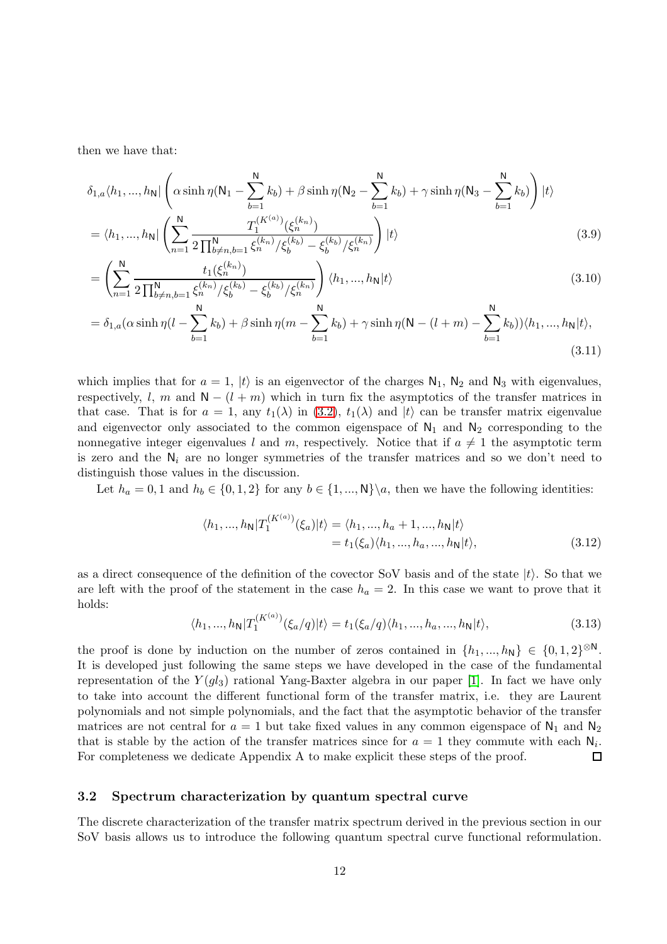then we have that:

$$
\delta_{1,a}\langle h_1,...,h_N| \left( \alpha \sinh \eta (N_1 - \sum_{b=1}^N k_b) + \beta \sinh \eta (N_2 - \sum_{b=1}^N k_b) + \gamma \sinh \eta (N_3 - \sum_{b=1}^N k_b) \right) |t\rangle
$$
  
=  $\langle h_1,...,h_N| \left( \sum_{n=1}^N \frac{T_1^{(K^{(a)})} (\xi_n^{(k_n)})}{2 \prod_{b \neq n,b=1}^N \xi_n^{(k_n)}/\xi_b^{(k_b)} - \xi_b^{(k_b)}/\xi_n^{(k_n)}} \right) |t\rangle$  (3.9)

$$
= \left(\sum_{n=1}^{N} \frac{t_1(\xi_n^{(k_n)})}{2\prod_{b \neq n,b=1}^{N} \xi_n^{(k_n)}/\xi_b^{(k_b)} - \xi_b^{(k_b)}/\xi_n^{(k_n)}}\right) \langle h_1, ..., h_N | t \rangle \tag{3.10}
$$

$$
= \delta_{1,a}(\alpha \sinh \eta (l - \sum_{b=1}^{N} k_b) + \beta \sinh \eta (m - \sum_{b=1}^{N} k_b) + \gamma \sinh \eta (N - (l + m) - \sum_{b=1}^{N} k_b)) \langle h_1, ..., h_N | t \rangle, \tag{3.11}
$$

which implies that for  $a = 1$ ,  $|t\rangle$  is an eigenvector of the charges  $N_1$ ,  $N_2$  and  $N_3$  with eigenvalues, respectively, l, m and  $N - (l + m)$  which in turn fix the asymptotics of the transfer matrices in that case. That is for  $a = 1$ , any  $t_1(\lambda)$  in [\(3](#page-10-1).2),  $t_1(\lambda)$  and  $|t\rangle$  can be transfer matrix eigenvalue and eigenvector only associated to the common eigenspace of  $N_1$  and  $N_2$  corresponding to the nonnegative integer eigenvalues l and m, respectively. Notice that if  $a \neq 1$  the asymptotic term is zero and the  $N_i$  are no longer symmetries of the transfer matrices and so we don't need to distinguish those values in the discussion.

Let  $h_a = 0, 1$  and  $h_b \in \{0, 1, 2\}$  for any  $b \in \{1, ..., N\} \setminus a$ , then we have the following identities:

<span id="page-11-2"></span>
$$
\langle h_1, ..., h_N | T_1^{(K^{(a)})}(\xi_a) | t \rangle = \langle h_1, ..., h_a + 1, ..., h_N | t \rangle
$$
  
=  $t_1(\xi_a) \langle h_1, ..., h_a, ..., h_N | t \rangle$ , (3.12)

<span id="page-11-1"></span>as a direct consequence of the definition of the covector SoV basis and of the state  $|t\rangle$ . So that we are left with the proof of the statement in the case  $h_a = 2$ . In this case we want to prove that it holds:

$$
\langle h_1, \ldots, h_N | T_1^{(K^{(a)})} (\xi_a/q) | t \rangle = t_1(\xi_a/q) \langle h_1, \ldots, h_a, \ldots, h_N | t \rangle,
$$
\n(3.13)

the proof is done by induction on the number of zeros contained in  $\{h_1, ..., h_N\} \in \{0, 1, 2\}^{\otimes N}$ . It is developed just following the same steps we have developed in the case of the fundamental representation of the  $Y(gl_3)$  rational Yang-Baxter algebra in our paper [\[1\]](#page-32-0). In fact we have only to take into account the different functional form of the transfer matrix, i.e. they are Laurent polynomials and not simple polynomials, and the fact that the asymptotic behavior of the transfer matrices are not central for  $a = 1$  but take fixed values in any common eigenspace of  $N_1$  and  $N_2$ that is stable by the action of the transfer matrices since for  $a = 1$  they commute with each  $N_i$ . For completeness we dedicate Appendix A to make explicit these steps of the proof. 口

#### <span id="page-11-0"></span>3.2 Spectrum characterization by quantum spectral curve

The discrete characterization of the transfer matrix spectrum derived in the previous section in our SoV basis allows us to introduce the following quantum spectral curve functional reformulation.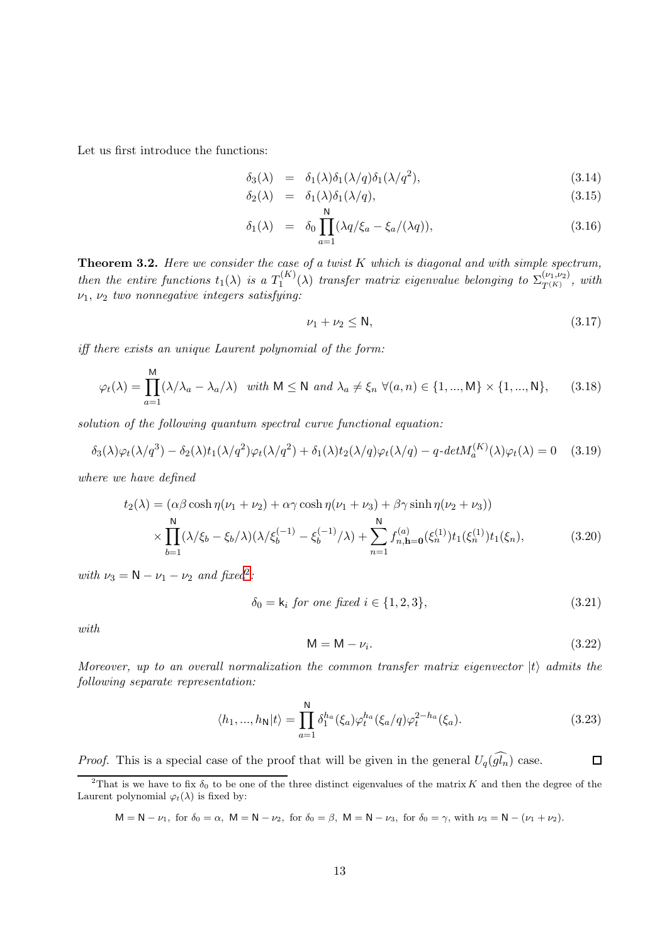Let us first introduce the functions:

$$
\delta_3(\lambda) = \delta_1(\lambda)\delta_1(\lambda/q)\delta_1(\lambda/q^2), \qquad (3.14)
$$

$$
\delta_2(\lambda) = \delta_1(\lambda)\delta_1(\lambda/q), \tag{3.15}
$$

$$
\delta_1(\lambda) = \delta_0 \prod_{a=1}^{N} (\lambda q/\xi_a - \xi_a/(\lambda q)), \qquad (3.16)
$$

<span id="page-12-1"></span>**Theorem 3.2.** Here we consider the case of a twist  $K$  which is diagonal and with simple spectrum, then the entire functions  $t_1(\lambda)$  is a  $T_1^{(K)}$  $\Gamma_1^{(K)}(\lambda)$  transfer matrix eigenvalue belonging to  $\Sigma_{T^{(K)}}^{(\nu_1,\nu_2)}$  $T^{(K)}_{T^{(K)}}$ , with  $\nu_1, \nu_2$  two nonnegative integers satisfying:

<span id="page-12-2"></span>
$$
\nu_1 + \nu_2 \le \mathsf{N},\tag{3.17}
$$

iff there exists an unique Laurent polynomial of the form:

$$
\varphi_t(\lambda) = \prod_{a=1}^M (\lambda/\lambda_a - \lambda_a/\lambda) \quad \text{with } M \le N \text{ and } \lambda_a \ne \xi_n \ \forall (a, n) \in \{1, ..., M\} \times \{1, ..., N\},\tag{3.18}
$$

solution of the following quantum spectral curve functional equation:

$$
\delta_3(\lambda)\varphi_t(\lambda/q^3) - \delta_2(\lambda)t_1(\lambda/q^2)\varphi_t(\lambda/q^2) + \delta_1(\lambda)t_2(\lambda/q)\varphi_t(\lambda/q) - q \cdot det M_a^{(K)}(\lambda)\varphi_t(\lambda) = 0 \quad (3.19)
$$

where we have defined

$$
t_2(\lambda) = (\alpha \beta \cosh \eta (\nu_1 + \nu_2) + \alpha \gamma \cosh \eta (\nu_1 + \nu_3) + \beta \gamma \sinh \eta (\nu_2 + \nu_3))
$$
  
 
$$
\times \prod_{b=1}^{N} (\lambda/\xi_b - \xi_b/\lambda)(\lambda/\xi_b^{(-1)} - \xi_b^{(-1)}/\lambda) + \sum_{n=1}^{N} f_{n,\mathbf{h}=\mathbf{0}}^{(a)}(\xi_n^{(1)}) t_1(\xi_n), \tag{3.20}
$$

with  $\nu_3 = N - \nu_1 - \nu_2$  $\nu_3 = N - \nu_1 - \nu_2$  and fixed<sup>2</sup>:

$$
\delta_0 = k_i \text{ for one fixed } i \in \{1, 2, 3\},\tag{3.21}
$$

with

$$
M = M - \nu_i. \tag{3.22}
$$

Moreover, up to an overall normalization the common transfer matrix eigenvector  $|t\rangle$  admits the following separate representation:

$$
\langle h_1, ..., h_N | t \rangle = \prod_{a=1}^{N} \delta_1^{h_a}(\xi_a) \varphi_t^{h_a}(\xi_a/q) \varphi_t^{2-h_a}(\xi_a).
$$
 (3.23)

*Proof.* This is a special case of the proof that will be given in the general  $U_q(\widehat{gl_n})$  case.  $\Box$ 

 $M = N - \nu_1$ , for  $\delta_0 = \alpha$ ,  $M = N - \nu_2$ , for  $\delta_0 = \beta$ ,  $M = N - \nu_3$ , for  $\delta_0 = \gamma$ , with  $\nu_3 = N - (\nu_1 + \nu_2)$ .

<span id="page-12-0"></span><sup>&</sup>lt;sup>2</sup>That is we have to fix  $\delta_0$  to be one of the three distinct eigenvalues of the matrix K and then the degree of the Laurent polynomial  $\varphi_t(\lambda)$  is fixed by: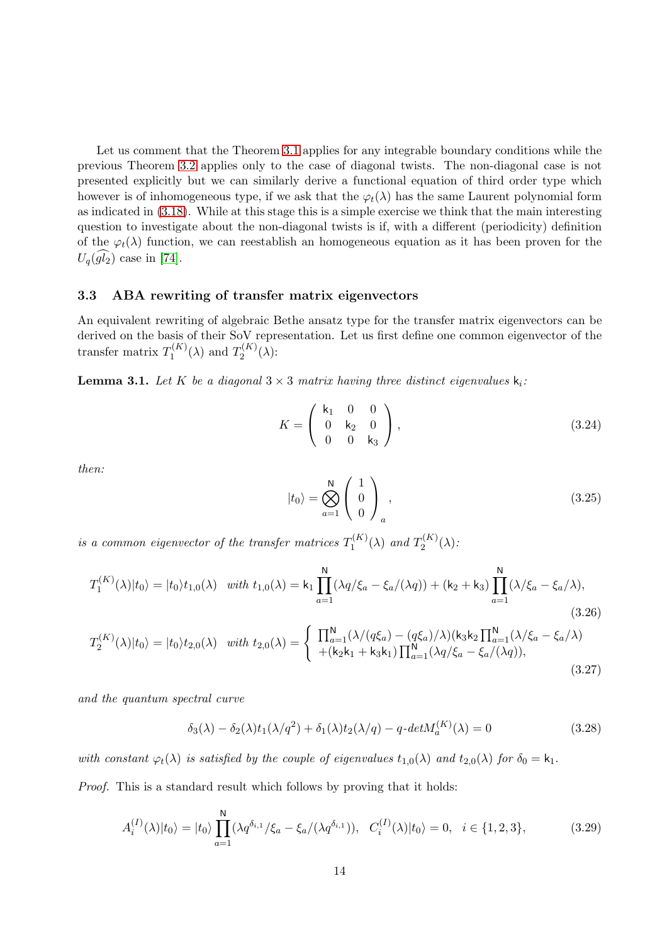Let us comment that the Theorem [3.1](#page-10-2) applies for any integrable boundary conditions while the previous Theorem [3.2](#page-12-1) applies only to the case of diagonal twists. The non-diagonal case is not presented explicitly but we can similarly derive a functional equation of third order type which however is of inhomogeneous type, if we ask that the  $\varphi_t(\lambda)$  has the same Laurent polynomial form as indicated in (3.[18\)](#page-12-2). While at this stage this is a simple exercise we think that the main interesting question to investigate about the non-diagonal twists is if, with a different (periodicity) definition of the  $\varphi_t(\lambda)$  function, we can reestablish an homogeneous equation as it has been proven for the  $U_q(gl_2)$  case in [\[74\]](#page-36-4).

#### <span id="page-13-0"></span>3.3 ABA rewriting of transfer matrix eigenvectors

An equivalent rewriting of algebraic Bethe ansatz type for the transfer matrix eigenvectors can be derived on the basis of their SoV representation. Let us first define one common eigenvector of the transfer matrix  $T_1^{(K)}$  $T_1^{(K)}(\lambda)$  and  $T_2^{(K)}$  $2^{(N)}(\lambda)$ :

**Lemma 3.1.** Let K be a diagonal  $3 \times 3$  matrix having three distinct eigenvalues  $\mathsf{k}_i$ :

$$
K = \left(\begin{array}{ccc} \mathsf{k}_1 & 0 & 0 \\ 0 & \mathsf{k}_2 & 0 \\ 0 & 0 & \mathsf{k}_3 \end{array}\right),\tag{3.24}
$$

then:

$$
|t_0\rangle = \bigotimes_{a=1}^N \begin{pmatrix} 1 \\ 0 \\ 0 \end{pmatrix}_a, \qquad (3.25)
$$

is a common eigenvector of the transfer matrices  $T_1^{(K)}$  $T_1^{(K)}(\lambda)$  and  $T_2^{(K)}$  $2^{(N)}(\lambda)$ :

$$
T_1^{(K)}(\lambda)|t_0\rangle = |t_0\rangle t_{1,0}(\lambda) \quad with \ t_{1,0}(\lambda) = \mathsf{k}_1 \prod_{a=1}^N (\lambda q/\xi_a - \xi_a/(\lambda q)) + (\mathsf{k}_2 + \mathsf{k}_3) \prod_{a=1}^N (\lambda/\xi_a - \xi_a/\lambda), \tag{3.26}
$$

$$
T_2^{(K)}(\lambda)|t_0\rangle = |t_0\rangle t_{2,0}(\lambda) \quad with \ t_{2,0}(\lambda) = \begin{cases} \prod_{a=1}^{N} (\lambda/(q\xi_a) - (q\xi_a)/\lambda)(k_3k_2 \prod_{a=1}^{N} (\lambda/\xi_a - \xi_a/\lambda) \\ + (k_2k_1 + k_3k_1) \prod_{a=1}^{N} (\lambda q/\xi_a - \xi_a/(\lambda q)), \end{cases}
$$
\n(3.27)

and the quantum spectral curve

$$
\delta_3(\lambda) - \delta_2(\lambda)t_1(\lambda/q^2) + \delta_1(\lambda)t_2(\lambda/q) - q \cdot det M_a^{(K)}(\lambda) = 0 \qquad (3.28)
$$

with constant  $\varphi_t(\lambda)$  is satisfied by the couple of eigenvalues  $t_{1,0}(\lambda)$  and  $t_{2,0}(\lambda)$  for  $\delta_0 = \mathsf{k}_1$ .

Proof. This is a standard result which follows by proving that it holds:

$$
A_i^{(I)}(\lambda)|t_0\rangle = |t_0\rangle \prod_{a=1}^N (\lambda q^{\delta_{i,1}}/\xi_a - \xi_a/(\lambda q^{\delta_{i,1}})), \quad C_i^{(I)}(\lambda)|t_0\rangle = 0, \quad i \in \{1, 2, 3\},
$$
 (3.29)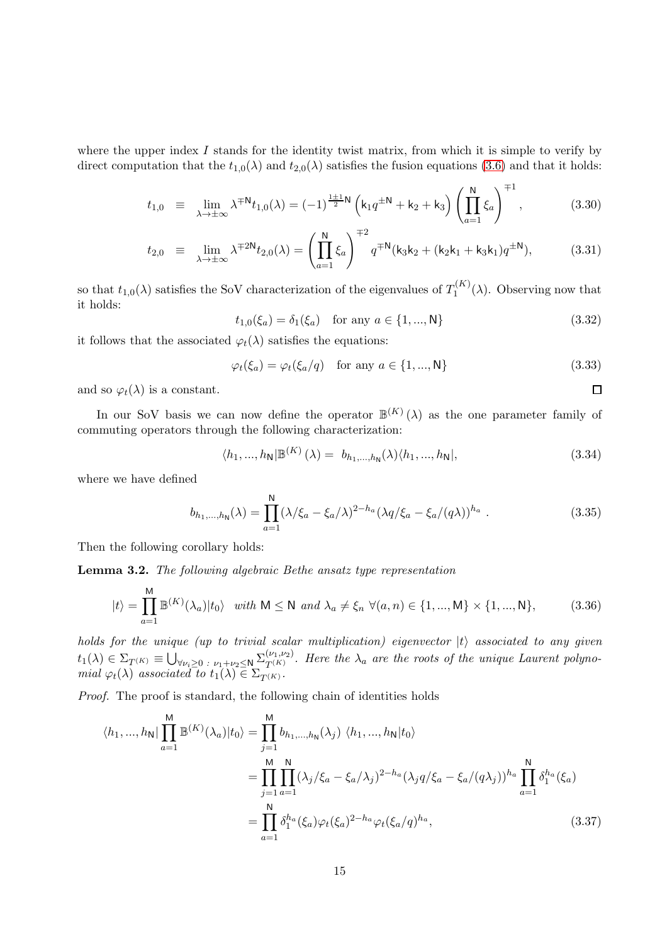where the upper index  $I$  stands for the identity twist matrix, from which it is simple to verify by direct computation that the  $t_{1,0}(\lambda)$  and  $t_{2,0}(\lambda)$  satisfies the fusion equations [\(3](#page-10-3).6) and that it holds:

$$
t_{1,0} \equiv \lim_{\lambda \to \pm \infty} \lambda^{\mp N} t_{1,0}(\lambda) = (-1)^{\frac{1 \pm 1}{2}N} \left( k_1 q^{\pm N} + k_2 + k_3 \right) \left( \prod_{a=1}^N \xi_a \right)^{\mp 1}, \tag{3.30}
$$

$$
t_{2,0} \equiv \lim_{\lambda \to \pm \infty} \lambda^{\mp 2\mathsf{N}} t_{2,0}(\lambda) = \left( \prod_{a=1}^{\mathsf{N}} \xi_a \right)^{\mp 2} q^{\mp \mathsf{N}} (\mathsf{k}_3 \mathsf{k}_2 + (\mathsf{k}_2 \mathsf{k}_1 + \mathsf{k}_3 \mathsf{k}_1) q^{\pm \mathsf{N}}), \tag{3.31}
$$

so that  $t_{1,0}(\lambda)$  satisfies the SoV characterization of the eigenvalues of  $T_1^{(K)}$  $1^{(R)}(\lambda)$ . Observing now that it holds:

$$
t_{1,0}(\xi_a) = \delta_1(\xi_a) \quad \text{for any } a \in \{1, ..., N\}
$$
 (3.32)

it follows that the associated  $\varphi_t(\lambda)$  satisfies the equations:

$$
\varphi_t(\xi_a) = \varphi_t(\xi_a/q) \quad \text{for any } a \in \{1, ..., N\}
$$
\n(3.33)

 $\Box$ 

and so  $\varphi_t(\lambda)$  is a constant.

In our SoV basis we can now define the operator  $\mathbb{B}^{(K)}(\lambda)$  as the one parameter family of commuting operators through the following characterization:

$$
\langle h_1, ..., h_N | \mathbb{B}^{(K)}(\lambda) = b_{h_1, ..., h_N}(\lambda) \langle h_1, ..., h_N |,
$$
\n(3.34)

where we have defined

$$
b_{h_1,\dots,h_N}(\lambda) = \prod_{a=1}^N (\lambda/\xi_a - \xi_a/\lambda)^{2-h_a} (\lambda q/\xi_a - \xi_a/(q\lambda))^{h_a} . \tag{3.35}
$$

Then the following corollary holds:

Lemma 3.2. The following algebraic Bethe ansatz type representation

$$
|t\rangle = \prod_{a=1}^{M} \mathbb{B}^{(K)}(\lambda_a)|t_0\rangle \quad with \quad M \le N \quad and \quad \lambda_a \ne \xi_n \quad \forall (a, n) \in \{1, ..., M\} \times \{1, ..., N\},\tag{3.36}
$$

holds for the unique (up to trivial scalar multiplication) eigenvector  $|t\rangle$  associated to any given  $t_1(\lambda) \in \Sigma_{T^{(K)}} \equiv \bigcup_{\forall \nu_i \geq 0} \sum_{\nu_1 + \nu_2 \leq N} \Sigma_{T^{(K)}}^{(\nu_1, \nu_2)}$  $T^{(V_1,V_2)}$ . Here the  $\lambda_a$  are the roots of the unique Laurent polynomial  $\varphi_t(\lambda)$  associated to  $t_1(\lambda) \in \Sigma_{T^{(K)}}$ .

Proof. The proof is standard, the following chain of identities holds

$$
\langle h_1, ..., h_N \vert \prod_{a=1}^{M} \mathbb{B}^{(K)}(\lambda_a) \vert t_0 \rangle = \prod_{j=1}^{M} b_{h_1, ..., h_N}(\lambda_j) \langle h_1, ..., h_N \vert t_0 \rangle
$$
  

$$
= \prod_{j=1}^{M} \prod_{a=1}^{N} (\lambda_j / \xi_a - \xi_a / \lambda_j)^{2-h_a} (\lambda_j q / \xi_a - \xi_a / (q \lambda_j))^{h_a} \prod_{a=1}^{N} \delta_1^{h_a}(\xi_a)
$$
  

$$
= \prod_{a=1}^{N} \delta_1^{h_a}(\xi_a) \varphi_t(\xi_a)^{2-h_a} \varphi_t(\xi_a / q)^{h_a}, \qquad (3.37)
$$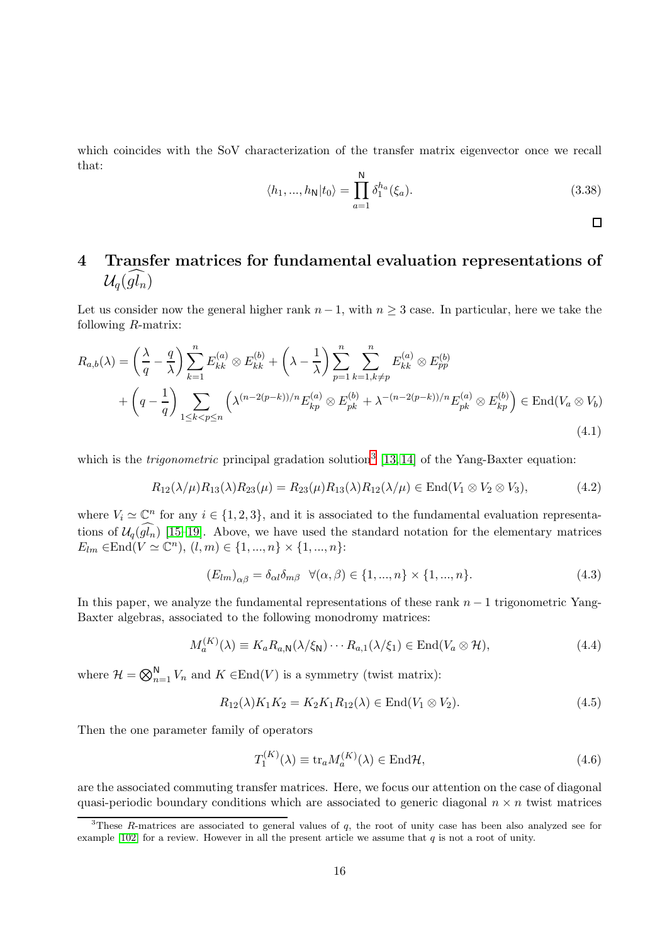which coincides with the SoV characterization of the transfer matrix eigenvector once we recall that:

$$
\langle h_1, ..., h_N | t_0 \rangle = \prod_{a=1}^{N} \delta_1^{h_a}(\xi_a).
$$
 (3.38)

 $\Box$ 

# <span id="page-15-0"></span>4 Transfer matrices for fundamental evaluation representations of  $\mathcal{U}_q(\widehat{gl_n})$

Let us consider now the general higher rank  $n-1$ , with  $n \geq 3$  case. In particular, here we take the following R-matrix:

$$
R_{a,b}(\lambda) = \left(\frac{\lambda}{q} - \frac{q}{\lambda}\right) \sum_{k=1}^{n} E_{kk}^{(a)} \otimes E_{kk}^{(b)} + \left(\lambda - \frac{1}{\lambda}\right) \sum_{p=1}^{n} \sum_{k=1, k \neq p}^{n} E_{kk}^{(a)} \otimes E_{pp}^{(b)}
$$
  
+ 
$$
\left(q - \frac{1}{q}\right) \sum_{1 \leq k < p \leq n} \left(\lambda^{(n-2(p-k))/n} E_{kp}^{(a)} \otimes E_{pk}^{(b)} + \lambda^{-(n-2(p-k))/n} E_{pk}^{(a)} \otimes E_{kp}^{(b)}\right) \in \text{End}(V_a \otimes V_b)
$$
\n
$$
(4.1)
$$

which is the *trigonometric* principal gradation solution<sup>[3](#page-15-1)</sup> [\[13,](#page-32-4) [14\]](#page-32-5) of the Yang-Baxter equation:

$$
R_{12}(\lambda/\mu)R_{13}(\lambda)R_{23}(\mu) = R_{23}(\mu)R_{13}(\lambda)R_{12}(\lambda/\mu) \in \text{End}(V_1 \otimes V_2 \otimes V_3),\tag{4.2}
$$

where  $V_i \simeq \mathbb{C}^n$  for any  $i \in \{1, 2, 3\}$ , and it is associated to the fundamental evaluation representations of  $\mathcal{U}_q(\widehat{gl_n})$  [\[15–](#page-32-6)[19\]](#page-33-0). Above, we have used the standard notation for the elementary matrices  $E_{lm} \in \text{End}(V \simeq \mathbb{C}^n), (l,m) \in \{1, ..., n\} \times \{1, ..., n\}$ :

$$
(E_{lm})_{\alpha\beta} = \delta_{\alpha l} \delta_{m\beta} \quad \forall (\alpha, \beta) \in \{1, ..., n\} \times \{1, ..., n\}.
$$

In this paper, we analyze the fundamental representations of these rank  $n-1$  trigonometric Yang-Baxter algebras, associated to the following monodromy matrices:

$$
M_a^{(K)}(\lambda) \equiv K_a R_{a,N}(\lambda/\xi_N) \cdots R_{a,1}(\lambda/\xi_1) \in \text{End}(V_a \otimes \mathcal{H}),\tag{4.4}
$$

where  $\mathcal{H} = \bigotimes_{n=1}^{N} V_n$  and  $K \in \text{End}(V)$  is a symmetry (twist matrix):

$$
R_{12}(\lambda)K_1K_2 = K_2K_1R_{12}(\lambda) \in \text{End}(V_1 \otimes V_2). \tag{4.5}
$$

Then the one parameter family of operators

$$
T_1^{(K)}(\lambda) \equiv \text{tr}_a M_a^{(K)}(\lambda) \in \text{End}\mathcal{H},\tag{4.6}
$$

are the associated commuting transfer matrices. Here, we focus our attention on the case of diagonal quasi-periodic boundary conditions which are associated to generic diagonal  $n \times n$  twist matrices

<span id="page-15-1"></span><sup>&</sup>lt;sup>3</sup>These R-matrices are associated to general values of  $q$ , the root of unity case has been also analyzed see for example [\[102\]](#page-38-2) for a review. However in all the present article we assume that  $q$  is not a root of unity.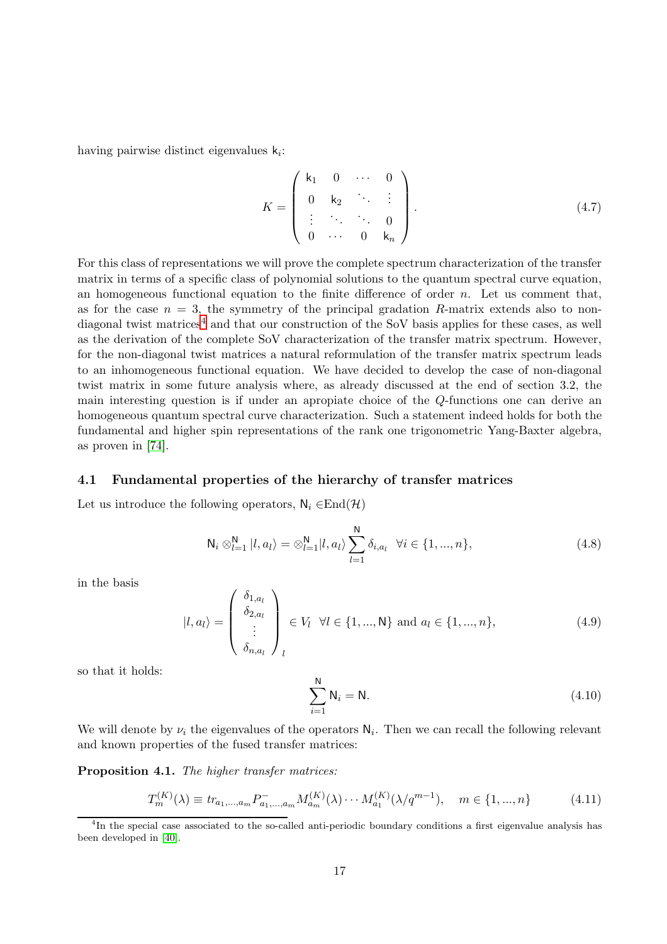having pairwise distinct eigenvalues  $k_i$ :

$$
K = \begin{pmatrix} k_1 & 0 & \cdots & 0 \\ 0 & k_2 & \ddots & \vdots \\ \vdots & \ddots & \ddots & 0 \\ 0 & \cdots & 0 & k_n \end{pmatrix} .
$$
 (4.7)

For this class of representations we will prove the complete spectrum characterization of the transfer matrix in terms of a specific class of polynomial solutions to the quantum spectral curve equation, an homogeneous functional equation to the finite difference of order  $n$ . Let us comment that, as for the case  $n = 3$ , the symmetry of the principal gradation R-matrix extends also to non-diagonal twist matrices<sup>[4](#page-16-1)</sup> and that our construction of the SoV basis applies for these cases, as well as the derivation of the complete SoV characterization of the transfer matrix spectrum. However, for the non-diagonal twist matrices a natural reformulation of the transfer matrix spectrum leads to an inhomogeneous functional equation. We have decided to develop the case of non-diagonal twist matrix in some future analysis where, as already discussed at the end of section 3.2, the main interesting question is if under an apropiate choice of the Q-functions one can derive an homogeneous quantum spectral curve characterization. Such a statement indeed holds for both the fundamental and higher spin representations of the rank one trigonometric Yang-Baxter algebra, as proven in [\[74\]](#page-36-4).

#### <span id="page-16-0"></span>4.1 Fundamental properties of the hierarchy of transfer matrices

Let us introduce the following operators,  $N_i \in End(\mathcal{H})$ 

$$
\mathsf{N}_{i} \otimes_{l=1}^{\mathsf{N}} |l, a_{l}\rangle = \otimes_{l=1}^{\mathsf{N}} |l, a_{l}\rangle \sum_{l=1}^{\mathsf{N}} \delta_{i, a_{l}} \quad \forall i \in \{1, ..., n\},\tag{4.8}
$$

in the basis

$$
|l, a_{l}\rangle = \begin{pmatrix} \delta_{1, a_{l}} \\ \delta_{2, a_{l}} \\ \vdots \\ \delta_{n, a_{l}} \end{pmatrix}_{l} \in V_{l} \quad \forall l \in \{1, ..., N\} \text{ and } a_{l} \in \{1, ..., n\},
$$
 (4.9)

so that it holds:

$$
\sum_{i=1}^{N} \mathsf{N}_i = \mathsf{N}.\tag{4.10}
$$

We will denote by  $\nu_i$  the eigenvalues of the operators  $N_i$ . Then we can recall the following relevant and known properties of the fused transfer matrices:

Proposition 4.1. The higher transfer matrices:

$$
T_m^{(K)}(\lambda) \equiv tr_{a_1,\dots,a_m} P_{a_1,\dots,a_m}^{-} M_{a_m}^{(K)}(\lambda) \cdots M_{a_1}^{(K)}(\lambda/q^{m-1}), \quad m \in \{1,\dots,n\}
$$
 (4.11)

<span id="page-16-1"></span><sup>&</sup>lt;sup>4</sup>In the special case associated to the so-called anti-periodic boundary conditions a first eigenvalue analysis has been developed in [\[40\]](#page-34-1).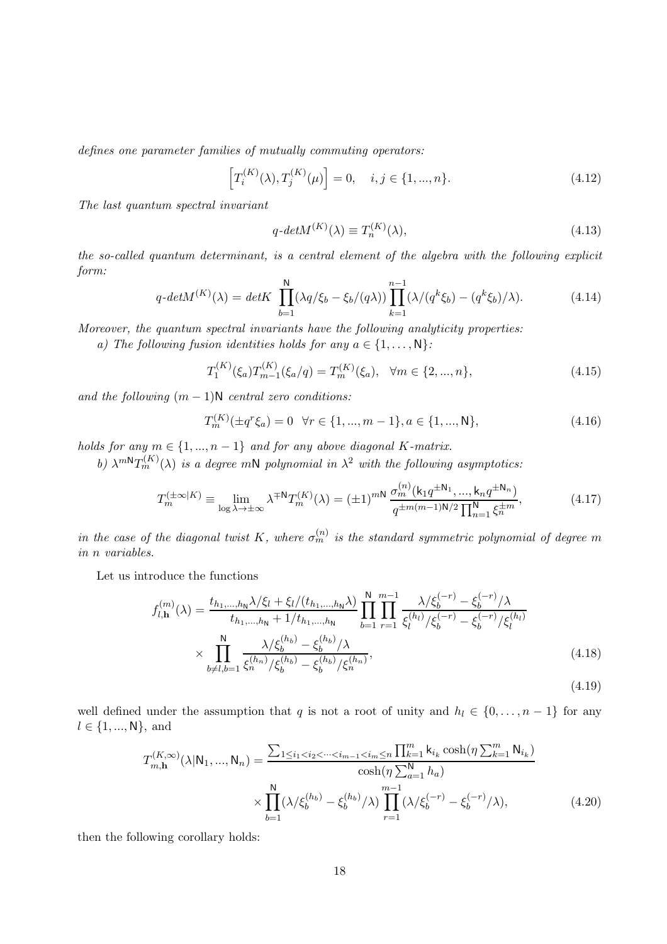defines one parameter families of mutually commuting operators:

$$
\left[T_i^{(K)}(\lambda), T_j^{(K)}(\mu)\right] = 0, \quad i, j \in \{1, ..., n\}.
$$
\n(4.12)

The last quantum spectral invariant

$$
q\text{-}det M^{(K)}(\lambda) \equiv T_n^{(K)}(\lambda),\tag{4.13}
$$

the so-called quantum determinant, is a central element of the algebra with the following explicit form:

$$
q\text{-}det M^{(K)}(\lambda) = det K \prod_{b=1}^{N} (\lambda q/\xi_b - \xi_b/(q\lambda)) \prod_{k=1}^{n-1} (\lambda/(q^k \xi_b) - (q^k \xi_b)/\lambda). \tag{4.14}
$$

Moreover, the quantum spectral invariants have the following analyticity properties:

a) The following fusion identities holds for any  $a \in \{1, \ldots, N\}$ :

$$
T_1^{(K)}(\xi_a)T_{m-1}^{(K)}(\xi_a/q) = T_m^{(K)}(\xi_a), \quad \forall m \in \{2, ..., n\},\tag{4.15}
$$

and the following  $(m-1)N$  central zero conditions:

$$
T_m^{(K)}(\pm q^r \xi_a) = 0 \quad \forall r \in \{1, ..., m-1\}, a \in \{1, ..., N\},
$$
\n(4.16)

holds for any  $m \in \{1, ..., n-1\}$  and for any above diagonal K-matrix.

b)  $\lambda^{m}T_m^{(K)}(\lambda)$  is a degree mN polynomial in  $\lambda^2$  with the following asymptotics:

$$
T_m^{(\pm \infty|K)} \equiv \lim_{\log \lambda \to \pm \infty} \lambda^{\mp N} T_m^{(K)}(\lambda) = (\pm 1)^{mN} \frac{\sigma_m^{(n)}(\mathbf{k}_1 q^{\pm \mathbf{N}_1}, \dots, \mathbf{k}_n q^{\pm \mathbf{N}_n})}{q^{\pm m(m-1)\mathbf{N}/2} \prod_{n=1}^N \xi_n^{\pm m}},
$$
(4.17)

in the case of the diagonal twist K, where  $\sigma_m^{(n)}$  is the standard symmetric polynomial of degree m in n variables.

Let us introduce the functions

$$
f_{l,\mathbf{h}}^{(m)}(\lambda) = \frac{t_{h_1,\dots,h_N}\lambda/\xi_l + \xi_l/(t_{h_1,\dots,h_N}\lambda)}{t_{h_1,\dots,h_N} + 1/t_{h_1,\dots,h_N}} \prod_{b=1}^{N} \prod_{r=1}^{m-1} \frac{\lambda/\xi_b^{(-r)} - \xi_b^{(-r)}/\lambda}{\xi_l^{(h_l)}/\xi_b^{(-r)} - \xi_b^{(-r)}/\xi_l^{(h_l)}} \times \prod_{b \neq l,b=1}^{N} \frac{\lambda/\xi_b^{(h_b)} - \xi_b^{(h_b)}/\lambda}{\xi_b^{(h_b)} - \xi_b^{(h_b)}/\xi_n^{(h_n)}},
$$
\n(4.18)

(4.19)

well defined under the assumption that q is not a root of unity and  $h_l \in \{0, \ldots, n-1\}$  for any  $l \in \{1, ..., N\}$ , and

$$
T_{m,\mathbf{h}}^{(K,\infty)}(\lambda|\mathbf{N}_1,...,\mathbf{N}_n) = \frac{\sum_{1 \le i_1 < i_2 < \cdots < i_{m-1} < i_m \le n} \prod_{k=1}^m \mathbf{k}_{i_k} \cosh(\eta \sum_{k=1}^m \mathbf{N}_{i_k})}{\cosh(\eta \sum_{a=1}^N h_a)} \times \prod_{b=1}^N (\lambda/\xi_b^{(h_b)} - \xi_b^{(h_b)}/\lambda) \prod_{r=1}^{m-1} (\lambda/\xi_b^{(-r)} - \xi_b^{(-r)}/\lambda), \tag{4.20}
$$

then the following corollary holds: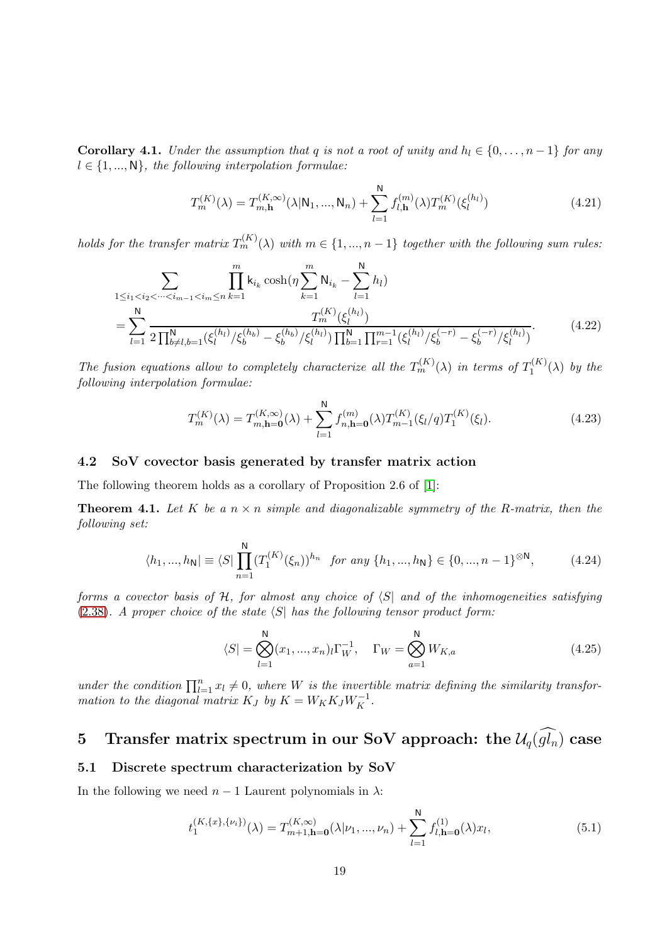**Corollary 4.1.** Under the assumption that q is not a root of unity and  $h_l \in \{0, \ldots, n-1\}$  for any  $l \in \{1, ..., N\}$ , the following interpolation formulae:

$$
T_m^{(K)}(\lambda) = T_{m,\mathbf{h}}^{(K,\infty)}(\lambda | \mathbf{N}_1, ..., \mathbf{N}_n) + \sum_{l=1}^{N} f_{l,\mathbf{h}}^{(m)}(\lambda) T_m^{(K)}(\xi_l^{(h_l)})
$$
(4.21)

holds for the transfer matrix  $T_m^{(K)}(\lambda)$  with  $m \in \{1, ..., n-1\}$  together with the following sum rules:

$$
\sum_{1 \le i_1 < i_2 < \dots < i_{m-1} < i_m \le n} \prod_{k=1}^m k_{i_k} \cosh(\eta \sum_{k=1}^m N_{i_k} - \sum_{l=1}^N h_l)
$$
\n
$$
= \sum_{l=1}^N \frac{T_m^{(K)}(\xi_l^{(h_l)})}{2 \prod_{b \ne l,b=1}^N (\xi_l^{(h_l)}/\xi_b^{(h_b)} - \xi_b^{(h_b)}/\xi_l^{(h_l)}) \prod_{b=1}^N \prod_{r=1}^{m-1} (\xi_l^{(h_l)}/\xi_b^{(-r)} - \xi_b^{(-r)}/\xi_l^{(h_l)})}.
$$
\n
$$
(4.22)
$$

The fusion equations allow to completely characterize all the  $T_m^{(K)}(\lambda)$  in terms of  $T_1^{(K)}$  $j_1^{(\Lambda)}(\lambda)$  by the following interpolation formulae:

$$
T_m^{(K)}(\lambda) = T_{m,\mathbf{h}=\mathbf{0}}^{(K,\infty)}(\lambda) + \sum_{l=1}^{\mathbf{N}} f_{n,\mathbf{h}=\mathbf{0}}^{(m)}(\lambda) T_{m-1}^{(K)}(\xi_l/q) T_1^{(K)}(\xi_l). \tag{4.23}
$$

#### <span id="page-18-0"></span>4.2 SoV covector basis generated by transfer matrix action

The following theorem holds as a corollary of Proposition 2.6 of [\[1\]](#page-32-0):

**Theorem 4.1.** Let K be a  $n \times n$  simple and diagonalizable symmetry of the R-matrix, then the following set:

$$
\langle h_1, ..., h_N \rvert \equiv \langle S \rvert \prod_{n=1}^N (T_1^{(K)}(\xi_n))^{h_n} \text{ for any } \{h_1, ..., h_N\} \in \{0, ..., n-1\}^{\otimes N}, \tag{4.24}
$$

forms a covector basis of  $H$ , for almost any choice of  $\langle S|$  and of the inhomogeneities satisfying  $(2.38)$  $(2.38)$ . A proper choice of the state  $\langle S \rangle$  has the following tensor product form:

$$
\langle S| = \bigotimes_{l=1}^{N} (x_1, ..., x_n)_l \Gamma_W^{-1}, \quad \Gamma_W = \bigotimes_{a=1}^{N} W_{K,a}
$$
 (4.25)

under the condition  $\prod_{l=1}^{n} x_l \neq 0$ , where W is the invertible matrix defining the similarity transformation to the diagonal matrix  $K_J$  by  $K = W_K K_J W_K^{-1}$ .

## <span id="page-18-1"></span>5 Transfer matrix spectrum in our SoV approach: the  $\mathcal{U}_q(\widehat{gl_n})$  case

#### <span id="page-18-2"></span>5.1 Discrete spectrum characterization by SoV

In the following we need  $n-1$  Laurent polynomials in  $\lambda$ :

$$
t_1^{(K,\{x\},\{\nu_i\})}(\lambda) = T_{m+1,\mathbf{h}=\mathbf{0}}^{(K,\infty)}(\lambda|\nu_1,\ldots,\nu_n) + \sum_{l=1}^{\mathbf{N}} f_{l,\mathbf{h}=\mathbf{0}}^{(1)}(\lambda)x_l,
$$
(5.1)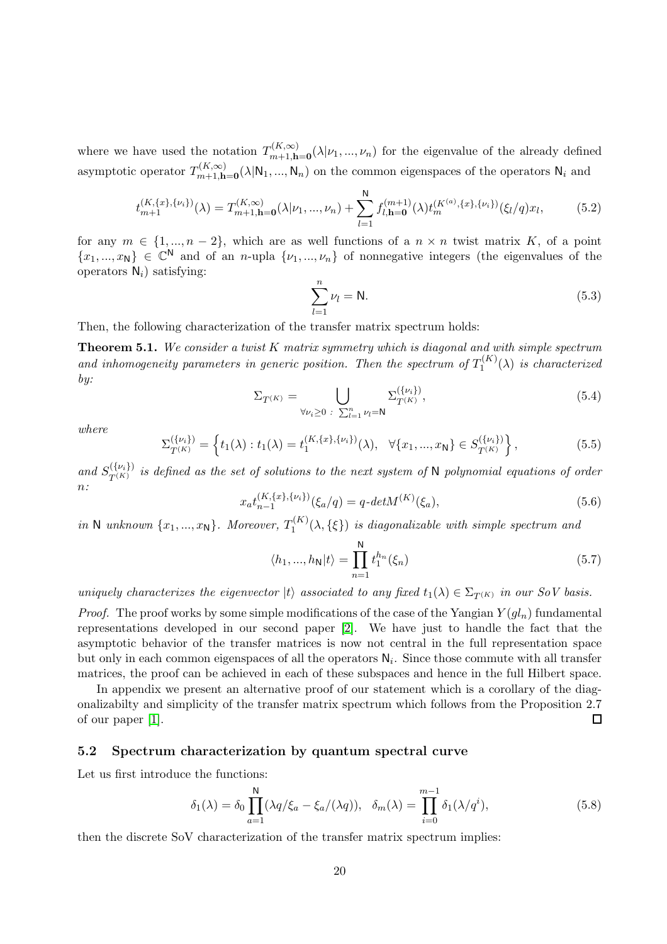where we have used the notation  $T_{m+1 h}^{(K,\infty)}$  $m+1, h=0 \ (\lambda | \nu_1, \ldots, \nu_n)$  for the eigenvalue of the already defined asymptotic operator  $T_{m+1,k}^{(K,\infty)}$  $m_{m+1,h=0}^{(K,\infty)}(\lambda|N_1,...,N_n)$  on the common eigenspaces of the operators  $N_i$  and

$$
t_{m+1}^{(K,\{x\},\{\nu_i\})}(\lambda) = T_{m+1,\mathbf{h}=\mathbf{0}}^{(K,\infty)}(\lambda|\nu_1,\ldots,\nu_n) + \sum_{l=1}^{\mathbf{N}} f_{l,\mathbf{h}=\mathbf{0}}^{(m+1)}(\lambda) t_m^{(K^{(a)},\{x\},\{\nu_i\})}(\xi_l/q)x_l,\tag{5.2}
$$

for any  $m \in \{1, ..., n-2\}$ , which are as well functions of a  $n \times n$  twist matrix K, of a point  $\{x_1,...,x_N\} \in \mathbb{C}^N$  and of an *n*-upla  $\{\nu_1,...,\nu_n\}$  of nonnegative integers (the eigenvalues of the operators  $N_i$ ) satisfying:

$$
\sum_{l=1}^{n} \nu_l = \mathsf{N}.\tag{5.3}
$$

Then, the following characterization of the transfer matrix spectrum holds:

<span id="page-19-1"></span>**Theorem 5.1.** We consider a twist  $K$  matrix symmetry which is diagonal and with simple spectrum and inhomogeneity parameters in generic position. Then the spectrum of  $T_1^{(K)}$  $I_1^{(N)}(\lambda)$  is characterized by:

$$
\Sigma_{T^{(K)}} = \bigcup_{\forall \nu_i \geq 0 \; : \; \sum_{l=1}^n \nu_l = \mathsf{N}} \Sigma_{T^{(K)}}^{(\{\nu_i\})},\tag{5.4}
$$

where

$$
\Sigma_{T^{(K)}}^{\{\nu_i\}} = \left\{ t_1(\lambda) : t_1(\lambda) = t_1^{(K,\{x\},\{\nu_i\})}(\lambda), \ \forall \{x_1, ..., x_N\} \in S_{T^{(K)}}^{\{\nu_i\}} \right\},\tag{5.5}
$$

and  $S_{T(K)}^{(\{\nu_i\})}$  $T(K) \over T(K)$  is defined as the set of solutions to the next system of N polynomial equations of order n:

$$
x_a t_{n-1}^{(K,\{x\},\{\nu_i\})}(\xi_a/q) = q \cdot det M^{(K)}(\xi_a),\tag{5.6}
$$

in N unknown  $\{x_1, ..., x_N\}$ . Moreover,  $T_1^{(K)}$  $I_1^{(N)}(\lambda, {\{\xi\}})$  is diagonalizable with simple spectrum and

$$
\langle h_1, ..., h_N | t \rangle = \prod_{n=1}^{N} t_1^{h_n}(\xi_n)
$$
\n(5.7)

uniquely characterizes the eigenvector  $|t\rangle$  associated to any fixed  $t_1(\lambda) \in \Sigma_{T^{(K)}}$  in our SoV basis.

*Proof.* The proof works by some simple modifications of the case of the Yangian  $Y(gl_n)$  fundamental representations developed in our second paper [\[2\]](#page-32-7). We have just to handle the fact that the asymptotic behavior of the transfer matrices is now not central in the full representation space but only in each common eigenspaces of all the operators  $N_i$ . Since those commute with all transfer matrices, the proof can be achieved in each of these subspaces and hence in the full Hilbert space.

In appendix we present an alternative proof of our statement which is a corollary of the diagonalizabilty and simplicity of the transfer matrix spectrum which follows from the Proposition 2.7 of our paper [\[1\]](#page-32-0). 口

#### <span id="page-19-0"></span>5.2 Spectrum characterization by quantum spectral curve

Let us first introduce the functions:

$$
\delta_1(\lambda) = \delta_0 \prod_{a=1}^N (\lambda q/\xi_a - \xi_a/(\lambda q)), \quad \delta_m(\lambda) = \prod_{i=0}^{m-1} \delta_1(\lambda/q^i), \tag{5.8}
$$

then the discrete SoV characterization of the transfer matrix spectrum implies: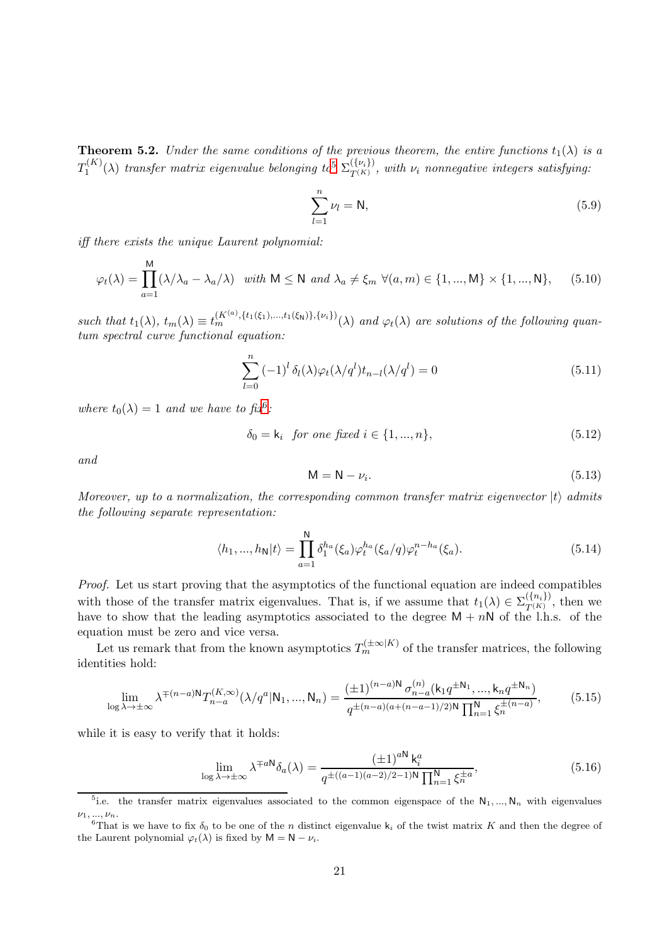**Theorem 5.2.** Under the same conditions of the previous theorem, the entire functions  $t_1(\lambda)$  is a  $T_1^{(K)}$  $\Gamma_1^{(K)}(\lambda)$  transfer matrix eigenvalue belonging to  $\Sigma_{T^{(K)}}^{(\{\nu_i\})}$  $T^{(Vij)}_{T^{(K)}}$ , with  $\nu_i$  nonnegative integers satisfying:

$$
\sum_{l=1}^{n} \nu_l = \mathsf{N},\tag{5.9}
$$

iff there exists the unique Laurent polynomial:

$$
\varphi_t(\lambda) = \prod_{a=1}^M (\lambda/\lambda_a - \lambda_a/\lambda) \quad \text{with } M \le N \text{ and } \lambda_a \ne \xi_m \ \forall (a, m) \in \{1, ..., M\} \times \{1, ..., N\}, \tag{5.10}
$$

such that  $t_1(\lambda)$ ,  $t_m(\lambda) \equiv t_m^{(K^{(a)}, \{t_1(\xi_1), \ldots, t_1(\xi_N)\}, \{\nu_i\})}(\lambda)$  and  $\varphi_t(\lambda)$  are solutions of the following quantum spectral curve functional equation:

<span id="page-20-2"></span>
$$
\sum_{l=0}^{n} \left(-1\right)^{l} \delta_{l}(\lambda) \varphi_{t}(\lambda/q^{l}) t_{n-l}(\lambda/q^{l}) = 0 \tag{5.11}
$$

where  $t_0(\lambda) = 1$  and we have to fix<sup>[6](#page-20-1)</sup>:

$$
\delta_0 = k_i \text{ for one fixed } i \in \{1, ..., n\},\tag{5.12}
$$

and

$$
M = N - \nu_i. \tag{5.13}
$$

Moreover, up to a normalization, the corresponding common transfer matrix eigenvector  $|t\rangle$  admits the following separate representation:

$$
\langle h_1, ..., h_N | t \rangle = \prod_{a=1}^{N} \delta_1^{h_a}(\xi_a) \varphi_t^{h_a}(\xi_a/q) \varphi_t^{n-h_a}(\xi_a).
$$
 (5.14)

Proof. Let us start proving that the asymptotics of the functional equation are indeed compatibles with those of the transfer matrix eigenvalues. That is, if we assume that  $t_1(\lambda) \in \Sigma_{T(K)}^{(\{n_i\})}$  $T^{(i)}(K)$ , then we have to show that the leading asymptotics associated to the degree  $M + nN$  of the l.h.s. of the equation must be zero and vice versa.

Let us remark that from the known asymptotics  $T_m^{(\pm \infty|K)}$  of the transfer matrices, the following identities hold:

$$
\lim_{\log \lambda \to \pm \infty} \lambda^{\mp (n-a)N} T_{n-a}^{(K,\infty)}(\lambda/q^a | N_1, ..., N_n) = \frac{(\pm 1)^{(n-a)N} \sigma_{n-a}^{(n)}(\mathbf{k}_1 q^{\pm N_1}, ..., \mathbf{k}_n q^{\pm N_n})}{q^{\pm (n-a)(a + (n-a-1)/2)N} \prod_{n=1}^N \xi_n^{\pm (n-a)}}.
$$
(5.15)

while it is easy to verify that it holds:

$$
\lim_{\log \lambda \to \pm \infty} \lambda^{\mp a \mathsf{N}} \delta_a(\lambda) = \frac{\left(\pm 1\right)^{a \mathsf{N}} \mathsf{k}_i^a}{q^{\pm \left((a-1)(a-2)/2 - 1\right) \mathsf{N}} \prod_{n=1}^{\mathsf{N}} \xi_n^{\pm a}},\tag{5.16}
$$

<span id="page-20-0"></span><sup>&</sup>lt;sup>5</sup>i.e. the transfer matrix eigenvalues associated to the common eigenspace of the  $N_1, ..., N_n$  with eigenvalues  $\nu_1, ..., \nu_n$ .

<span id="page-20-1"></span><sup>&</sup>lt;sup>6</sup>That is we have to fix  $\delta_0$  to be one of the n distinct eigenvalue k<sub>i</sub> of the twist matrix K and then the degree of the Laurent polynomial  $\varphi_t(\lambda)$  is fixed by  $M = N - \nu_i$ .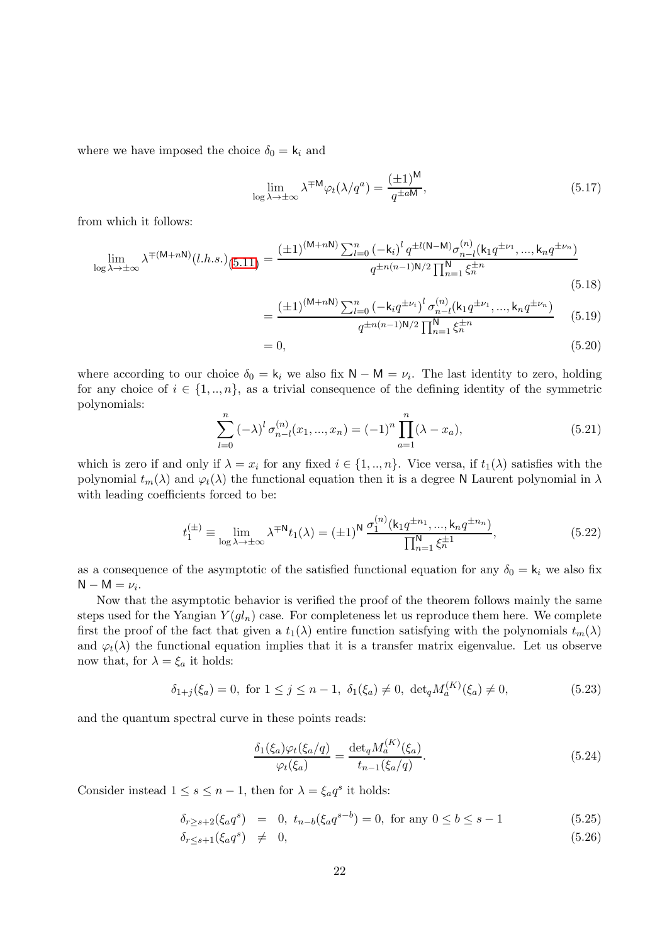where we have imposed the choice  $\delta_0 = k_i$  and

$$
\lim_{\log \lambda \to \pm \infty} \lambda^{\mp M} \varphi_t(\lambda/q^a) = \frac{(\pm 1)^M}{q^{\pm aM}},\tag{5.17}
$$

from which it follows:

$$
\lim_{\log \lambda \to \pm \infty} \lambda^{\mp (M+nN)}(l.h.s.)_{(5.11)} = \frac{(\pm 1)^{(M+nN)} \sum_{l=0}^{n} (-\mathbf{k}_i)^l q^{\pm l(N-M)} \sigma_{n-l}^{(n)}(\mathbf{k}_1 q^{\pm \nu_1}, ..., \mathbf{k}_n q^{\pm \nu_n})}{q^{\pm n(n-1)N/2} \prod_{n=1}^{N} \xi_n^{\pm n}}
$$
(5.18)

$$
\frac{(\pm 1)^{(M+nN)} \sum_{l=0}^{n} \left(-k_i q^{\pm \nu_i}\right)^l \sigma_{n-l}^{(n)}(k_1 q^{\pm \nu_1}, ..., k_n q^{\pm \nu_n})}{q^{\pm n(n-1)N/2} \prod_{n=1}^{N} \xi_n^{\pm n}} \tag{5.19}
$$

$$
I_{n=1}^{n} \tag{5.20}
$$

where according to our choice  $\delta_0 = \mathsf{k}_i$  we also fix  $\mathsf{N} - \mathsf{M} = \nu_i$ . The last identity to zero, holding for any choice of  $i \in \{1, ..., n\}$ , as a trivial consequence of the defining identity of the symmetric polynomials:

 $=$ 

$$
\sum_{l=0}^{n} \left(-\lambda\right)^{l} \sigma_{n-l}^{(n)}(x_{1},...,x_{n}) = (-1)^{n} \prod_{a=1}^{n} (\lambda - x_{a}),\tag{5.21}
$$

which is zero if and only if  $\lambda = x_i$  for any fixed  $i \in \{1, ..., n\}$ . Vice versa, if  $t_1(\lambda)$  satisfies with the polynomial  $t_m(\lambda)$  and  $\varphi_t(\lambda)$  the functional equation then it is a degree N Laurent polynomial in  $\lambda$ with leading coefficients forced to be:

$$
t_1^{(\pm)} \equiv \lim_{\log \lambda \to \pm \infty} \lambda^{\mp \mathsf{N}} t_1(\lambda) = (\pm 1)^{\mathsf{N}} \, \frac{\sigma_1^{(n)}(\mathsf{k}_1 q^{\pm n_1}, \dots, \mathsf{k}_n q^{\pm n_n})}{\prod_{n=1}^{\mathsf{N}} \xi_n^{\pm 1}},\tag{5.22}
$$

as a consequence of the asymptotic of the satisfied functional equation for any  $\delta_0 = k_i$  we also fix  $N - M = \nu_i$ .

Now that the asymptotic behavior is verified the proof of the theorem follows mainly the same steps used for the Yangian  $Y(gl_n)$  case. For completeness let us reproduce them here. We complete first the proof of the fact that given a  $t_1(\lambda)$  entire function satisfying with the polynomials  $t_m(\lambda)$ and  $\varphi_t(\lambda)$  the functional equation implies that it is a transfer matrix eigenvalue. Let us observe now that, for  $\lambda = \xi_a$  it holds:

$$
\delta_{1+j}(\xi_a) = 0, \text{ for } 1 \le j \le n-1, \ \delta_1(\xi_a) \ne 0, \ \det_q M_a^{(K)}(\xi_a) \ne 0,
$$
\n(5.23)

and the quantum spectral curve in these points reads:

<span id="page-21-0"></span>
$$
\frac{\delta_1(\xi_a)\varphi_t(\xi_a/q)}{\varphi_t(\xi_a)} = \frac{\det_q M_a^{(K)}(\xi_a)}{t_{n-1}(\xi_a/q)}.\tag{5.24}
$$

Consider instead  $1 \leq s \leq n-1$ , then for  $\lambda = \xi_a q^s$  it holds:

$$
\delta_{r\geq s+2}(\xi_a q^s) = 0, \ t_{n-b}(\xi_a q^{s-b}) = 0, \text{ for any } 0 \leq b \leq s-1 \tag{5.25}
$$

$$
\delta_{r \leq s+1}(\xi_a q^s) \neq 0,\tag{5.26}
$$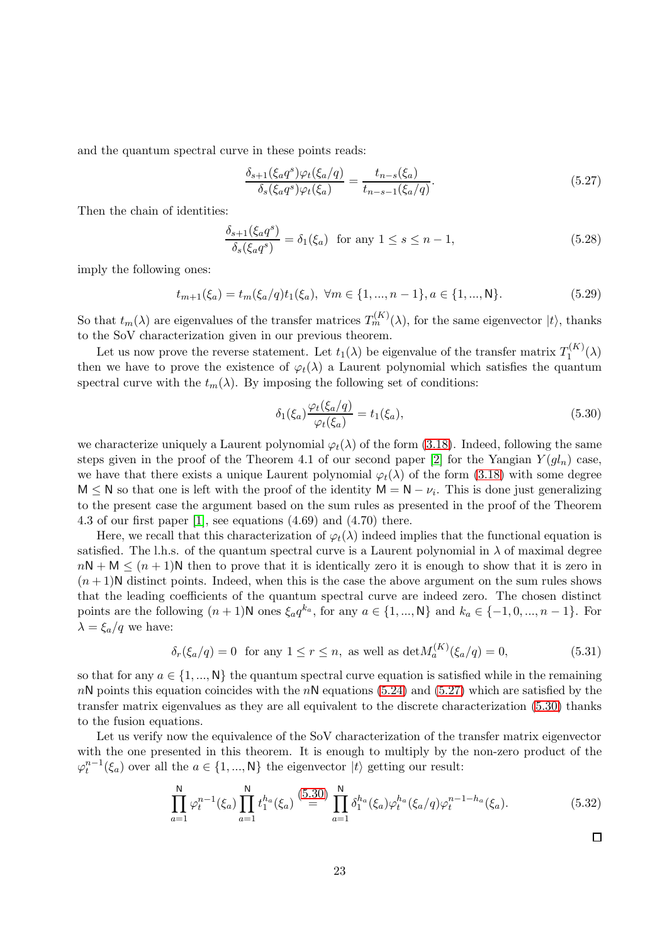and the quantum spectral curve in these points reads:

<span id="page-22-0"></span>
$$
\frac{\delta_{s+1}(\xi_a q^s)\varphi_t(\xi_a/q)}{\delta_s(\xi_a q^s)\varphi_t(\xi_a)} = \frac{t_{n-s}(\xi_a)}{t_{n-s-1}(\xi_a/q)}.\tag{5.27}
$$

Then the chain of identities:

$$
\frac{\delta_{s+1}(\xi_a q^s)}{\delta_s(\xi_a q^s)} = \delta_1(\xi_a) \quad \text{for any } 1 \le s \le n-1,
$$
\n(5.28)

imply the following ones:

$$
t_{m+1}(\xi_a) = t_m(\xi_a/q)t_1(\xi_a), \ \forall m \in \{1, ..., n-1\}, a \in \{1, ..., N\}.
$$
 (5.29)

So that  $t_m(\lambda)$  are eigenvalues of the transfer matrices  $T_m^{(K)}(\lambda)$ , for the same eigenvector  $|t\rangle$ , thanks to the SoV characterization given in our previous theorem.

Let us now prove the reverse statement. Let  $t_1(\lambda)$  be eigenvalue of the transfer matrix  $T_1^{(K)}$  $I_1^{(\Lambda)}(\lambda)$ then we have to prove the existence of  $\varphi_t(\lambda)$  a Laurent polynomial which satisfies the quantum spectral curve with the  $t_m(\lambda)$ . By imposing the following set of conditions:

<span id="page-22-1"></span>
$$
\delta_1(\xi_a) \frac{\varphi_t(\xi_a/q)}{\varphi_t(\xi_a)} = t_1(\xi_a),\tag{5.30}
$$

we characterize uniquely a Laurent polynomial  $\varphi_t(\lambda)$  of the form (3.[18\)](#page-12-2). Indeed, following the same steps given in the proof of the Theorem 4.1 of our second paper [\[2\]](#page-32-7) for the Yangian  $Y(gl_n)$  case, we have that there exists a unique Laurent polynomial  $\varphi_t(\lambda)$  of the form (3.[18\)](#page-12-2) with some degree  $M \leq N$  so that one is left with the proof of the identity  $M = N - \nu_i$ . This is done just generalizing to the present case the argument based on the sum rules as presented in the proof of the Theorem 4.3 of our first paper [\[1\]](#page-32-0), see equations (4.69) and (4.70) there.

Here, we recall that this characterization of  $\varphi_t(\lambda)$  indeed implies that the functional equation is satisfied. The l.h.s. of the quantum spectral curve is a Laurent polynomial in  $\lambda$  of maximal degree  $nN + M \leq (n + 1)N$  then to prove that it is identically zero it is enough to show that it is zero in  $(n+1)$ N distinct points. Indeed, when this is the case the above argument on the sum rules shows that the leading coefficients of the quantum spectral curve are indeed zero. The chosen distinct points are the following  $(n + 1)N$  ones  $\xi_a q^{k_a}$ , for any  $a \in \{1, ..., N\}$  and  $k_a \in \{-1, 0, ..., n-1\}$ . For  $\lambda = \xi_a/q$  we have:

$$
\delta_r(\xi_a/q) = 0 \quad \text{for any } 1 \le r \le n, \text{ as well as } \det M_a^{(K)}(\xi_a/q) = 0,\tag{5.31}
$$

so that for any  $a \in \{1, ..., N\}$  the quantum spectral curve equation is satisfied while in the remaining  $nN$  points this equation coincides with the  $nN$  equations (5.[24\)](#page-21-0) and (5.[27\)](#page-22-0) which are satisfied by the transfer matrix eigenvalues as they are all equivalent to the discrete characterization [\(5.30\)](#page-22-1) thanks to the fusion equations.

Let us verify now the equivalence of the SoV characterization of the transfer matrix eigenvector with the one presented in this theorem. It is enough to multiply by the non-zero product of the  $\varphi_t^{n-1}(\xi_a)$  over all the  $a \in \{1, ..., N\}$  the eigenvector  $|t\rangle$  getting our result:

$$
\prod_{a=1}^{N} \varphi_t^{n-1}(\xi_a) \prod_{a=1}^{N} t_1^{h_a}(\xi_a) \stackrel{(5.30)}{=} \prod_{a=1}^{N} \delta_1^{h_a}(\xi_a) \varphi_t^{h_a}(\xi_a/q) \varphi_t^{n-1-h_a}(\xi_a). \tag{5.32}
$$

 $\Box$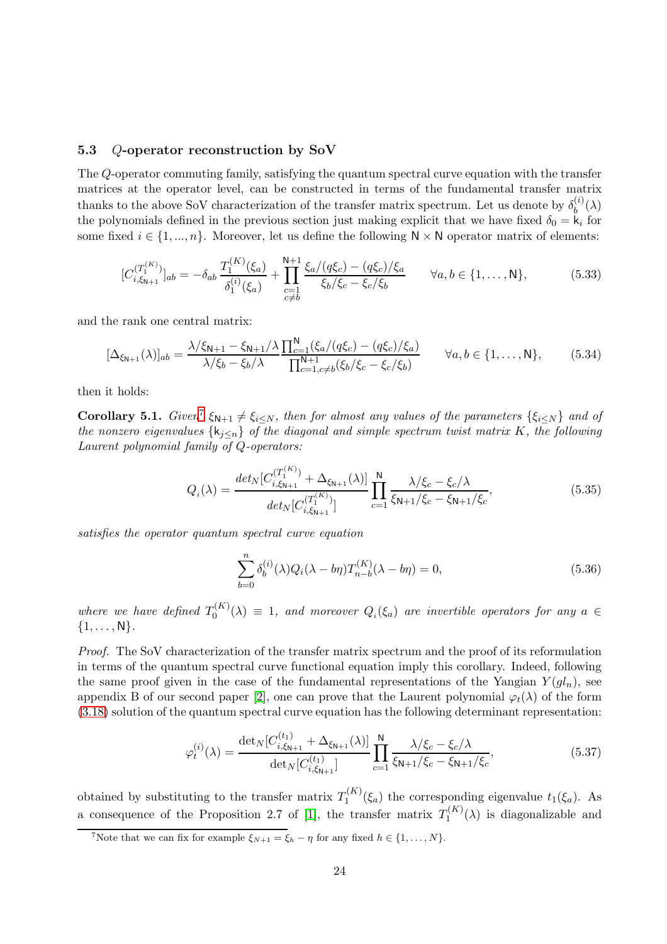#### <span id="page-23-0"></span>5.3 Q-operator reconstruction by SoV

The Q-operator commuting family, satisfying the quantum spectral curve equation with the transfer matrices at the operator level, can be constructed in terms of the fundamental transfer matrix thanks to the above SoV characterization of the transfer matrix spectrum. Let us denote by  $\delta_h^{(i)}$  $\binom{u}{b}(\lambda)$ the polynomials defined in the previous section just making explicit that we have fixed  $\delta_0 = \mathbf{k}_i$  for some fixed  $i \in \{1, ..., n\}$ . Moreover, let us define the following  $N \times N$  operator matrix of elements:

$$
[C_{i,\xi_{N+1}}^{(T_1^{(K)})}]_{ab} = -\delta_{ab} \frac{T_1^{(K)}(\xi_a)}{\delta_1^{(i)}(\xi_a)} + \prod_{\substack{c=1 \ c \neq b}}^{N+1} \frac{\xi_a/(q\xi_c) - (q\xi_c)/\xi_a}{\xi_b/\xi_c - \xi_c/\xi_b} \qquad \forall a, b \in \{1, ..., N\},
$$
(5.33)

and the rank one central matrix:

$$
[\Delta_{\xi_{N+1}}(\lambda)]_{ab} = \frac{\lambda/\xi_{N+1} - \xi_{N+1}/\lambda}{\lambda/\xi_b - \xi_b/\lambda} \frac{\prod_{c=1}^{N} (\xi_a/(q\xi_c) - (q\xi_c)/\xi_a)}{\prod_{c=1, c \neq b}^{N+1} (\xi_b/\xi_c - \xi_c/\xi_b)} \qquad \forall a, b \in \{1, ..., N\},
$$
(5.34)

then it holds:

**Corollary 5.1.** Given<sup>[7](#page-23-1)</sup>  $\xi_{N+1} \neq \xi_{i \leq N}$ , then for almost any values of the parameters  $\{\xi_{i \leq N}\}$  and of the nonzero eigenvalues  $\{k_{i\leq n}\}\$  of the diagonal and simple spectrum twist matrix K, the following Laurent polynomial family of Q-operators:

$$
Q_i(\lambda) = \frac{det_N[C_{i,\xi_{N+1}}^{(T_1^{(K)})} + \Delta_{\xi_{N+1}}(\lambda)]}{det_N[C_{i,\xi_{N+1}}^{(T_1^{(K)})}]}\prod_{c=1}^N \frac{\lambda/\xi_c - \xi_c/\lambda}{\xi_{N+1}/\xi_c - \xi_{N+1}/\xi_c},\tag{5.35}
$$

satisfies the operator quantum spectral curve equation

$$
\sum_{b=0}^{n} \delta_b^{(i)}(\lambda) Q_i(\lambda - b\eta) T_{n-b}^{(K)}(\lambda - b\eta) = 0,
$$
\n(5.36)

where we have defined  $T_0^{(K)}$  $Q_0^{(N)}(\lambda) \equiv 1$ , and moreover  $Q_i(\xi_a)$  are invertible operators for any  $a \in$  $\{1, \ldots, N\}.$ 

Proof. The SoV characterization of the transfer matrix spectrum and the proof of its reformulation in terms of the quantum spectral curve functional equation imply this corollary. Indeed, following the same proof given in the case of the fundamental representations of the Yangian  $Y(gl_n)$ , see appendix B of our second paper [\[2\]](#page-32-7), one can prove that the Laurent polynomial  $\varphi_t(\lambda)$  of the form (3.[18\)](#page-12-2) solution of the quantum spectral curve equation has the following determinant representation:

$$
\varphi_t^{(i)}(\lambda) = \frac{\det_N[C_{i,\xi_{N+1}}^{(t_1)} + \Delta_{\xi_{N+1}}(\lambda)]}{\det_N[C_{i,\xi_{N+1}}^{(t_1)}]} \prod_{c=1}^N \frac{\lambda/\xi_c - \xi_c/\lambda}{\xi_{N+1}/\xi_c - \xi_{N+1}/\xi_c},\tag{5.37}
$$

obtained by substituting to the transfer matrix  $T_1^{(K)}$  $t_1^{(N)}(\xi_a)$  the corresponding eigenvalue  $t_1(\xi_a)$ . As a consequence of the Proposition 2.7 of [\[1\]](#page-32-0), the transfer matrix  $T_1^{(K)}$  $\binom{n}{1}(\lambda)$  is diagonalizable and

<span id="page-23-1"></span><sup>&</sup>lt;sup>7</sup>Note that we can fix for example  $\xi_{N+1} = \xi_h - \eta$  for any fixed  $h \in \{1, ..., N\}$ .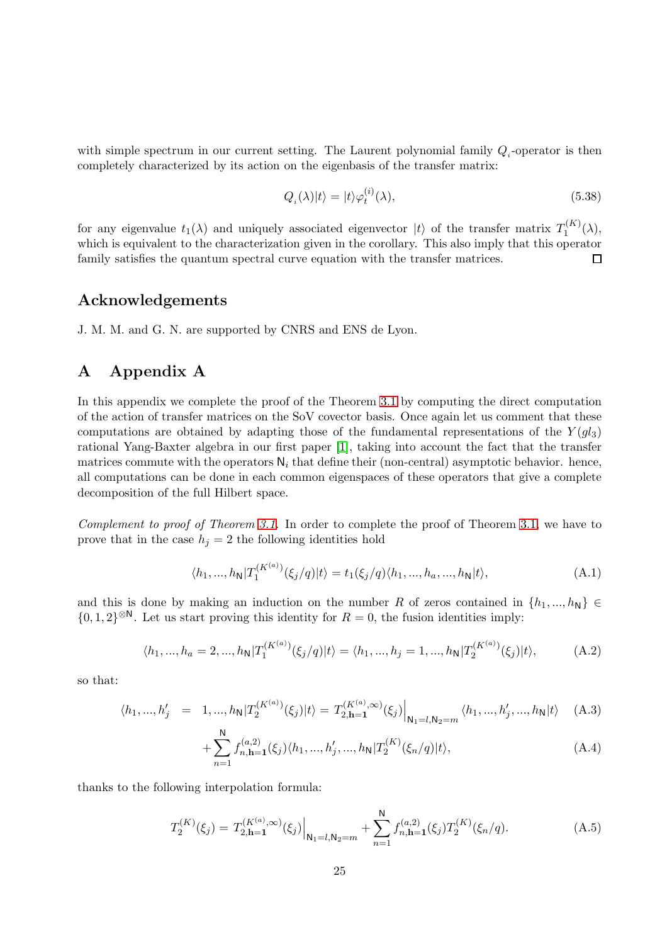with simple spectrum in our current setting. The Laurent polynomial family  $Q_i$ -operator is then completely characterized by its action on the eigenbasis of the transfer matrix:

$$
Q_i(\lambda)|t\rangle = |t\rangle \varphi_t^{(i)}(\lambda),\tag{5.38}
$$

for any eigenvalue  $t_1(\lambda)$  and uniquely associated eigenvector  $|t\rangle$  of the transfer matrix  $T_1^{(K)}$  $\mathbb{I}^{(N)}_1(\lambda),$ which is equivalent to the characterization given in the corollary. This also imply that this operator family satisfies the quantum spectral curve equation with the transfer matrices. 口

### Acknowledgements

J. M. M. and G. N. are supported by CNRS and ENS de Lyon.

### <span id="page-24-0"></span>A Appendix A

In this appendix we complete the proof of the Theorem [3.1](#page-10-2) by computing the direct computation of the action of transfer matrices on the SoV covector basis. Once again let us comment that these computations are obtained by adapting those of the fundamental representations of the  $Y(g_{3})$ rational Yang-Baxter algebra in our first paper [\[1\]](#page-32-0), taking into account the fact that the transfer matrices commute with the operators  $N_i$  that define their (non-central) asymptotic behavior. hence, all computations can be done in each common eigenspaces of these operators that give a complete decomposition of the full Hilbert space.

Complement to proof of Theorem [3.1.](#page-10-2) In order to complete the proof of Theorem [3.1,](#page-10-2) we have to prove that in the case  $h_i = 2$  the following identities hold

$$
\langle h_1, ..., h_N | T_1^{(K^{(a)})} (\xi_j/q) | t \rangle = t_1(\xi_j/q) \langle h_1, ..., h_a, ..., h_N | t \rangle,
$$
\n(A.1)

and this is done by making an induction on the number R of zeros contained in  $\{h_1, ..., h_N\} \in$  $\{0, 1, 2\}^{\otimes N}$ . Let us start proving this identity for  $R = 0$ , the fusion identities imply:

$$
\langle h_1, ..., h_a = 2, ..., h_N | T_1^{(K^{(a)})} (\xi_j/q) | t \rangle = \langle h_1, ..., h_j = 1, ..., h_N | T_2^{(K^{(a)})} (\xi_j) | t \rangle, \tag{A.2}
$$

so that:

$$
\langle h_1, ..., h'_j \quad = \quad 1, ..., h_\mathsf{N} | T_2^{(K^{(a)})}(\xi_j) | t \rangle = T_{2, \mathsf{h} = 1}^{(K^{(a)}, \infty)}(\xi_j) \Big|_{\mathsf{N}_1 = l, \mathsf{N}_2 = m} \langle h_1, ..., h'_j, ..., h_\mathsf{N} | t \rangle \tag{A.3}
$$

+
$$
\sum_{n=1}^{N} f_{n,\mathbf{h}=\mathbf{1}}^{(a,2)}(\xi_j) \langle h_1, ..., h'_j, ..., h_{\mathbf{N}} | T_2^{(K)}(\xi_n/q) | t \rangle,
$$
 (A.4)

thanks to the following interpolation formula:

$$
T_2^{(K)}(\xi_j) = T_{2,\mathbf{h}=\mathbf{1}}^{(K^{(a)},\infty)}(\xi_j)\Big|_{\mathbf{N}_1=l, \mathbf{N}_2=m} + \sum_{n=1}^{\mathbf{N}} f_{n,\mathbf{h}=\mathbf{1}}^{(a,2)}(\xi_j) T_2^{(K)}(\xi_n/q). \tag{A.5}
$$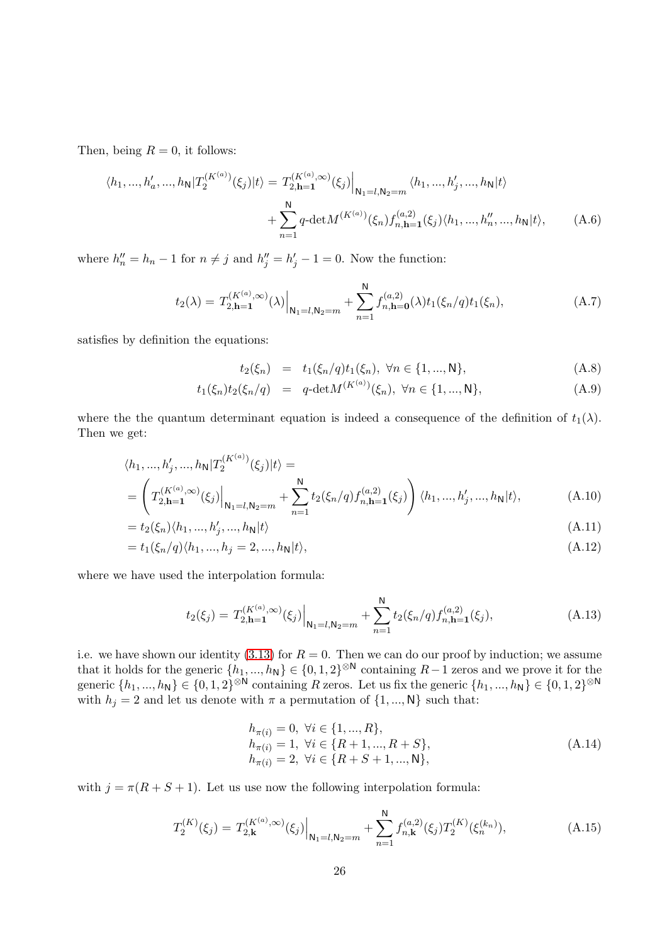Then, being  $R = 0$ , it follows:

$$
\langle h_1, ..., h'_a, ..., h_{\mathsf{N}} | T_2^{(K^{(a)})}(\xi_j) | t \rangle = T_{2, \mathbf{h} = \mathbf{1}}^{(K^{(a)}, \infty)}(\xi_j) \Big|_{\mathbf{N}_1 = l, \mathbf{N}_2 = m} \langle h_1, ..., h'_j, ..., h_{\mathsf{N}} | t \rangle
$$
  
+ 
$$
\sum_{n=1}^{\mathsf{N}} q \cdot \det M^{(K^{(a)})}(\xi_n) f_{n, \mathbf{h} = \mathbf{1}}^{(a, 2)}(\xi_j) \langle h_1, ..., h'_n, ..., h_{\mathsf{N}} | t \rangle, \tag{A.6}
$$

where  $h''_n = h_n - 1$  for  $n \neq j$  and  $h''_j = h'_j - 1 = 0$ . Now the function:

$$
t_2(\lambda) = T_{2,\mathbf{h}=\mathbf{1}}^{(K^{(a)},\infty)}(\lambda) \Big|_{\mathbf{N}_1 = l, \mathbf{N}_2 = m} + \sum_{n=1}^{\mathbf{N}} f_{n,\mathbf{h}=\mathbf{0}}^{(a,2)}(\lambda) t_1(\xi_n/q) t_1(\xi_n), \tag{A.7}
$$

satisfies by definition the equations:

$$
t_2(\xi_n) = t_1(\xi_n/q)t_1(\xi_n), \ \forall n \in \{1, ..., N\},
$$
\n(A.8)

$$
t_1(\xi_n)t_2(\xi_n/q) = q-\det M^{(K^{(a)})}(\xi_n), \ \forall n \in \{1, ..., N\},\tag{A.9}
$$

where the the quantum determinant equation is indeed a consequence of the definition of  $t_1(\lambda)$ . Then we get:

$$
\langle h_1, ..., h'_j, ..., h_{\mathsf{N}} | T_2^{(K^{(a)})}(\xi_j) | t \rangle =
$$
\n
$$
= \left( T_{2, \mathbf{h} = 1}^{(K^{(a)}, \infty)}(\xi_j) \Big|_{\mathbf{N}_1 = l, \mathbf{N}_2 = m} + \sum_{n=1}^{\mathsf{N}} t_2(\xi_n/q) f_{n, \mathbf{h} = 1}^{(a, 2)}(\xi_j) \right) \langle h_1, ..., h'_j, ..., h_{\mathsf{N}} | t \rangle,
$$
\n(A.10)

$$
= t_2(\xi_n)\langle h_1, ..., h'_j, ..., h_N|t\rangle
$$
\n(A.11)

$$
= t_1(\xi_n/q)\langle h_1, ..., h_j = 2, ..., h_N|t\rangle,
$$
\n(A.12)

where we have used the interpolation formula:

$$
t_2(\xi_j) = T_{2,\mathbf{h}=\mathbf{1}}^{(K^{(a)},\infty)}(\xi_j)\Big|_{\mathbf{N}_1=l,\mathbf{N}_2=m} + \sum_{n=1}^{\mathbf{N}} t_2(\xi_n/q) f_{n,\mathbf{h}=\mathbf{1}}^{(a,2)}(\xi_j),\tag{A.13}
$$

i.e. we have shown our identity (3.[13\)](#page-11-1) for  $R = 0$ . Then we can do our proof by induction; we assume that it holds for the generic  $\{h_1, ..., h_N\} \in \{0, 1, 2\}^{\otimes N}$  containing  $R-1$  zeros and we prove it for the generic  $\{h_1, ..., h_N\} \in \{0, 1, 2\}^{\otimes N}$  containing R zeros. Let us fix the generic  $\{h_1, ..., h_N\} \in \{0, 1, 2\}^{\otimes N}$ with  $h_j = 2$  and let us denote with  $\pi$  a permutation of  $\{1, ..., N\}$  such that:

$$
h_{\pi(i)} = 0, \forall i \in \{1, ..., R\},
$$
  
\n
$$
h_{\pi(i)} = 1, \forall i \in \{R + 1, ..., R + S\},
$$
  
\n
$$
h_{\pi(i)} = 2, \forall i \in \{R + S + 1, ..., N\},
$$
  
\n(A.14)

with  $j = \pi(R + S + 1)$ . Let us use now the following interpolation formula:

$$
T_2^{(K)}(\xi_j) = T_{2,\mathbf{k}}^{(K^{(a)},\infty)}(\xi_j)\Big|_{\mathbf{N}_1 = l, \mathbf{N}_2 = m} + \sum_{n=1}^{\mathbf{N}} f_{n,\mathbf{k}}^{(a,2)}(\xi_j) T_2^{(K)}(\xi_n^{(k_n)}), \tag{A.15}
$$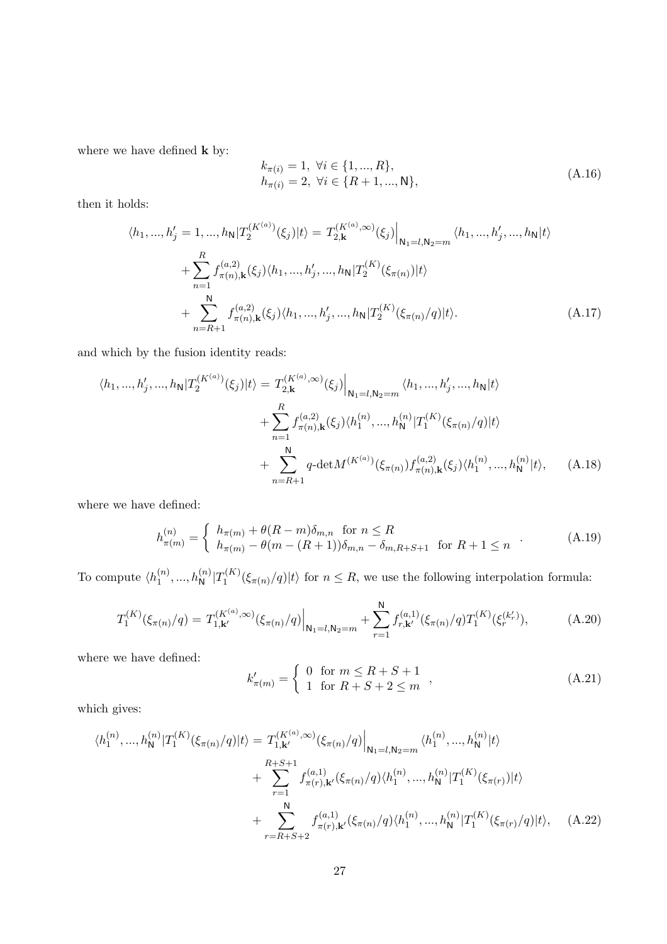where we have defined  ${\bf k}$  by:

$$
k_{\pi(i)} = 1, \ \forall i \in \{1, ..., R\},
$$
  
\n
$$
h_{\pi(i)} = 2, \ \forall i \in \{R + 1, ..., N\},
$$
\n(A.16)

then it holds:

$$
\langle h_1, ..., h'_j = 1, ..., h_N | T_2^{(K^{(a)})}(\xi_j) | t \rangle = T_{2, \mathbf{k}}^{(K^{(a)}, \infty)}(\xi_j) \Big|_{\mathbf{N}_1 = l, \mathbf{N}_2 = m} \langle h_1, ..., h'_j, ..., h_N | t \rangle
$$
  
+ 
$$
\sum_{n=1}^R f_{\pi(n), \mathbf{k}}^{(a,2)}(\xi_j) \langle h_1, ..., h'_j, ..., h_N | T_2^{(K)}(\xi_{\pi(n)}) | t \rangle
$$
  
+ 
$$
\sum_{n=R+1}^N f_{\pi(n), \mathbf{k}}^{(a,2)}(\xi_j) \langle h_1, ..., h'_j, ..., h_N | T_2^{(K)}(\xi_{\pi(n)}/q) | t \rangle.
$$
 (A.17)

and which by the fusion identity reads:

$$
\langle h_1, ..., h'_j, ..., h_N | T_2^{(K^{(a)})}(\xi_j) | t \rangle = T_{2, \mathbf{k}}^{(K^{(a)}, \infty)}(\xi_j) \Big|_{\mathbf{N}_1 = l, \mathbf{N}_2 = m} \langle h_1, ..., h'_j, ..., h_N | t \rangle
$$
  
+ 
$$
\sum_{n=1}^R f_{\pi(n), \mathbf{k}}^{(a, 2)}(\xi_j) \langle h_1^{(n)}, ..., h_N^{(n)} | T_1^{(K)}(\xi_{\pi(n)}/q) | t \rangle
$$
  
+ 
$$
\sum_{n=R+1}^N q \cdot \det M^{(K^{(a)})}(\xi_{\pi(n)}) f_{\pi(n), \mathbf{k}}^{(a, 2)}(\xi_j) \langle h_1^{(n)}, ..., h_N^{(n)} | t \rangle, \qquad (A.18)
$$

where we have defined:

$$
h_{\pi(m)}^{(n)} = \begin{cases} h_{\pi(m)} + \theta(R-m)\delta_{m,n} & \text{for } n \le R \\ h_{\pi(m)} - \theta(m-(R+1))\delta_{m,n} - \delta_{m,R+S+1} & \text{for } R+1 \le n \end{cases}
$$
 (A.19)

To compute  $\langle h_1^{(n)} \rangle$  $\binom{n}{1}, \ldots, \binom{n}{N}$   $\left| T_1^{(K)} \right|$  $\int_1^{(R)} (\xi_{\pi(n)}/q) |t\rangle$  for  $n \leq R$ , we use the following interpolation formula:

$$
T_1^{(K)}(\xi_{\pi(n)}/q) = T_{1,\mathbf{k}'}^{(K^{(a)},\infty)}(\xi_{\pi(n)}/q)\Big|_{\mathbf{N}_1=l,\mathbf{N}_2=m} + \sum_{r=1}^{\mathbf{N}} f_{r,\mathbf{k}'}^{(a,1)}(\xi_{\pi(n)}/q) T_1^{(K)}(\xi_r^{(k_r')}),\tag{A.20}
$$

where we have defined:

<span id="page-26-0"></span>
$$
k'_{\pi(m)} = \begin{cases} 0 & \text{for } m \le R + S + 1 \\ 1 & \text{for } R + S + 2 \le m \end{cases},
$$
 (A.21)

which gives:

$$
\langle h_1^{(n)}, \dots, h_N^{(n)} | T_1^{(K)}(\xi_{\pi(n)}/q) | t \rangle = T_{1,\mathbf{k}'}^{(K^{(a)}, \infty)}(\xi_{\pi(n)}/q) \Big|_{\mathbf{N}_1 = l, \mathbf{N}_2 = m} \langle h_1^{(n)}, \dots, h_N^{(n)} | t \rangle + \sum_{r=1}^{R+S+1} f_{\pi(r),\mathbf{k}'}^{(a,1)}(\xi_{\pi(n)}/q) \langle h_1^{(n)}, \dots, h_N^{(n)} | T_1^{(K)}(\xi_{\pi(r)}) | t \rangle + \sum_{r=R+S+2}^{N} f_{\pi(r),\mathbf{k}'}^{(a,1)}(\xi_{\pi(n)}/q) \langle h_1^{(n)}, \dots, h_N^{(n)} | T_1^{(K)}(\xi_{\pi(r)}/q) | t \rangle, \quad (A.22)
$$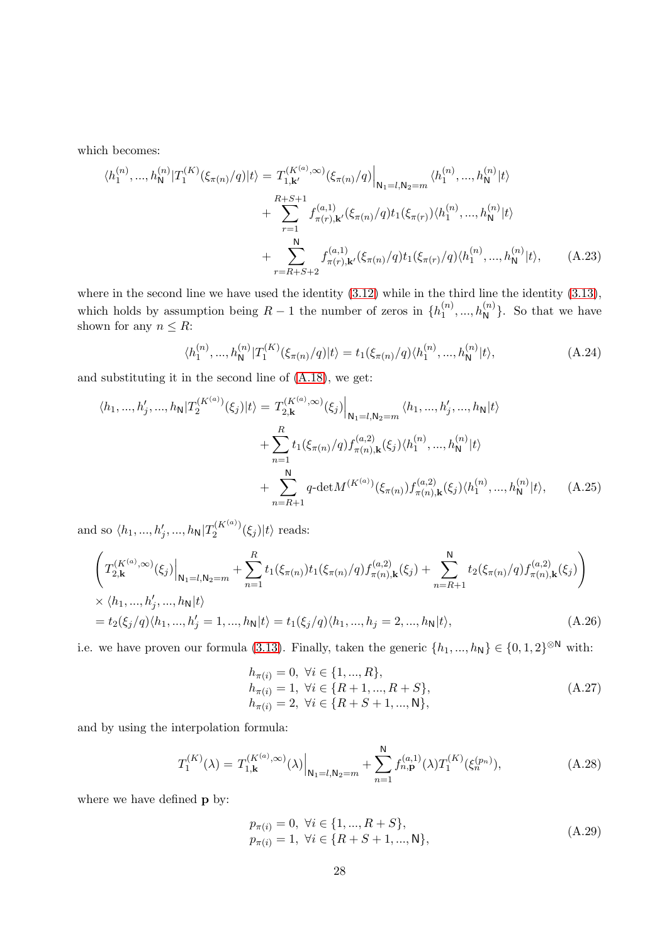which becomes:

$$
\langle h_1^{(n)}, \dots, h_N^{(n)} | T_1^{(K)}(\xi_{\pi(n)}/q) | t \rangle = T_{1,\mathbf{k}'}^{(K^{(a)},\infty)}(\xi_{\pi(n)}/q) \Big|_{\mathsf{N}_1 = l, \mathsf{N}_2 = m} \langle h_1^{(n)}, \dots, h_N^{(n)} | t \rangle + \sum_{r=1}^{R+S+1} f_{\pi(r),\mathbf{k}'}^{(a,1)}(\xi_{\pi(n)}/q) t_1(\xi_{\pi(r)}) \langle h_1^{(n)}, \dots, h_N^{(n)} | t \rangle + \sum_{r=R+S+2}^{N} f_{\pi(r),\mathbf{k}'}^{(a,1)}(\xi_{\pi(n)}/q) t_1(\xi_{\pi(r)}/q) \langle h_1^{(n)}, \dots, h_N^{(n)} | t \rangle, \tag{A.23}
$$

where in the second line we have used the identity  $(3.12)$  $(3.12)$  while in the third line the identity  $(3.13)$  $(3.13)$ , which holds by assumption being  $R-1$  the number of zeros in  $\{h_1^{(n)}\}$  $\binom{n}{1}, \ldots, \binom{n}{N}$ . So that we have shown for any  $n \leq R$ :

$$
\langle h_1^{(n)}, \dots, h_N^{(n)} | T_1^{(K)}(\xi_{\pi(n)}/q) | t \rangle = t_1(\xi_{\pi(n)}/q) \langle h_1^{(n)}, \dots, h_N^{(n)} | t \rangle, \tag{A.24}
$$

and substituting it in the second line of [\(A.18\)](#page-26-0), we get:

$$
\langle h_1, ..., h'_j, ..., h_N | T_2^{(K^{(a)})}(\xi_j) | t \rangle = T_{2, \mathbf{k}}^{(K^{(a)}, \infty)}(\xi_j) \Big|_{\mathbf{N}_1 = l, \mathbf{N}_2 = m} \langle h_1, ..., h'_j, ..., h_N | t \rangle
$$
  
+ 
$$
\sum_{n=1}^R t_1(\xi_{\pi(n)}/q) f_{\pi(n), \mathbf{k}}^{(a,2)}(\xi_j) \langle h_1^{(n)}, ..., h_N^{(n)} | t \rangle
$$
  
+ 
$$
\sum_{n=R+1}^N q \cdot \det M^{(K^{(a)})}(\xi_{\pi(n)}) f_{\pi(n), \mathbf{k}}^{(a,2)}(\xi_j) \langle h_1^{(n)}, ..., h_N^{(n)} | t \rangle, \qquad (A.25)
$$

and so  $\langle h_1, ..., h'_j, ..., h_{\mathsf{N}} | T_2^{(K^{(a)})} \rangle$  $2^{(K^{(1)})'}(\xi_j)|t\rangle$  reads:

$$
\left(T_{2,\mathbf{k}}^{(K^{(a)},\infty)}(\xi_j)\Big|_{\mathbf{N}_1=l,\mathbf{N}_2=m}+\sum_{n=1}^R t_1(\xi_{\pi(n)})t_1(\xi_{\pi(n)}/q)f_{\pi(n),\mathbf{k}}^{(a,2)}(\xi_j)+\sum_{n=R+1}^N t_2(\xi_{\pi(n)}/q)f_{\pi(n),\mathbf{k}}^{(a,2)}(\xi_j)\right)
$$
  
\n
$$
\times \langle h_1,...,h'_j,...,h_{\mathbf{N}}|t\rangle
$$
  
\n
$$
=t_2(\xi_j/q)\langle h_1,...,h'_j=1,...,h_{\mathbf{N}}|t\rangle=t_1(\xi_j/q)\langle h_1,...,h_j=2,...,h_{\mathbf{N}}|t\rangle,
$$
\n(A.26)

i.e. we have proven our formula (3.[13\)](#page-11-1). Finally, taken the generic  $\{h_1, ..., h_N\} \in \{0, 1, 2\}^{\otimes N}$  with:

$$
h_{\pi(i)} = 0, \forall i \in \{1, ..., R\},
$$
  
\n
$$
h_{\pi(i)} = 1, \forall i \in \{R + 1, ..., R + S\},
$$
  
\n
$$
h_{\pi(i)} = 2, \forall i \in \{R + S + 1, ..., N\},
$$
  
\n(A.27)

and by using the interpolation formula:

$$
T_1^{(K)}(\lambda) = T_{1,\mathbf{k}}^{(K^{(a)},\infty)}(\lambda) \Big|_{\mathbf{N}_1 = l, \mathbf{N}_2 = m} + \sum_{n=1}^{\mathbf{N}} f_{n,\mathbf{p}}^{(a,1)}(\lambda) T_1^{(K)}(\xi_n^{(p_n)}), \tag{A.28}
$$

where we have defined **p** by:

$$
p_{\pi(i)} = 0, \forall i \in \{1, ..., R + S\},
$$
  
\n
$$
p_{\pi(i)} = 1, \forall i \in \{R + S + 1, ..., N\},
$$
\n(A.29)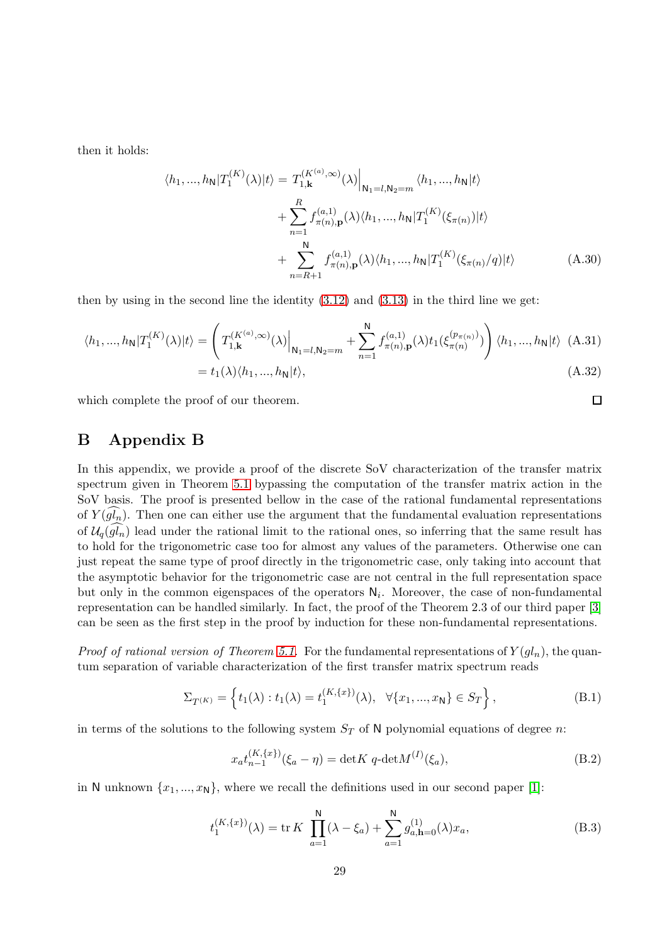then it holds:

$$
\langle h_1, ..., h_N | T_1^{(K)}(\lambda) | t \rangle = T_{1, \mathbf{k}}^{(K^{(a)}, \infty)}(\lambda) \Big|_{\mathbf{N}_1 = l, \mathbf{N}_2 = m} \langle h_1, ..., h_N | t \rangle + \sum_{n=1}^R f_{\pi(n), \mathbf{p}}^{(a, 1)}(\lambda) \langle h_1, ..., h_N | T_1^{(K)}(\xi_{\pi(n)}) | t \rangle + \sum_{n=R+1}^N f_{\pi(n), \mathbf{p}}^{(a, 1)}(\lambda) \langle h_1, ..., h_N | T_1^{(K)}(\xi_{\pi(n)}/q) | t \rangle
$$
(A.30)

then by using in the second line the identity  $(3.12)$  $(3.12)$  and  $(3.13)$  $(3.13)$  in the third line we get:

$$
\langle h_1, ..., h_N | T_1^{(K)}(\lambda) | t \rangle = \left( T_{1,\mathbf{k}}^{(K^{(a)}, \infty)}(\lambda) \Big|_{\mathbf{N}_1 = l, \mathbf{N}_2 = m} + \sum_{n=1}^N f_{\pi(n),\mathbf{p}}^{(a,1)}(\lambda) t_1(\xi_{\pi(n)}^{(p_{\pi(n)})}) \right) \langle h_1, ..., h_N | t \rangle
$$
(A.31)  
=  $t_1(\lambda) \langle h_1, ..., h_N | t \rangle$ , (A.32)

which complete the proof of our theorem.

### <span id="page-28-0"></span>B Appendix B

In this appendix, we provide a proof of the discrete SoV characterization of the transfer matrix spectrum given in Theorem [5.1](#page-19-1) bypassing the computation of the transfer matrix action in the SoV basis. The proof is presented bellow in the case of the rational fundamental representations of  $Y(gl_n)$ . Then one can either use the argument that the fundamental evaluation representations of  $\mathcal{U}_q(gl_n)$  lead under the rational limit to the rational ones, so inferring that the same result has to hold for the trigonometric case too for almost any values of the parameters. Otherwise one can just repeat the same type of proof directly in the trigonometric case, only taking into account that the asymptotic behavior for the trigonometric case are not central in the full representation space but only in the common eigenspaces of the operators  $N_i$ . Moreover, the case of non-fundamental representation can be handled similarly. In fact, the proof of the Theorem 2.3 of our third paper [\[3\]](#page-32-1) can be seen as the first step in the proof by induction for these non-fundamental representations.

*Proof of rational version of Theorem [5.1.](#page-19-1)* For the fundamental representations of  $Y(gl_n)$ , the quantum separation of variable characterization of the first transfer matrix spectrum reads

$$
\Sigma_{T^{(K)}} = \left\{ t_1(\lambda) : t_1(\lambda) = t_1^{(K, \{x\})}(\lambda), \ \forall \{x_1, ..., x_N\} \in S_T \right\},\tag{B.1}
$$

in terms of the solutions to the following system  $S_T$  of N polynomial equations of degree n:

<span id="page-28-1"></span>
$$
x_a t_{n-1}^{(K,\{x\})}(\xi_a - \eta) = \det K q - \det M^{(I)}(\xi_a),
$$
\n(B.2)

in N unknown  $\{x_1, ..., x_N\}$ , where we recall the definitions used in our second paper [\[1\]](#page-32-0):

$$
t_1^{(K,\{x\})}(\lambda) = \text{tr}\,K\,\,\prod_{a=1}^{\mathsf{N}}(\lambda - \xi_a) + \sum_{a=1}^{\mathsf{N}}g_{a,\mathbf{h}=0}^{(1)}(\lambda)x_a,\tag{B.3}
$$

 $\Box$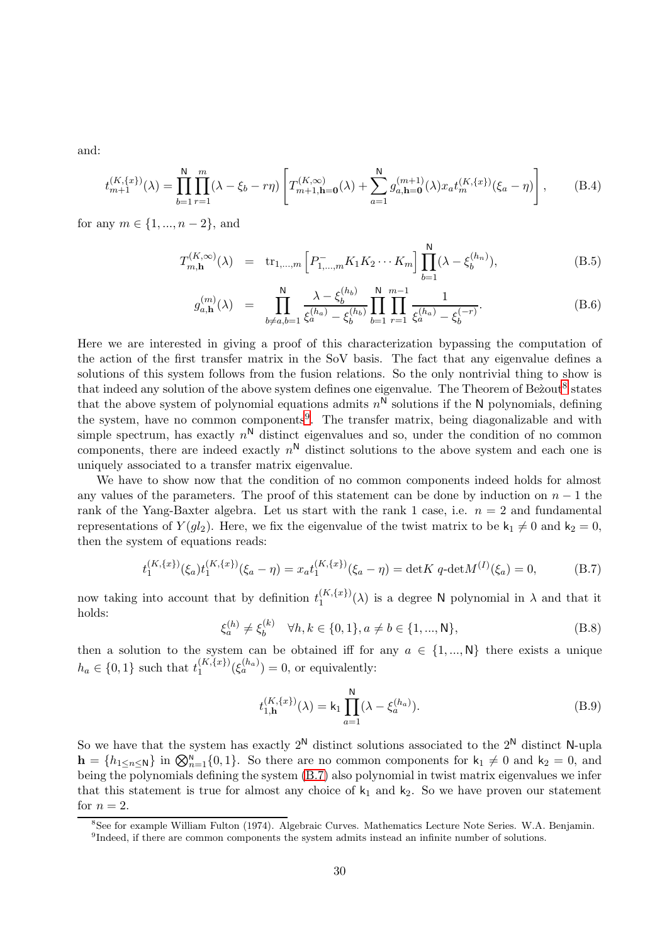and:

$$
t_{m+1}^{(K,\{x\})}(\lambda) = \prod_{b=1}^{N} \prod_{r=1}^{m} (\lambda - \xi_b - r\eta) \left[ T_{m+1,\mathbf{h}=\mathbf{0}}^{(K,\infty)}(\lambda) + \sum_{a=1}^{N} g_{a,\mathbf{h}=\mathbf{0}}^{(m+1)}(\lambda) x_a t_m^{(K,\{x\})}(\xi_a - \eta) \right],
$$
(B.4)

for any  $m \in \{1, ..., n-2\}$ , and

$$
T_{m,\mathbf{h}}^{(K,\infty)}(\lambda) = \text{tr}_{1,\dots,m} \left[ P_{1,\dots,m}^- K_1 K_2 \cdots K_m \right] \prod_{b=1}^{\mathsf{N}} (\lambda - \xi_b^{(h_n)}), \tag{B.5}
$$

$$
g_{a,\mathbf{h}}^{(m)}(\lambda) = \prod_{b \neq a,b=1}^{N} \frac{\lambda - \xi_b^{(h_b)}}{\xi_a^{(h_a)} - \xi_b^{(h_b)}} \prod_{b=1}^{N} \prod_{r=1}^{m-1} \frac{1}{\xi_a^{(h_a)} - \xi_b^{(-r)}}.
$$
 (B.6)

Here we are interested in giving a proof of this characterization bypassing the computation of the action of the first transfer matrix in the SoV basis. The fact that any eigenvalue defines a solutions of this system follows from the fusion relations. So the only nontrivial thing to show is that indeed any solution of the above system defines one eigenvalue. The Theorem of Be'zout<sup>[8](#page-29-0)</sup> states that the above system of polynomial equations admits  $n^N$  solutions if the N polynomials, defining the system, have no common components<sup>[9](#page-29-1)</sup>. The transfer matrix, being diagonalizable and with simple spectrum, has exactly  $n^N$  distinct eigenvalues and so, under the condition of no common components, there are indeed exactly  $n^N$  distinct solutions to the above system and each one is uniquely associated to a transfer matrix eigenvalue.

We have to show now that the condition of no common components indeed holds for almost any values of the parameters. The proof of this statement can be done by induction on  $n-1$  the rank of the Yang-Baxter algebra. Let us start with the rank 1 case, i.e.  $n = 2$  and fundamental representations of  $Y(gl_2)$ . Here, we fix the eigenvalue of the twist matrix to be  $k_1 \neq 0$  and  $k_2 = 0$ , then the system of equations reads:

$$
t_1^{(K,\{x\})}(\xi_a)t_1^{(K,\{x\})}(\xi_a-\eta) = x_a t_1^{(K,\{x\})}(\xi_a-\eta) = \det K q - \det M^{(I)}(\xi_a) = 0,
$$
 (B.7)

now taking into account that by definition  $t_1^{(K,\lbrace x \rbrace)}$  $\binom{K,\{x\}}{\lambda}$  is a degree N polynomial in  $\lambda$  and that it holds:

<span id="page-29-2"></span>
$$
\xi_a^{(h)} \neq \xi_b^{(k)} \quad \forall h, k \in \{0, 1\}, a \neq b \in \{1, ..., N\},\tag{B.8}
$$

then a solution to the system can be obtained iff for any  $a \in \{1, ..., N\}$  there exists a unique  $h_a \in \{0, 1\}$  such that  $t_1^{(K, \{x\})}$  $1^{(K,\lbrace x \rbrace)}(\xi_a^{(h_a)}) = 0$ , or equivalently:

$$
t_{1,\mathbf{h}}^{(K,\{x\})}(\lambda) = \mathbf{k}_1 \prod_{a=1}^{\mathbf{N}} (\lambda - \xi_a^{(h_a)}).
$$
 (B.9)

So we have that the system has exactly  $2^N$  distinct solutions associated to the  $2^N$  distinct N-upla  $h = \{h_{1\leq n\leq N}\}\$ in  $\bigotimes_{n=1}^{N} \{0, 1\}$ . So there are no common components for  $k_1 \neq 0$  and  $k_2 = 0$ , and being the polynomials defining the system [\(B.7\)](#page-29-2) also polynomial in twist matrix eigenvalues we infer that this statement is true for almost any choice of  $k_1$  and  $k_2$ . So we have proven our statement for  $n = 2$ .

<sup>8</sup> See for example William Fulton (1974). Algebraic Curves. Mathematics Lecture Note Series. W.A. Benjamin.

<span id="page-29-1"></span><span id="page-29-0"></span><sup>&</sup>lt;sup>9</sup>Indeed, if there are common components the system admits instead an infinite number of solutions.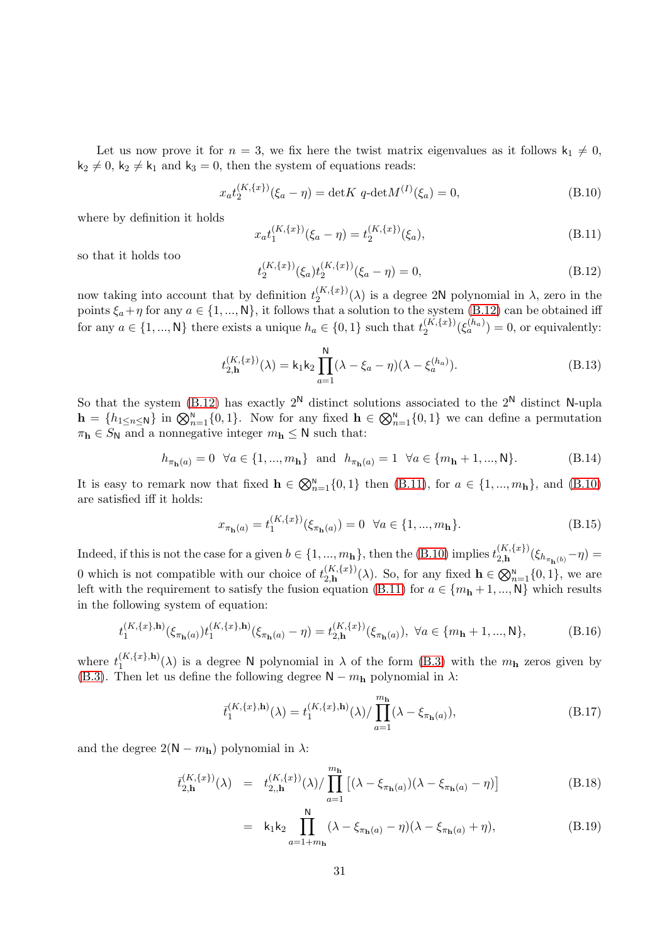Let us now prove it for  $n = 3$ , we fix here the twist matrix eigenvalues as it follows  $k_1 \neq 0$ ,  $k_2 \neq 0$ ,  $k_2 \neq k_1$  and  $k_3 = 0$ , then the system of equations reads:

<span id="page-30-1"></span><span id="page-30-0"></span>
$$
x_a t_2^{(K,\{x\})}(\xi_a - \eta) = \det K q - \det M^{(I)}(\xi_a) = 0,
$$
\n(B.10)

where by definition it holds

<span id="page-30-2"></span>
$$
x_a t_1^{(K,\{x\})}(\xi_a - \eta) = t_2^{(K,\{x\})}(\xi_a),\tag{B.11}
$$

so that it holds too

$$
t_2^{(K,\{x\})}(\xi_a) t_2^{(K,\{x\})}(\xi_a - \eta) = 0,
$$
\n(B.12)

now taking into account that by definition  $t_2^{(K,\lbrace x \rbrace)}$  $\binom{K,\{x\}}{2}(\lambda)$  is a degree 2N polynomial in  $\lambda$ , zero in the points  $\xi_a + \eta$  for any  $a \in \{1, ..., N\}$ , it follows that a solution to the system [\(B.12\)](#page-30-0) can be obtained iff for any  $a \in \{1, ..., N\}$  there exists a unique  $h_a \in \{0, 1\}$  such that  $t_2^{(K, \{x\})}$  $2^{(K,\lbrace x \rbrace)}(\xi_a^{(h_a)}) = 0$ , or equivalently:

$$
t_{2,h}^{(K,\{x\})}(\lambda) = \mathsf{k}_1 \mathsf{k}_2 \prod_{a=1}^{N} (\lambda - \xi_a - \eta)(\lambda - \xi_a^{(h_a)}).
$$
 (B.13)

So that the system [\(B.12\)](#page-30-0) has exactly  $2^N$  distinct solutions associated to the  $2^N$  distinct N-upla  $h = \{h_{1 \leq n \leq N}\}\$ in  $\bigotimes_{n=1}^{N} \{0, 1\}$ . Now for any fixed  $h \in \bigotimes_{n=1}^{N} \{0, 1\}$  we can define a permutation  $\pi_{\mathbf{h}} \in S_{\mathsf{N}}$  and a nonnegative integer  $m_{\mathbf{h}} \leq \mathsf{N}$  such that:

$$
h_{\pi_{\mathbf{h}}(a)} = 0 \quad \forall a \in \{1, ..., m_{\mathbf{h}}\} \quad \text{and} \quad h_{\pi_{\mathbf{h}}(a)} = 1 \quad \forall a \in \{m_{\mathbf{h}} + 1, ..., \mathbf{N}\}.
$$
 (B.14)

It is easy to remark now that fixed  $h \in \mathbb{Q}_{n=1}^N\{0,1\}$  then [\(B.11\)](#page-30-1), for  $a \in \{1, ..., m_h\}$ , and [\(B.10\)](#page-30-2) are satisfied iff it holds:

$$
x_{\pi_{\mathbf{h}}(a)} = t_1^{(K,\{x\})}(\xi_{\pi_{\mathbf{h}}(a)}) = 0 \quad \forall a \in \{1, ..., m_{\mathbf{h}}\}.
$$
 (B.15)

Indeed, if this is not the case for a given  $b \in \{1, ..., m_{h}\}\$ , then the  $(B.10)$  implies  $t_{2,h}^{(K,\{x\})}$  $\zeta_{\bf h}^{(K,(x_f))}(\xi_{h_{\pi_{\bf h}(b)}}-\eta)=$ 0 which is not compatible with our choice of  $t_{2h}^{(K,\lbrace x \rbrace)}$  $(\mathcal{L}, {\mathcal{L}}, {\mathcal{L}})$  ( $\lambda$ ). So, for any fixed  $\mathbf{h} \in \bigotimes_{n=1}^{\mathbb{N}} \{0, 1\}$ , we are left with the requirement to satisfy the fusion equation [\(B.11\)](#page-30-1) for  $a \in \{m_h + 1, ..., N\}$  which results in the following system of equation:

$$
t_1^{(K,\{x\},\mathbf{h})}(\xi_{\pi_{\mathbf{h}}(a)})t_1^{(K,\{x\},\mathbf{h})}(\xi_{\pi_{\mathbf{h}}(a)} - \eta) = t_{2,\mathbf{h}}^{(K,\{x\})}(\xi_{\pi_{\mathbf{h}}(a)}), \ \forall a \in \{m_{\mathbf{h}}+1,...,\mathsf{N}\},\tag{B.16}
$$

where  $t_1^{(K,\lbrace x \rbrace,\mathbf{h})}$  $\binom{K,\{x\},h}{1}(\lambda)$  is a degree N polynomial in  $\lambda$  of the form [\(B.3\)](#page-28-1) with the  $m_h$  zeros given by [\(B.3\)](#page-28-1). Then let us define the following degree  $N - m_h$  polynomial in  $\lambda$ :

$$
\bar{t}_{1}^{(K,\{x\},\mathbf{h})}(\lambda) = t_{1}^{(K,\{x\},\mathbf{h})}(\lambda) / \prod_{a=1}^{m_{\mathbf{h}}} (\lambda - \xi_{\pi_{\mathbf{h}}(a)}), \tag{B.17}
$$

and the degree  $2(N - m_h)$  polynomial in  $\lambda$ :

$$
\bar{t}_{2,\mathbf{h}}^{(K,\{x\})}(\lambda) = t_{2,\mathbf{h}}^{(K,\{x\})}(\lambda) / \prod_{a=1}^{m_{\mathbf{h}}} \left[ (\lambda - \xi_{\pi_{\mathbf{h}}(a)}) (\lambda - \xi_{\pi_{\mathbf{h}}(a)} - \eta) \right]
$$
(B.18)

$$
= k_1 k_2 \prod_{a=1+m_{\mathbf{h}}}^{\mathbf{h}} (\lambda - \xi_{\pi_{\mathbf{h}}(a)} - \eta)(\lambda - \xi_{\pi_{\mathbf{h}}(a)} + \eta), \tag{B.19}
$$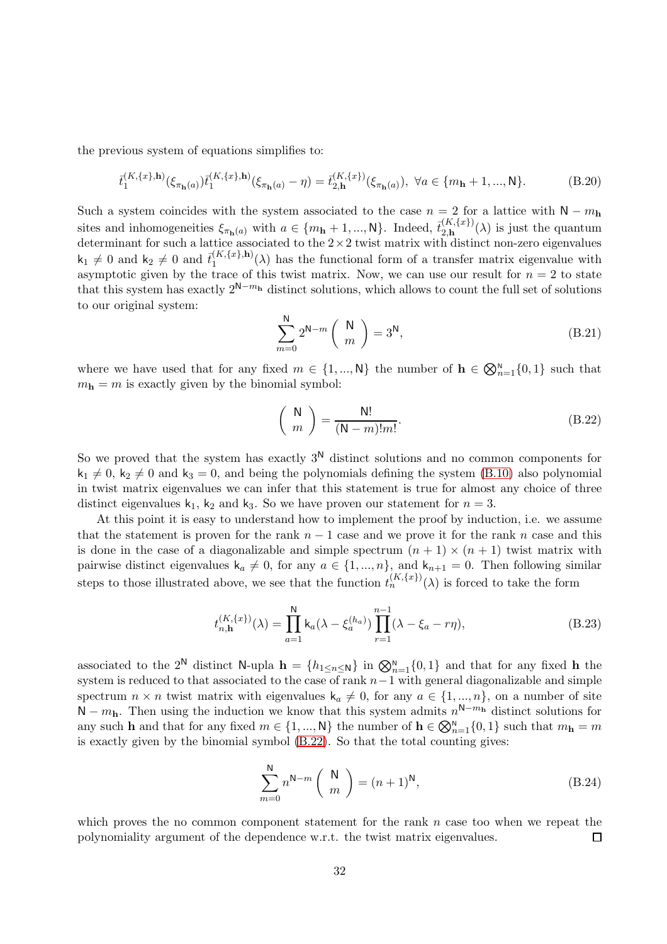the previous system of equations simplifies to:

$$
\bar{t}_{1}^{(K,\{x\},\mathbf{h})}(\xi_{\pi_{\mathbf{h}}(a)})\bar{t}_{1}^{(K,\{x\},\mathbf{h})}(\xi_{\pi_{\mathbf{h}}(a)}-\eta) = \bar{t}_{2,\mathbf{h}}^{(K,\{x\})}(\xi_{\pi_{\mathbf{h}}(a)}), \ \forall a \in \{m_{\mathbf{h}}+1,...,\mathsf{N}\}.
$$
 (B.20)

Such a system coincides with the system associated to the case  $n = 2$  for a lattice with  $N - m<sub>h</sub>$ sites and inhomogeneities  $\xi_{\pi_{\mathbf{h}}(a)}$  with  $a \in \{m_{\mathbf{h}}+1, ..., N\}$ . Indeed,  $\bar{t}_{2,\mathbf{h}}^{(K,\{x\})}$  $\lim_{(A,\mathbf{1}^n)}^{(A,\mathbf{1}^n)}(\lambda)$  is just the quantum determinant for such a lattice associated to the  $2 \times 2$  twist matrix with distinct non-zero eigenvalues  $\mathsf{k}_1 \neq 0$  and  $\mathsf{k}_2 \neq 0$  and  $\bar{t}_1^{(K,\{x\},\mathbf{h})}$  $1^{(A,\{x_i\},\Pi)}(\lambda)$  has the functional form of a transfer matrix eigenvalue with asymptotic given by the trace of this twist matrix. Now, we can use our result for  $n = 2$  to state that this system has exactly  $2^{N-m_h}$  distinct solutions, which allows to count the full set of solutions to our original system:

$$
\sum_{m=0}^{N} 2^{N-m} \binom{N}{m} = 3^{N},\tag{B.21}
$$

where we have used that for any fixed  $m \in \{1, ..., N\}$  the number of  $\mathbf{h} \in \bigotimes_{n=1}^{N} \{0, 1\}$  such that  $m_h = m$  is exactly given by the binomial symbol:

<span id="page-31-0"></span>
$$
\left(\begin{array}{c}\nN \\
m\n\end{array}\right) = \frac{N!}{(N-m)!m!}.
$$
\n(B.22)

So we proved that the system has exactly  $3^N$  distinct solutions and no common components for  $k_1 \neq 0$ ,  $k_2 \neq 0$  and  $k_3 = 0$ , and being the polynomials defining the system [\(B.10\)](#page-30-2) also polynomial in twist matrix eigenvalues we can infer that this statement is true for almost any choice of three distinct eigenvalues  $k_1$ ,  $k_2$  and  $k_3$ . So we have proven our statement for  $n = 3$ .

At this point it is easy to understand how to implement the proof by induction, i.e. we assume that the statement is proven for the rank  $n-1$  case and we prove it for the rank n case and this is done in the case of a diagonalizable and simple spectrum  $(n + 1) \times (n + 1)$  twist matrix with pairwise distinct eigenvalues  $k_a \neq 0$ , for any  $a \in \{1, ..., n\}$ , and  $k_{n+1} = 0$ . Then following similar steps to those illustrated above, we see that the function  $t_n^{(K,\{x\})}(\lambda)$  is forced to take the form

$$
t_{n,h}^{(K,\{x\})}(\lambda) = \prod_{a=1}^{N} \mathsf{k}_a(\lambda - \xi_a^{(h_a)}) \prod_{r=1}^{n-1} (\lambda - \xi_a - r\eta), \tag{B.23}
$$

associated to the 2<sup>N</sup> distinct N-upla  $\mathbf{h} = \{h_{1 \le n \le N}\}\$ in  $\mathbb{Q}_{n=1}^{N} \{0, 1\}$  and that for any fixed **h** the system is reduced to that associated to the case of rank  $n-1$  with general diagonalizable and simple spectrum  $n \times n$  twist matrix with eigenvalues  $k_a \neq 0$ , for any  $a \in \{1, ..., n\}$ , on a number of site  $\overline{N} - m_h$ . Then using the induction we know that this system admits  $n^{N-m_h}$  distinct solutions for any such **h** and that for any fixed  $m \in \{1, ..., N\}$  the number of  $\mathbf{h} \in \bigotimes_{n=1}^{N} \{0, 1\}$  such that  $m_{\mathbf{h}} = m$ is exactly given by the binomial symbol  $(B.22)$ . So that the total counting gives:

$$
\sum_{m=0}^{N} n^{N-m} \binom{N}{m} = (n+1)^N,
$$
\n(B.24)

which proves the no common component statement for the rank  $n$  case too when we repeat the polynomiality argument of the dependence w.r.t. the twist matrix eigenvalues.  $\Box$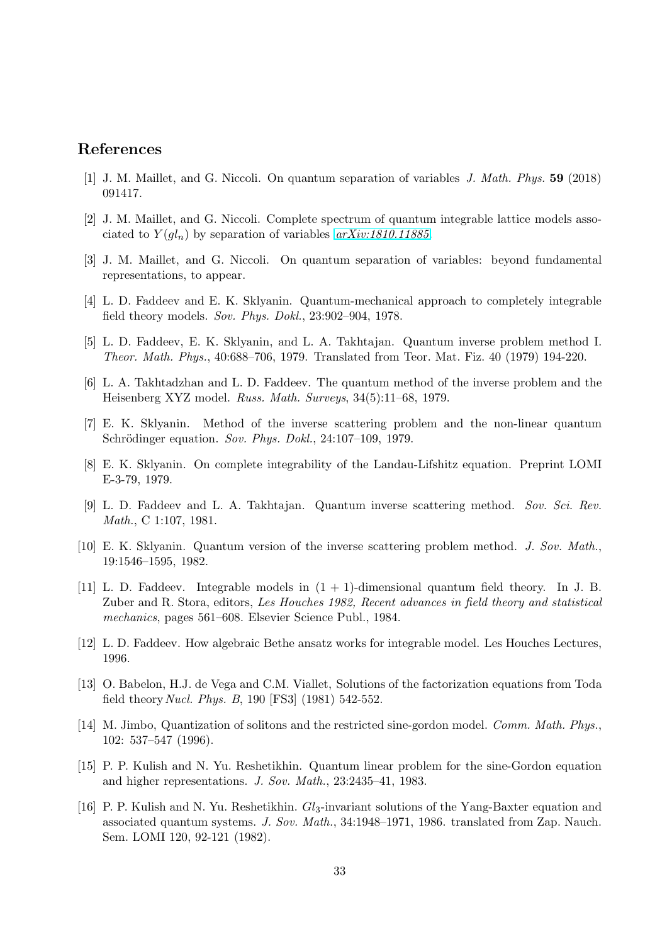### <span id="page-32-0"></span>References

- <span id="page-32-7"></span>[1] J. M. Maillet, and G. Niccoli. On quantum separation of variables J. Math. Phys. 59 (2018) 091417.
- <span id="page-32-1"></span>[2] J. M. Maillet, and G. Niccoli. Complete spectrum of quantum integrable lattice models associated to  $Y(gl_n)$  by separation of variables  $arXiv:1810.11885$ .
- <span id="page-32-2"></span>[3] J. M. Maillet, and G. Niccoli. On quantum separation of variables: beyond fundamental representations, to appear.
- [4] L. D. Faddeev and E. K. Sklyanin. Quantum-mechanical approach to completely integrable field theory models. Sov. Phys. Dokl., 23:902–904, 1978.
- [5] L. D. Faddeev, E. K. Sklyanin, and L. A. Takhtajan. Quantum inverse problem method I. Theor. Math. Phys., 40:688–706, 1979. Translated from Teor. Mat. Fiz. 40 (1979) 194-220.
- [6] L. A. Takhtadzhan and L. D. Faddeev. The quantum method of the inverse problem and the Heisenberg XYZ model. Russ. Math. Surveys, 34(5):11–68, 1979.
- [7] E. K. Sklyanin. Method of the inverse scattering problem and the non-linear quantum Schrödinger equation. Sov. Phys. Dokl., 24:107–109, 1979.
- [8] E. K. Sklyanin. On complete integrability of the Landau-Lifshitz equation. Preprint LOMI E-3-79, 1979.
- [9] L. D. Faddeev and L. A. Takhtajan. Quantum inverse scattering method. Sov. Sci. Rev. Math., C 1:107, 1981.
- [10] E. K. Sklyanin. Quantum version of the inverse scattering problem method. J. Sov. Math., 19:1546–1595, 1982.
- [11] L. D. Faddeev. Integrable models in  $(1 + 1)$ -dimensional quantum field theory. In J. B. Zuber and R. Stora, editors, Les Houches 1982, Recent advances in field theory and statistical mechanics, pages 561–608. Elsevier Science Publ., 1984.
- <span id="page-32-4"></span><span id="page-32-3"></span>[12] L. D. Faddeev. How algebraic Bethe ansatz works for integrable model. Les Houches Lectures, 1996.
- [13] O. Babelon, H.J. de Vega and C.M. Viallet, Solutions of the factorization equations from Toda field theory *Nucl. Phys. B*, 190 [FS3]  $(1981)$  542-552.
- <span id="page-32-5"></span>[14] M. Jimbo, Quantization of solitons and the restricted sine-gordon model. Comm. Math. Phys., 102: 537–547 (1996).
- <span id="page-32-6"></span>[15] P. P. Kulish and N. Yu. Reshetikhin. Quantum linear problem for the sine-Gordon equation and higher representations. J. Sov. Math., 23:2435–41, 1983.
- [16] P. P. Kulish and N. Yu. Reshetikhin.  $Gl_3$ -invariant solutions of the Yang-Baxter equation and associated quantum systems. J. Sov. Math., 34:1948–1971, 1986. translated from Zap. Nauch. Sem. LOMI 120, 92-121 (1982).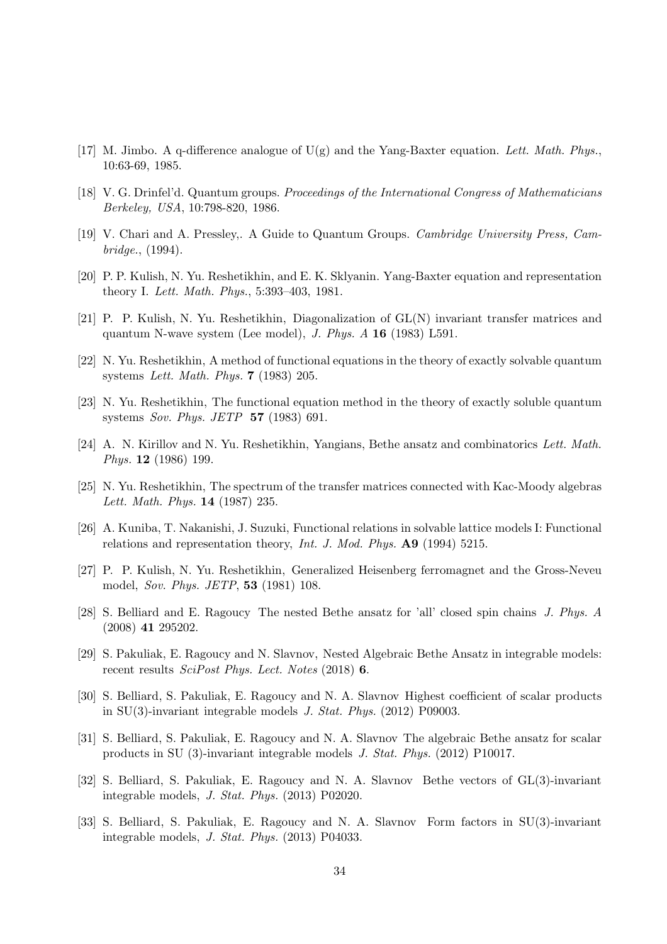- [17] M. Jimbo. A q-difference analogue of  $U(g)$  and the Yang-Baxter equation. Lett. Math. Phys., 10:63-69, 1985.
- <span id="page-33-0"></span>[18] V. G. Drinfel'd. Quantum groups. Proceedings of the International Congress of Mathematicians Berkeley, USA, 10:798-820, 1986.
- <span id="page-33-1"></span>[19] V. Chari and A. Pressley,. A Guide to Quantum Groups. Cambridge University Press, Cambridge., (1994).
- <span id="page-33-2"></span>[20] P. P. Kulish, N. Yu. Reshetikhin, and E. K. Sklyanin. Yang-Baxter equation and representation theory I. Lett. Math. Phys., 5:393–403, 1981.
- <span id="page-33-3"></span>[21] P. P. Kulish, N. Yu. Reshetikhin, Diagonalization of GL(N) invariant transfer matrices and quantum N-wave system (Lee model), J. Phys.  $A$  16 (1983) L591.
- [22] N. Yu. Reshetikhin, A method of functional equations in the theory of exactly solvable quantum systems Lett. Math. Phys. 7 (1983) 205.
- [23] N. Yu. Reshetikhin, The functional equation method in the theory of exactly soluble quantum systems Sov. Phys. JETP 57 (1983) 691.
- [24] A. N. Kirillov and N. Yu. Reshetikhin, Yangians, Bethe ansatz and combinatorics Lett. Math. Phys. 12 (1986) 199.
- [25] N. Yu. Reshetikhin, The spectrum of the transfer matrices connected with Kac-Moody algebras Lett. Math. Phys. 14 (1987) 235.
- <span id="page-33-4"></span>[26] A. Kuniba, T. Nakanishi, J. Suzuki, Functional relations in solvable lattice models I: Functional relations and representation theory, *Int. J. Mod. Phys.*  $\mathbf{A9}$  (1994) 5215.
- <span id="page-33-5"></span>[27] P. P. Kulish, N. Yu. Reshetikhin, Generalized Heisenberg ferromagnet and the Gross-Neveu model, Sov. Phys. JETP, 53 (1981) 108.
- [28] S. Belliard and E. Ragoucy The nested Bethe ansatz for 'all' closed spin chains J. Phys. A (2008) 41 295202.
- <span id="page-33-6"></span>[29] S. Pakuliak, E. Ragoucy and N. Slavnov, Nested Algebraic Bethe Ansatz in integrable models: recent results  $SciPost$  Phys. Lect. Notes (2018) 6.
- <span id="page-33-7"></span>[30] S. Belliard, S. Pakuliak, E. Ragoucy and N. A. Slavnov Highest coefficient of scalar products in SU(3)-invariant integrable models J. Stat. Phys. (2012) P09003.
- [31] S. Belliard, S. Pakuliak, E. Ragoucy and N. A. Slavnov The algebraic Bethe ansatz for scalar products in SU (3)-invariant integrable models J. Stat. Phys. (2012) P10017.
- [32] S. Belliard, S. Pakuliak, E. Ragoucy and N. A. Slavnov Bethe vectors of GL(3)-invariant integrable models, J. Stat. Phys. (2013) P02020.
- [33] S. Belliard, S. Pakuliak, E. Ragoucy and N. A. Slavnov Form factors in SU(3)-invariant integrable models, J. Stat. Phys. (2013) P04033.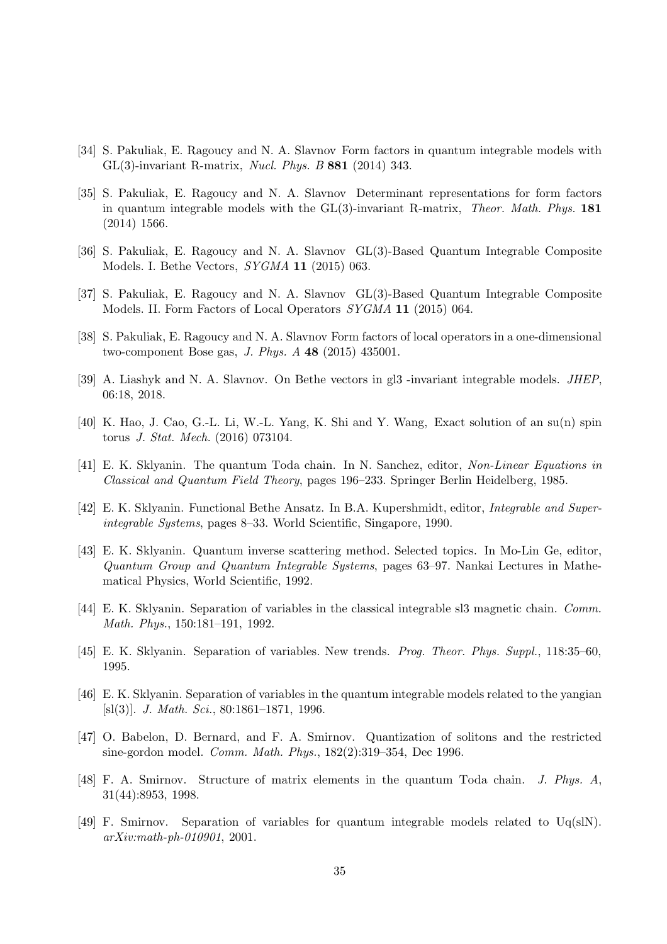- [34] S. Pakuliak, E. Ragoucy and N. A. Slavnov Form factors in quantum integrable models with GL(3)-invariant R-matrix, Nucl. Phys. B 881 (2014) 343.
- [35] S. Pakuliak, E. Ragoucy and N. A. Slavnov Determinant representations for form factors in quantum integrable models with the GL(3)-invariant R-matrix, Theor. Math. Phys. 181 (2014) 1566.
- [36] S. Pakuliak, E. Ragoucy and N. A. Slavnov GL(3)-Based Quantum Integrable Composite Models. I. Bethe Vectors, SYGMA 11 (2015) 063.
- [37] S. Pakuliak, E. Ragoucy and N. A. Slavnov GL(3)-Based Quantum Integrable Composite Models. II. Form Factors of Local Operators SYGMA 11 (2015) 064.
- <span id="page-34-0"></span>[38] S. Pakuliak, E. Ragoucy and N. A. Slavnov Form factors of local operators in a one-dimensional two-component Bose gas, J. Phys. A 48 (2015) 435001.
- <span id="page-34-1"></span>[39] A. Liashyk and N. A. Slavnov. On Bethe vectors in gl3 -invariant integrable models. JHEP, 06:18, 2018.
- [40] K. Hao, J. Cao, G.-L. Li, W.-L. Yang, K. Shi and Y. Wang, Exact solution of an su(n) spin torus J. Stat. Mech. (2016) 073104.
- <span id="page-34-2"></span>[41] E. K. Sklyanin. The quantum Toda chain. In N. Sanchez, editor, Non-Linear Equations in Classical and Quantum Field Theory, pages 196–233. Springer Berlin Heidelberg, 1985.
- [42] E. K. Sklyanin. Functional Bethe Ansatz. In B.A. Kupershmidt, editor, Integrable and Superintegrable Systems, pages 8–33. World Scientific, Singapore, 1990.
- [43] E. K. Sklyanin. Quantum inverse scattering method. Selected topics. In Mo-Lin Ge, editor, Quantum Group and Quantum Integrable Systems, pages 63–97. Nankai Lectures in Mathematical Physics, World Scientific, 1992.
- [44] E. K. Sklyanin. Separation of variables in the classical integrable sl3 magnetic chain. Comm. Math. Phys., 150:181–191, 1992.
- <span id="page-34-3"></span>[45] E. K. Sklyanin. Separation of variables. New trends. Prog. Theor. Phys. Suppl., 118:35–60, 1995.
- [46] E. K. Sklyanin. Separation of variables in the quantum integrable models related to the yangian [sl(3)]. J. Math. Sci., 80:1861–1871, 1996.
- [47] O. Babelon, D. Bernard, and F. A. Smirnov. Quantization of solitons and the restricted sine-gordon model. Comm. Math. Phys., 182(2):319–354, Dec 1996.
- [48] F. A. Smirnov. Structure of matrix elements in the quantum Toda chain. J. Phys. A, 31(44):8953, 1998.
- <span id="page-34-4"></span>[49] F. Smirnov. Separation of variables for quantum integrable models related to Uq(slN). arXiv:math-ph-010901, 2001.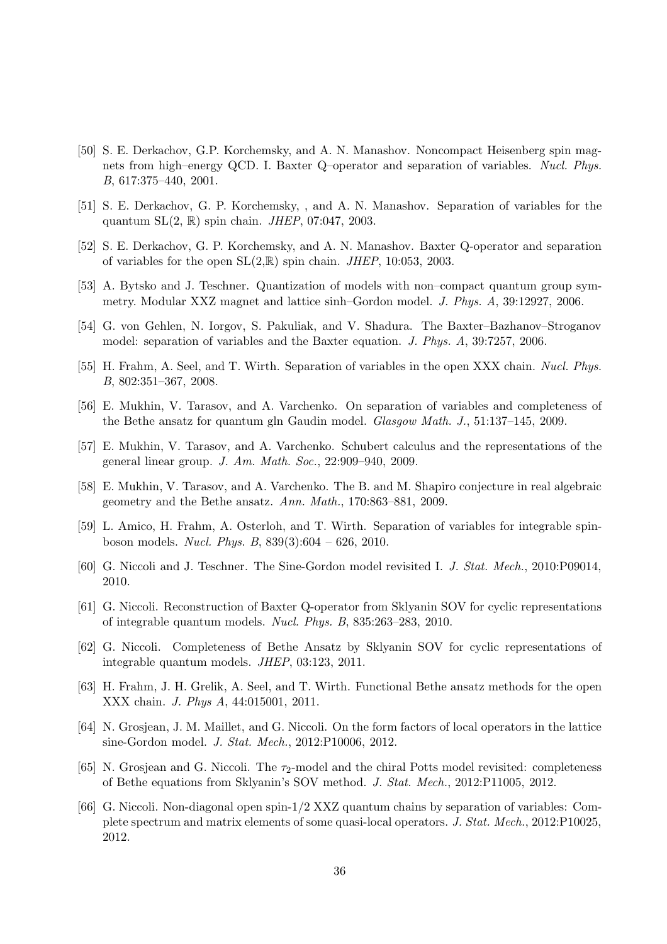- [50] S. E. Derkachov, G.P. Korchemsky, and A. N. Manashov. Noncompact Heisenberg spin magnets from high–energy QCD. I. Baxter Q–operator and separation of variables. Nucl. Phys. B, 617:375–440, 2001.
- [51] S. E. Derkachov, G. P. Korchemsky, , and A. N. Manashov. Separation of variables for the quantum  $SL(2, \mathbb{R})$  spin chain. *JHEP*, 07:047, 2003.
- [52] S. E. Derkachov, G. P. Korchemsky, and A. N. Manashov. Baxter Q-operator and separation of variables for the open  $SL(2,\mathbb{R})$  spin chain. *JHEP*, 10:053, 2003.
- [53] A. Bytsko and J. Teschner. Quantization of models with non–compact quantum group symmetry. Modular XXZ magnet and lattice sinh–Gordon model. J. Phys. A, 39:12927, 2006.
- [54] G. von Gehlen, N. Iorgov, S. Pakuliak, and V. Shadura. The Baxter–Bazhanov–Stroganov model: separation of variables and the Baxter equation. J. Phys. A, 39:7257, 2006.
- [55] H. Frahm, A. Seel, and T. Wirth. Separation of variables in the open XXX chain. Nucl. Phys. B, 802:351–367, 2008.
- [56] E. Mukhin, V. Tarasov, and A. Varchenko. On separation of variables and completeness of the Bethe ansatz for quantum gln Gaudin model. Glasgow Math. J., 51:137–145, 2009.
- [57] E. Mukhin, V. Tarasov, and A. Varchenko. Schubert calculus and the representations of the general linear group. J. Am. Math. Soc., 22:909–940, 2009.
- [58] E. Mukhin, V. Tarasov, and A. Varchenko. The B. and M. Shapiro conjecture in real algebraic geometry and the Bethe ansatz. Ann. Math., 170:863–881, 2009.
- [59] L. Amico, H. Frahm, A. Osterloh, and T. Wirth. Separation of variables for integrable spinboson models. Nucl. Phys. B, 839(3):604 – 626, 2010.
- [60] G. Niccoli and J. Teschner. The Sine-Gordon model revisited I. J. Stat. Mech., 2010:P09014, 2010.
- [61] G. Niccoli. Reconstruction of Baxter Q-operator from Sklyanin SOV for cyclic representations of integrable quantum models. Nucl. Phys. B, 835:263–283, 2010.
- [62] G. Niccoli. Completeness of Bethe Ansatz by Sklyanin SOV for cyclic representations of integrable quantum models. JHEP, 03:123, 2011.
- [63] H. Frahm, J. H. Grelik, A. Seel, and T. Wirth. Functional Bethe ansatz methods for the open XXX chain. J. Phys A, 44:015001, 2011.
- [64] N. Grosjean, J. M. Maillet, and G. Niccoli. On the form factors of local operators in the lattice sine-Gordon model. J. Stat. Mech., 2012:P10006, 2012.
- [65] N. Grosjean and G. Niccoli. The  $\tau_2$ -model and the chiral Potts model revisited: completeness of Bethe equations from Sklyanin's SOV method. J. Stat. Mech., 2012:P11005, 2012.
- [66] G. Niccoli. Non-diagonal open spin-1/2 XXZ quantum chains by separation of variables: Complete spectrum and matrix elements of some quasi-local operators. J. Stat. Mech., 2012:P10025, 2012.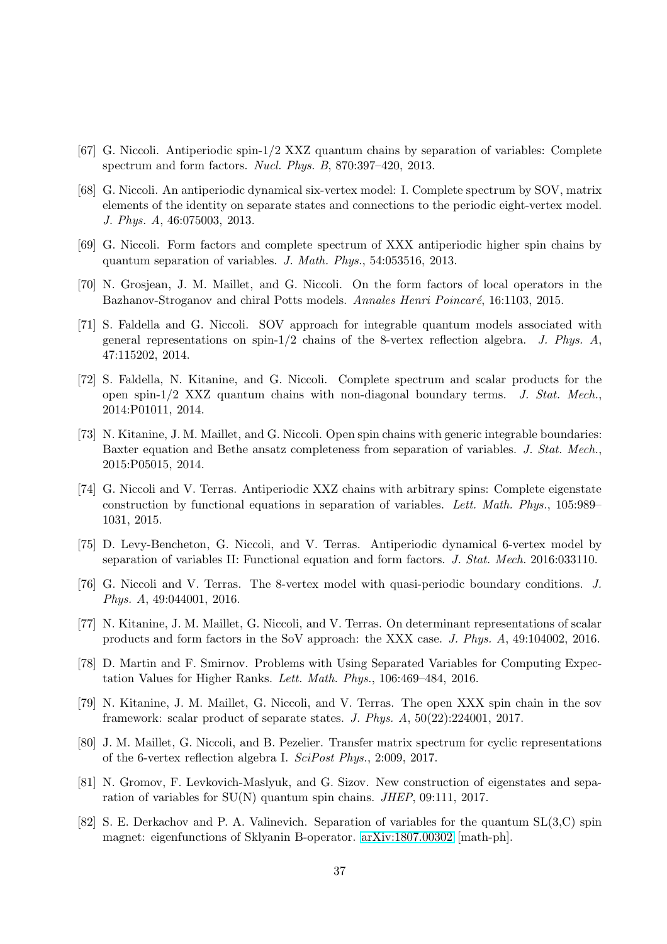- [67] G. Niccoli. Antiperiodic spin-1/2 XXZ quantum chains by separation of variables: Complete spectrum and form factors. Nucl. Phys. B, 870:397–420, 2013.
- [68] G. Niccoli. An antiperiodic dynamical six-vertex model: I. Complete spectrum by SOV, matrix elements of the identity on separate states and connections to the periodic eight-vertex model. J. Phys. A, 46:075003, 2013.
- [69] G. Niccoli. Form factors and complete spectrum of XXX antiperiodic higher spin chains by quantum separation of variables. J. Math. Phys., 54:053516, 2013.
- [70] N. Grosjean, J. M. Maillet, and G. Niccoli. On the form factors of local operators in the Bazhanov-Stroganov and chiral Potts models. Annales Henri Poincaré, 16:1103, 2015.
- [71] S. Faldella and G. Niccoli. SOV approach for integrable quantum models associated with general representations on spin-1/2 chains of the 8-vertex reflection algebra. J. Phys.  $A$ , 47:115202, 2014.
- [72] S. Faldella, N. Kitanine, and G. Niccoli. Complete spectrum and scalar products for the open spin-1/2 XXZ quantum chains with non-diagonal boundary terms. J. Stat. Mech., 2014:P01011, 2014.
- [73] N. Kitanine, J. M. Maillet, and G. Niccoli. Open spin chains with generic integrable boundaries: Baxter equation and Bethe ansatz completeness from separation of variables. J. Stat. Mech., 2015:P05015, 2014.
- <span id="page-36-4"></span>[74] G. Niccoli and V. Terras. Antiperiodic XXZ chains with arbitrary spins: Complete eigenstate construction by functional equations in separation of variables. Lett. Math. Phys., 105:989– 1031, 2015.
- [75] D. Levy-Bencheton, G. Niccoli, and V. Terras. Antiperiodic dynamical 6-vertex model by separation of variables II: Functional equation and form factors. J. Stat. Mech. 2016:033110.
- [76] G. Niccoli and V. Terras. The 8-vertex model with quasi-periodic boundary conditions. J. Phys. A, 49:044001, 2016.
- <span id="page-36-1"></span>[77] N. Kitanine, J. M. Maillet, G. Niccoli, and V. Terras. On determinant representations of scalar products and form factors in the SoV approach: the XXX case. J. Phys. A, 49:104002, 2016.
- [78] D. Martin and F. Smirnov. Problems with Using Separated Variables for Computing Expectation Values for Higher Ranks. Lett. Math. Phys., 106:469–484, 2016.
- [79] N. Kitanine, J. M. Maillet, G. Niccoli, and V. Terras. The open XXX spin chain in the sov framework: scalar product of separate states. J. Phys. A, 50(22):224001, 2017.
- <span id="page-36-0"></span>[80] J. M. Maillet, G. Niccoli, and B. Pezelier. Transfer matrix spectrum for cyclic representations of the 6-vertex reflection algebra I. SciPost Phys., 2:009, 2017.
- <span id="page-36-2"></span>[81] N. Gromov, F. Levkovich-Maslyuk, and G. Sizov. New construction of eigenstates and separation of variables for SU(N) quantum spin chains. JHEP, 09:111, 2017.
- <span id="page-36-3"></span>[82] S. E. Derkachov and P. A. Valinevich. Separation of variables for the quantum SL(3,C) spin magnet: eigenfunctions of Sklyanin B-operator. [arXiv:1807.00302](http://arxiv.org/abs/1807.00302) [math-ph].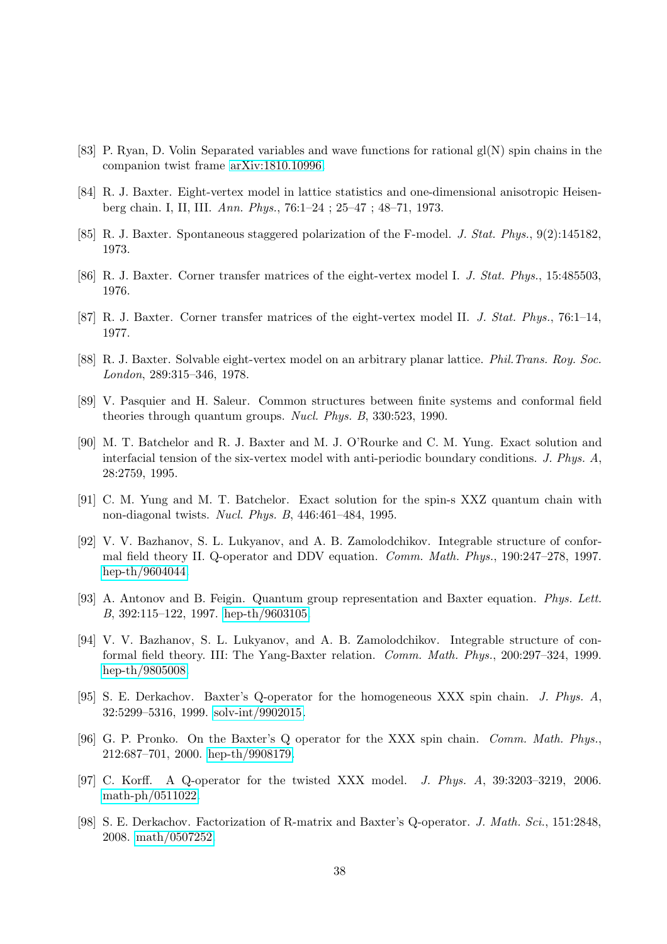- <span id="page-37-1"></span><span id="page-37-0"></span>[83] P. Ryan, D. Volin Separated variables and wave functions for rational  $g(N)$  spin chains in the companion twist frame [arXiv:1810.10996.](http://arxiv.org/abs/1810.10996)
- [84] R. J. Baxter. Eight-vertex model in lattice statistics and one-dimensional anisotropic Heisenberg chain. I, II, III. Ann. Phys., 76:1–24 ; 25–47 ; 48–71, 1973.
- [85] R. J. Baxter. Spontaneous staggered polarization of the F-model. J. Stat. Phys., 9(2):145182, 1973.
- [86] R. J. Baxter. Corner transfer matrices of the eight-vertex model I. J. Stat. Phys., 15:485503, 1976.
- [87] R. J. Baxter. Corner transfer matrices of the eight-vertex model II. J. Stat. Phys., 76:1–14, 1977.
- [88] R. J. Baxter. Solvable eight-vertex model on an arbitrary planar lattice. Phil.Trans. Roy. Soc. London, 289:315–346, 1978.
- [89] V. Pasquier and H. Saleur. Common structures between finite systems and conformal field theories through quantum groups. Nucl. Phys. B, 330:523, 1990.
- [90] M. T. Batchelor and R. J. Baxter and M. J. O'Rourke and C. M. Yung. Exact solution and interfacial tension of the six-vertex model with anti-periodic boundary conditions. J. Phys. A, 28:2759, 1995.
- [91] C. M. Yung and M. T. Batchelor. Exact solution for the spin-s XXZ quantum chain with non-diagonal twists. Nucl. Phys. B, 446:461–484, 1995.
- [92] V. V. Bazhanov, S. L. Lukyanov, and A. B. Zamolodchikov. Integrable structure of conformal field theory II. Q-operator and DDV equation. Comm. Math. Phys., 190:247–278, 1997. [hep-th/9604044.](http://arxiv.org/abs/hep-th/9604044)
- [93] A. Antonov and B. Feigin. Quantum group representation and Baxter equation. Phys. Lett. B, 392:115–122, 1997. [hep-th/9603105.](http://arxiv.org/abs/hep-th/9603105)
- [94] V. V. Bazhanov, S. L. Lukyanov, and A. B. Zamolodchikov. Integrable structure of conformal field theory. III: The Yang-Baxter relation. Comm. Math. Phys., 200:297–324, 1999. [hep-th/9805008.](http://arxiv.org/abs/hep-th/9805008)
- [95] S. E. Derkachov. Baxter's Q-operator for the homogeneous XXX spin chain. J. Phys. A, 32:5299–5316, 1999. [solv-int/9902015.](http://arxiv.org/abs/solv-int/9902015)
- [96] G. P. Pronko. On the Baxter's Q operator for the XXX spin chain. Comm. Math. Phys., 212:687–701, 2000. [hep-th/9908179.](http://arxiv.org/abs/hep-th/9908179)
- [97] C. Korff. A Q-operator for the twisted XXX model. J. Phys. A, 39:3203–3219, 2006. [math-ph/0511022.](http://arxiv.org/abs/math-ph/0511022)
- [98] S. E. Derkachov. Factorization of R-matrix and Baxter's Q-operator. J. Math. Sci., 151:2848, 2008. [math/0507252.](http://arxiv.org/abs/math/0507252)